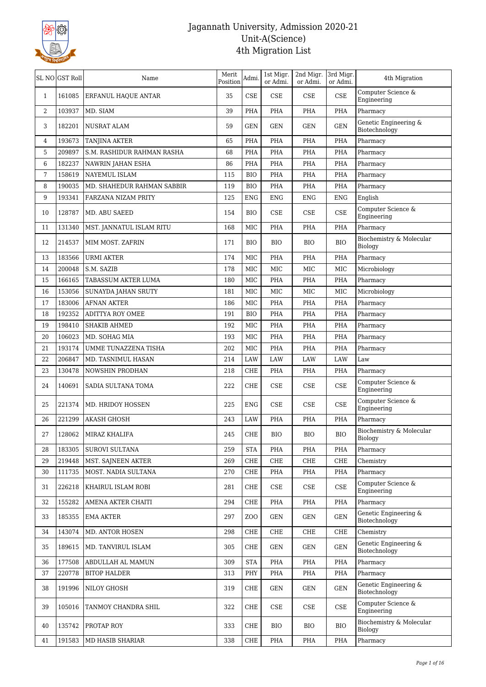

|              | SL NO GST Roll | Name                       | Merit<br>Position | Admi.                | 1st Migr.<br>or Admi.       | 2nd Migr.<br>or Admi. | 3rd Migr.<br>or Admi. | 4th Migration                          |
|--------------|----------------|----------------------------|-------------------|----------------------|-----------------------------|-----------------------|-----------------------|----------------------------------------|
| $\mathbf{1}$ | 161085         | ERFANUL HAQUE ANTAR        | 35                | CSE                  | <b>CSE</b>                  | <b>CSE</b>            | $\rm CSE$             | Computer Science &<br>Engineering      |
| 2            | 103937         | MD. SIAM                   | 39                | PHA                  | <b>PHA</b>                  | PHA                   | PHA                   | Pharmacy                               |
| 3            | 182201         | <b>NUSRAT ALAM</b>         | 59                | GEN                  | GEN                         | <b>GEN</b>            | <b>GEN</b>            | Genetic Engineering &<br>Biotechnology |
| 4            | 193673         | <b>TANJINA AKTER</b>       | 65                | PHA                  | PHA                         | PHA                   | PHA                   | Pharmacy                               |
| 5            | 209897         | S.M. RASHIDUR RAHMAN RASHA | 68                | PHA                  | PHA                         | PHA                   | PHA                   | Pharmacy                               |
| 6            | 182237         | NAWRIN JAHAN ESHA          | 86                | <b>PHA</b>           | PHA                         | PHA                   | PHA                   | Pharmacy                               |
| 7            | 158619         | NAYEMUL ISLAM              | 115               | <b>BIO</b>           | <b>PHA</b>                  | PHA                   | PHA                   | Pharmacy                               |
| 8            | 190035         | MD. SHAHEDUR RAHMAN SABBIR | 119               | <b>BIO</b>           | PHA                         | PHA                   | PHA                   | Pharmacy                               |
| 9            | 193341         | FARZANA NIZAM PRITY        | 125               | ENG                  | ENG                         | <b>ENG</b>            | <b>ENG</b>            | English                                |
| 10           | 128787         | MD. ABU SAEED              | 154               | <b>BIO</b>           | CSE                         | CSE                   | CSE                   | Computer Science &<br>Engineering      |
| 11           | 131340         | MST. JANNATUL ISLAM RITU   | 168               | MIC                  | <b>PHA</b>                  | PHA                   | PHA                   | Pharmacy                               |
| 12           | 214537         | MIM MOST. ZAFRIN           | 171               | BIO                  | BIO                         | BIO                   | <b>BIO</b>            | Biochemistry & Molecular<br>Biology    |
| 13           | 183566         | <b>URMI AKTER</b>          | 174               | <b>MIC</b>           | PHA                         | PHA                   | PHA                   | Pharmacy                               |
| 14           | 200048         | S.M. SAZIB                 | 178               | <b>MIC</b>           | <b>MIC</b>                  | MIC                   | MIC                   | Microbiology                           |
| 15           | 166165         | TABASSUM AKTER LUMA        | 180               | MIC                  | PHA                         | PHA                   | <b>PHA</b>            | Pharmacy                               |
| 16           | 153056         | SUNAYDA JAHAN SRUTY        | 181               | <b>MIC</b>           | MIC                         | MIC                   | MIC                   | Microbiology                           |
| 17           | 183006         | <b>AFNAN AKTER</b>         | 186               | MIC                  | <b>PHA</b>                  | PHA                   | PHA                   | Pharmacy                               |
| 18           | 192352         | <b>ADITTYA ROY OMEE</b>    | 191               | <b>BIO</b>           | PHA                         | PHA                   | PHA                   | Pharmacy                               |
| 19           | 198410         | <b>SHAKIB AHMED</b>        | 192               | MIC                  | <b>PHA</b>                  | PHA                   | PHA                   | Pharmacy                               |
| 20           | 106023         | MD. SOHAG MIA              | 193               | <b>MIC</b>           | PHA                         | PHA                   | PHA                   | Pharmacy                               |
| 21           | 193174         | UMME TUNAZZENA TISHA       | 202               | MIC                  | PHA                         | PHA                   | PHA                   | Pharmacy                               |
| 22           | 206847         | MD. TASNIMUL HASAN         | 214               | LAW                  | LAW                         | LAW                   | LAW                   | Law                                    |
| 23           | 130478         | NOWSHIN PRODHAN            | 218               | CHE                  | PHA                         | PHA                   | PHA                   | Pharmacy                               |
| 24           | 140691         | SADIA SULTANA TOMA         | 222               | CHE                  | CSE                         | CSE                   | CSE                   | Computer Science &<br>Engineering      |
| 25           | 221374         | MD. HRIDOY HOSSEN          | 225               | ENG                  | CSE                         | CSE                   | CSE                   | Computer Science &<br>Engineering      |
| 26           | 221299         | <b>AKASH GHOSH</b>         | 243               | <b>LAW</b>           | <b>PHA</b>                  | PHA                   | PHA                   | Pharmacy                               |
| 27           | 128062         | MIRAZ KHALIFA              | 245               | ${\rm CHE}$          | <b>BIO</b>                  | ${\rm BIO}$           | <b>BIO</b>            | Biochemistry & Molecular<br>Biology    |
| 28           | 183305         | <b>SUROVI SULTANA</b>      | 259               | <b>STA</b>           | PHA                         | PHA                   | PHA                   | Pharmacy                               |
| 29           | 219448         | MST. SAJNEEN AKTER         | 269               | CHE                  | CHE                         | CHE                   | CHE                   | Chemistry                              |
| 30           | 111735         | MOST. NADIA SULTANA        | 270               | CHE                  | PHA                         | PHA                   | PHA                   | Pharmacy                               |
| 31           | 226218         | KHAIRUL ISLAM ROBI         | 281               | CHE                  | $\ensuremath{\mathsf{CSE}}$ | CSE                   | CSE                   | Computer Science &<br>Engineering      |
| 32           | 155282         | AMENA AKTER CHAITI         | 294               | CHE                  | PHA                         | PHA                   | PHA                   | Pharmacy                               |
| 33           | 185355         | <b>EMA AKTER</b>           | 297               | ZOO                  | GEN                         | <b>GEN</b>            | GEN                   | Genetic Engineering &<br>Biotechnology |
| 34           | 143074         | MD. ANTOR HOSEN            | 298               | CHE                  | ${\rm CHE}$                 | CHE                   | CHE                   | Chemistry                              |
| 35           | 189615         | MD. TANVIRUL ISLAM         | 305               | CHE                  | <b>GEN</b>                  | <b>GEN</b>            | <b>GEN</b>            | Genetic Engineering &<br>Biotechnology |
| 36           | 177508         | ABDULLAH AL MAMUN          | 309               | $\operatorname{STA}$ | PHA                         | PHA                   | PHA                   | Pharmacy                               |
| 37           | 220778         | <b>BITOP HALDER</b>        | 313               | PHY                  | PHA                         | PHA                   | PHA                   | Pharmacy                               |
| 38           | 191996         | NILOY GHOSH                | 319               | CHE                  | GEN                         | <b>GEN</b>            | GEN                   | Genetic Engineering &<br>Biotechnology |
| 39           | 105016         | TANMOY CHANDRA SHIL        | 322               | CHE                  | $\ensuremath{\mathsf{CSE}}$ | CSE                   | CSE                   | Computer Science &<br>Engineering      |
| 40           | 135742         | PROTAP ROY                 | 333               | CHE                  | <b>BIO</b>                  | <b>BIO</b>            | <b>BIO</b>            | Biochemistry & Molecular<br>Biology    |
| 41           | 191583         | MD HASIB SHARIAR           | 338               | CHE                  | PHA                         | PHA                   | PHA                   | Pharmacy                               |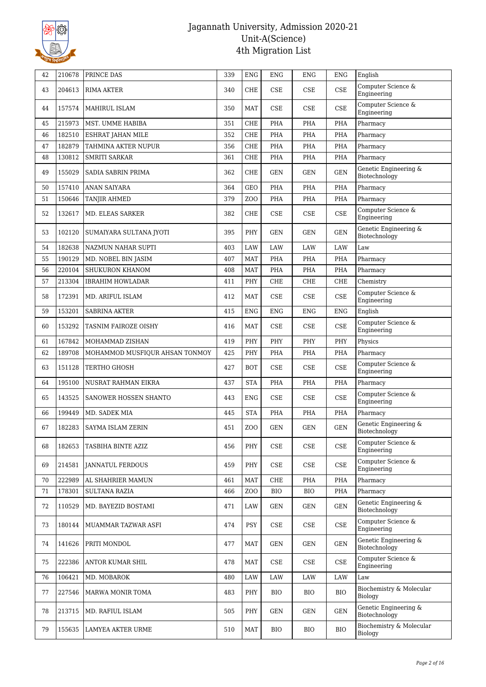

| 42 | 210678 | PRINCE DAS                     | 339 | <b>ENG</b> | ENG        | ENG                         | ENG                         | English                                |
|----|--------|--------------------------------|-----|------------|------------|-----------------------------|-----------------------------|----------------------------------------|
| 43 | 204613 | <b>RIMA AKTER</b>              | 340 | CHE        | <b>CSE</b> | CSE                         | CSE                         | Computer Science &<br>Engineering      |
| 44 | 157574 | MAHIRUL ISLAM                  | 350 | MAT        | CSE        | CSE                         | <b>CSE</b>                  | Computer Science &<br>Engineering      |
| 45 | 215973 | MST. UMME HABIBA               | 351 | <b>CHE</b> | <b>PHA</b> | PHA                         | PHA                         | Pharmacy                               |
| 46 | 182510 | ESHRAT JAHAN MILE              | 352 | <b>CHE</b> | PHA        | PHA                         | PHA                         | Pharmacy                               |
| 47 | 182879 | TAHMINA AKTER NUPUR            | 356 | CHE        | <b>PHA</b> | PHA                         | PHA                         | Pharmacy                               |
| 48 | 130812 | <b>SMRITI SARKAR</b>           | 361 | CHE        | PHA        | PHA                         | PHA                         | Pharmacy                               |
| 49 | 155029 | SADIA SABRIN PRIMA             | 362 | CHE        | GEN        | <b>GEN</b>                  | <b>GEN</b>                  | Genetic Engineering &<br>Biotechnology |
| 50 | 157410 | ANAN SAIYARA                   | 364 | GEO        | <b>PHA</b> | PHA                         | <b>PHA</b>                  | Pharmacy                               |
| 51 | 150646 | TANJIR AHMED                   | 379 | ZOO        | <b>PHA</b> | PHA                         | PHA                         | Pharmacy                               |
| 52 | 132617 | MD. ELEAS SARKER               | 382 | <b>CHE</b> | <b>CSE</b> | CSE                         | CSE                         | Computer Science &<br>Engineering      |
| 53 | 102120 | SUMAIYARA SULTANA JYOTI        | 395 | PHY        | <b>GEN</b> | <b>GEN</b>                  | <b>GEN</b>                  | Genetic Engineering &<br>Biotechnology |
| 54 | 182638 | <b>NAZMUN NAHAR SUPTI</b>      | 403 | LAW        | LAW        | LAW                         | <b>LAW</b>                  | Law                                    |
| 55 | 190129 | MD. NOBEL BIN JASIM            | 407 | <b>MAT</b> | <b>PHA</b> | PHA                         | PHA                         | Pharmacy                               |
| 56 | 220104 | SHUKURON KHANOM                | 408 | MAT        | <b>PHA</b> | PHA                         | PHA                         | Pharmacy                               |
| 57 | 213304 | <b>IBRAHIM HOWLADAR</b>        | 411 | PHY        | <b>CHE</b> | ${\rm CHE}$                 | CHE                         | Chemistry                              |
| 58 | 172391 | MD. ARIFUL ISLAM               | 412 | <b>MAT</b> | <b>CSE</b> | CSE                         | CSE                         | Computer Science $\&$<br>Engineering   |
| 59 | 153201 | <b>SABRINA AKTER</b>           | 415 | <b>ENG</b> | <b>ENG</b> | <b>ENG</b>                  | <b>ENG</b>                  | English                                |
| 60 | 153292 | TASNIM FAIROZE OISHY           | 416 | <b>MAT</b> | <b>CSE</b> | <b>CSE</b>                  | CSE                         | Computer Science &<br>Engineering      |
| 61 | 167842 | MOHAMMAD ZISHAN                | 419 | PHY        | PHY        | PHY                         | PHY                         | Physics                                |
| 62 | 189708 | MOHAMMOD MUSFIQUR AHSAN TONMOY | 425 | <b>PHY</b> | PHA        | PHA                         | <b>PHA</b>                  | Pharmacy                               |
| 63 | 151128 | TERTHO GHOSH                   | 427 | <b>BOT</b> | CSE        | CSE                         | <b>CSE</b>                  | Computer Science &<br>Engineering      |
| 64 | 195100 | NUSRAT RAHMAN EIKRA            | 437 | <b>STA</b> | PHA        | PHA                         | PHA                         | Pharmacy                               |
| 65 | 143525 | SANOWER HOSSEN SHANTO          | 443 | ENG        | CSE        | CSE                         | CSE                         | Computer Science &<br>Engineering      |
| 66 | 199449 | MD. SADEK MIA                  | 445 | <b>STA</b> | PHA        | PHA                         | <b>PHA</b>                  | Pharmacy                               |
| 67 | 182283 | SAYMA ISLAM ZERIN              | 451 | ZOO        | <b>GEN</b> | <b>GEN</b>                  | <b>GEN</b>                  | Genetic Engineering &<br>Biotechnology |
| 68 | 182653 | TASBIHA BINTE AZIZ             | 456 | PHY        | CSE        | CSE                         | $\ensuremath{\mathsf{CSE}}$ | Computer Science &<br>Engineering      |
| 69 | 214581 | <b>JANNATUL FERDOUS</b>        | 459 | PHY        | CSE        | CSE                         | CSE                         | Computer Science &<br>Engineering      |
| 70 | 222989 | AL SHAHRIER MAMUN              | 461 | MAT        | CHE        | PHA                         | PHA                         | Pharmacy                               |
| 71 | 178301 | <b>SULTANA RAZIA</b>           | 466 | ZOO        | <b>BIO</b> | <b>BIO</b>                  | PHA                         | Pharmacy                               |
| 72 | 110529 | MD. BAYEZID BOSTAMI            | 471 | LAW        | GEN        | <b>GEN</b>                  | GEN                         | Genetic Engineering &<br>Biotechnology |
| 73 | 180144 | MUAMMAR TAZWAR ASFI            | 474 | <b>PSY</b> | CSE        | CSE                         | CSE                         | Computer Science &<br>Engineering      |
| 74 | 141626 | PRITI MONDOL                   | 477 | MAT        | GEN        | GEN                         | GEN                         | Genetic Engineering &<br>Biotechnology |
| 75 | 222386 | ANTOR KUMAR SHIL               | 478 | MAT        | CSE        | $\ensuremath{\mathsf{CSE}}$ | CSE                         | Computer Science &<br>Engineering      |
| 76 | 106421 | MD. MOBAROK                    | 480 | <b>LAW</b> | LAW        | LAW                         | <b>LAW</b>                  | Law                                    |
| 77 | 227546 | MARWA MONIR TOMA               | 483 | PHY        | <b>BIO</b> | BIO                         | <b>BIO</b>                  | Biochemistry & Molecular<br>Biology    |
| 78 | 213715 | MD. RAFIUL ISLAM               | 505 | PHY        | GEN        | GEN                         | GEN                         | Genetic Engineering &<br>Biotechnology |
| 79 | 155635 | LAMYEA AKTER URME              | 510 | MAT        | <b>BIO</b> | BIO                         | <b>BIO</b>                  | Biochemistry & Molecular<br>Biology    |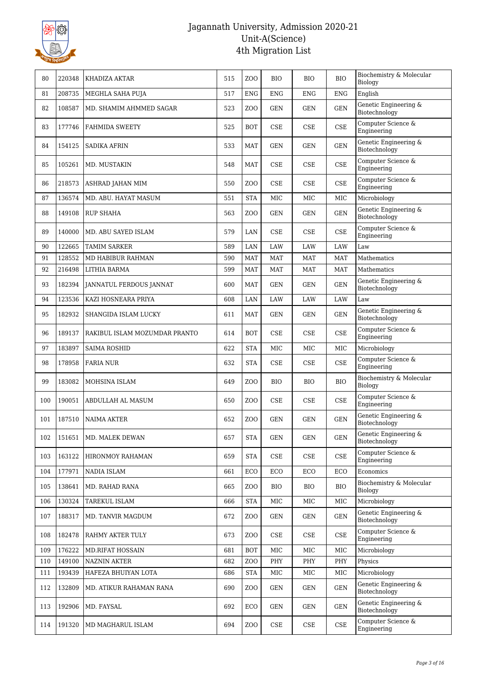

| 80  | 220348 | KHADIZA AKTAR                  | 515 | ZO <sub>O</sub> | <b>BIO</b> | <b>BIO</b> | <b>BIO</b> | Biochemistry & Molecular<br>Biology    |
|-----|--------|--------------------------------|-----|-----------------|------------|------------|------------|----------------------------------------|
| 81  | 208735 | MEGHLA SAHA PUJA               | 517 | <b>ENG</b>      | <b>ENG</b> | <b>ENG</b> | <b>ENG</b> | English                                |
| 82  | 108587 | MD. SHAMIM AHMMED SAGAR        | 523 | ZO <sub>O</sub> | GEN        | GEN        | <b>GEN</b> | Genetic Engineering &<br>Biotechnology |
| 83  | 177746 | <b>FAHMIDA SWEETY</b>          | 525 | <b>BOT</b>      | <b>CSE</b> | CSE        | <b>CSE</b> | Computer Science &<br>Engineering      |
| 84  | 154125 | <b>SADIKA AFRIN</b>            | 533 | <b>MAT</b>      | <b>GEN</b> | <b>GEN</b> | <b>GEN</b> | Genetic Engineering &<br>Biotechnology |
| 85  | 105261 | MD. MUSTAKIN                   | 548 | <b>MAT</b>      | <b>CSE</b> | CSE        | CSE        | Computer Science &<br>Engineering      |
| 86  | 218573 | ASHRAD JAHAN MIM               | 550 | ZOO             | CSE        | CSE        | <b>CSE</b> | Computer Science &<br>Engineering      |
| 87  | 136574 | MD. ABU. HAYAT MASUM           | 551 | <b>STA</b>      | MIC        | MIC        | MIC        | Microbiology                           |
| 88  | 149108 | <b>RUP SHAHA</b>               | 563 | ZO <sub>O</sub> | GEN        | GEN        | <b>GEN</b> | Genetic Engineering &<br>Biotechnology |
| 89  | 140000 | MD. ABU SAYED ISLAM            | 579 | LAN             | CSE        | CSE        | CSE        | Computer Science &<br>Engineering      |
| 90  | 122665 | <b>TAMIM SARKER</b>            | 589 | LAN             | <b>LAW</b> | LAW        | LAW        | Law                                    |
| 91  | 128552 | MD HABIBUR RAHMAN              | 590 | <b>MAT</b>      | <b>MAT</b> | <b>MAT</b> | <b>MAT</b> | Mathematics                            |
| 92  | 216498 | LITHIA BARMA                   | 599 | <b>MAT</b>      | <b>MAT</b> | MAT        | <b>MAT</b> | Mathematics                            |
| 93  | 182394 | <b>JANNATUL FERDOUS JANNAT</b> | 600 | <b>MAT</b>      | GEN        | GEN        | <b>GEN</b> | Genetic Engineering &<br>Biotechnology |
| 94  | 123536 | KAZI HOSNEARA PRIYA            | 608 | LAN             | LAW        | LAW        | LAW        | Law                                    |
| 95  | 182932 | SHANGIDA ISLAM LUCKY           | 611 | <b>MAT</b>      | GEN        | <b>GEN</b> | <b>GEN</b> | Genetic Engineering &<br>Biotechnology |
| 96  | 189137 | RAKIBUL ISLAM MOZUMDAR PRANTO  | 614 | BOT             | <b>CSE</b> | CSE        | $\rm CSE$  | Computer Science &<br>Engineering      |
| 97  | 183897 | <b>SAIMA ROSHID</b>            | 622 | <b>STA</b>      | MIC        | MIC        | MIC        | Microbiology                           |
| 98  | 178958 | <b>FARIA NUR</b>               | 632 | <b>STA</b>      | CSE        | CSE        | CSE        | Computer Science &<br>Engineering      |
| 99  | 183082 | MOHSINA ISLAM                  | 649 | ZOO             | <b>BIO</b> | <b>BIO</b> | <b>BIO</b> | Biochemistry & Molecular<br>Biology    |
| 100 | 190051 | ABDULLAH AL MASUM              | 650 | ZO <sub>O</sub> | <b>CSE</b> | <b>CSE</b> | CSE        | Computer Science &<br>Engineering      |
| 101 | 187510 | <b>NAIMA AKTER</b>             | 652 | ZO <sub>O</sub> | <b>GEN</b> | <b>GEN</b> | <b>GEN</b> | Genetic Engineering &<br>Biotechnology |
| 102 | 151651 | MD. MALEK DEWAN                | 657 | STA             | GEN        | GEN        | GEN        | Genetic Engineering &<br>Biotechnology |
| 103 | 163122 | HIRONMOY RAHAMAN               | 659 | <b>STA</b>      | CSE        | CSE        | <b>CSE</b> | Computer Science &<br>Engineering      |
| 104 | 177971 | NADIA ISLAM                    | 661 | ECO             | ECO        | ECO        | ECO        | Economics                              |
| 105 | 138641 | MD. RAHAD RANA                 | 665 | ZOO             | <b>BIO</b> | BIO        | BIO        | Biochemistry & Molecular<br>Biology    |
| 106 | 130324 | TAREKUL ISLAM                  | 666 | <b>STA</b>      | MIC        | MIC        | MIC        | Microbiology                           |
| 107 | 188317 | MD. TANVIR MAGDUM              | 672 | ZOO             | GEN        | <b>GEN</b> | GEN        | Genetic Engineering &<br>Biotechnology |
| 108 | 182478 | RAHMY AKTER TULY               | 673 | ZOO             | CSE        | CSE        | CSE        | Computer Science &<br>Engineering      |
| 109 | 176222 | <b>MD.RIFAT HOSSAIN</b>        | 681 | <b>BOT</b>      | MIC        | MIC        | MIC        | Microbiology                           |
| 110 | 149100 | <b>NAZNIN AKTER</b>            | 682 | ZO <sub>O</sub> | PHY        | PHY        | PHY        | Physics                                |
| 111 | 193439 | HAFEZA BHUIYAN LOTA            | 686 | <b>STA</b>      | MIC        | MIC        | MIC        | Microbiology                           |
| 112 | 132809 | MD. ATIKUR RAHAMAN RANA        | 690 | ZOO             | GEN        | GEN        | <b>GEN</b> | Genetic Engineering &<br>Biotechnology |
| 113 | 192906 | MD. FAYSAL                     | 692 | ECO             | GEN        | <b>GEN</b> | GEN        | Genetic Engineering &<br>Biotechnology |
| 114 | 191320 | MD MAGHARUL ISLAM              | 694 | ZOO             | CSE        | CSE        | CSE        | Computer Science &<br>Engineering      |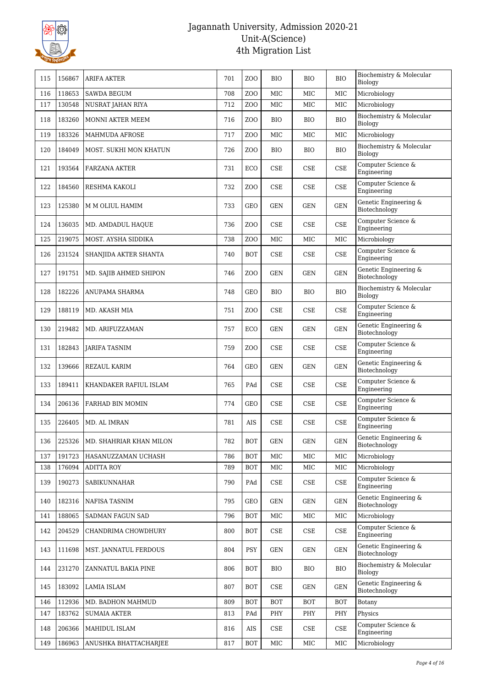

| 115 | 156867 | ARIFA AKTER             | 701 | ZO <sub>O</sub>  | <b>BIO</b>                  | BIO                  | <b>BIO</b> | Biochemistry & Molecular<br>Biology    |
|-----|--------|-------------------------|-----|------------------|-----------------------------|----------------------|------------|----------------------------------------|
| 116 | 118653 | <b>SAWDA BEGUM</b>      | 708 | ZO <sub>O</sub>  | <b>MIC</b>                  | <b>MIC</b>           | MIC        | Microbiology                           |
| 117 | 130548 | NUSRAT JAHAN RIYA       | 712 | Z <sub>O</sub> O | MIC                         | MIC                  | MIC        | Microbiology                           |
| 118 | 183260 | MONNI AKTER MEEM        | 716 | ZO <sub>O</sub>  | <b>BIO</b>                  | <b>BIO</b>           | <b>BIO</b> | Biochemistry & Molecular<br>Biology    |
| 119 | 183326 | <b>MAHMUDA AFROSE</b>   | 717 | Z <sub>0</sub>   | MIC                         | MIC                  | MIC        | Microbiology                           |
| 120 | 184049 | MOST. SUKHI MON KHATUN  | 726 | ZO <sub>O</sub>  | <b>BIO</b>                  | BIO                  | <b>BIO</b> | Biochemistry & Molecular<br>Biology    |
| 121 | 193564 | <b>FARZANA AKTER</b>    | 731 | ECO              | CSE                         | <b>CSE</b>           | <b>CSE</b> | Computer Science &<br>Engineering      |
| 122 | 184560 | RESHMA KAKOLI           | 732 | ZO <sub>O</sub>  | CSE                         | <b>CSE</b>           | <b>CSE</b> | Computer Science &<br>Engineering      |
| 123 | 125380 | M M OLIUL HAMIM         | 733 | GEO              | GEN                         | <b>GEN</b>           | <b>GEN</b> | Genetic Engineering &<br>Biotechnology |
| 124 | 136035 | MD. AMDADUL HAQUE       | 736 | ZO <sub>O</sub>  | <b>CSE</b>                  | CSE                  | <b>CSE</b> | Computer Science &<br>Engineering      |
| 125 | 219075 | MOST. AYSHA SIDDIKA     | 738 | ZO <sub>O</sub>  | <b>MIC</b>                  | MIC                  | MIC        | Microbiology                           |
| 126 | 231524 | SHANJIDA AKTER SHANTA   | 740 | <b>BOT</b>       | CSE                         | CSE                  | <b>CSE</b> | Computer Science &<br>Engineering      |
| 127 | 191751 | MD. SAJIB AHMED SHIPON  | 746 | ZO <sub>O</sub>  | <b>GEN</b>                  | <b>GEN</b>           | <b>GEN</b> | Genetic Engineering &<br>Biotechnology |
| 128 | 182226 | ANUPAMA SHARMA          | 748 | <b>GEO</b>       | <b>BIO</b>                  | BIO                  | <b>BIO</b> | Biochemistry & Molecular<br>Biology    |
| 129 | 188119 | MD. AKASH MIA           | 751 | ZO <sub>O</sub>  | CSE                         | <b>CSE</b>           | $\rm CSE$  | Computer Science &<br>Engineering      |
| 130 | 219482 | MD. ARIFUZZAMAN         | 757 | ECO              | GEN                         | <b>GEN</b>           | GEN        | Genetic Engineering &<br>Biotechnology |
| 131 | 182843 | JARIFA TASNIM           | 759 | ZO <sub>O</sub>  | CSE                         | CSE                  | CSE        | Computer Science &<br>Engineering      |
| 132 | 139666 | REZAUL KARIM            | 764 | <b>GEO</b>       | <b>GEN</b>                  | <b>GEN</b>           | <b>GEN</b> | Genetic Engineering &<br>Biotechnology |
| 133 | 189411 | KHANDAKER RAFIUL ISLAM  | 765 | PAd              | CSE                         | <b>CSE</b>           | <b>CSE</b> | Computer Science &<br>Engineering      |
| 134 | 206136 | FARHAD BIN MOMIN        | 774 | GEO              | CSE                         | <b>CSE</b>           | <b>CSE</b> | Computer Science &<br>Engineering      |
| 135 | 226405 | MD. AL IMRAN            | 781 | <b>AIS</b>       | CSE                         | <b>CSE</b>           | <b>CSE</b> | Computer Science &<br>Engineering      |
| 136 | 225326 | MD. SHAHRIAR KHAN MILON | 782 | BOT              | GEN                         | $\operatorname{GEN}$ | <b>GEN</b> | Genetic Engineering &<br>Biotechnology |
| 137 | 191723 | HASANUZZAMAN UCHASH     | 786 | <b>BOT</b>       | MIC                         | $_{\rm MIC}$         | MIC        | Microbiology                           |
| 138 | 176094 | <b>ADITTA ROY</b>       | 789 | <b>BOT</b>       | MIC                         | MIC                  | MIC        | Microbiology                           |
| 139 | 190273 | SABIKUNNAHAR            | 790 | PAd              | CSE                         | CSE                  | CSE        | Computer Science &<br>Engineering      |
| 140 | 182316 | NAFISA TASNIM           | 795 | GEO              | <b>GEN</b>                  | <b>GEN</b>           | GEN        | Genetic Engineering &<br>Biotechnology |
| 141 | 188065 | SADMAN FAGUN SAD        | 796 | <b>BOT</b>       | MIC                         | MIC                  | MIC        | Microbiology                           |
| 142 | 204529 | CHANDRIMA CHOWDHURY     | 800 | <b>BOT</b>       | CSE                         | CSE                  | CSE        | Computer Science $\&$<br>Engineering   |
| 143 | 111698 | MST. JANNATUL FERDOUS   | 804 | <b>PSY</b>       | <b>GEN</b>                  | <b>GEN</b>           | GEN        | Genetic Engineering &<br>Biotechnology |
| 144 | 231270 | ZANNATUL BAKIA PINE     | 806 | <b>BOT</b>       | BIO                         | <b>BIO</b>           | <b>BIO</b> | Biochemistry & Molecular<br>Biology    |
| 145 | 183092 | LAMIA ISLAM             | 807 | <b>BOT</b>       | $\ensuremath{\mathsf{CSE}}$ | <b>GEN</b>           | <b>GEN</b> | Genetic Engineering &<br>Biotechnology |
| 146 | 112936 | MD. BADHON MAHMUD       | 809 | <b>BOT</b>       | <b>BOT</b>                  | <b>BOT</b>           | <b>BOT</b> | Botany                                 |
| 147 | 183762 | <b>SUMAIA AKTER</b>     | 813 | PAd              | PHY                         | PHY                  | PHY        | Physics                                |
| 148 | 206366 | MAHIDUL ISLAM           | 816 | AIS              | CSE                         | CSE                  | CSE        | Computer Science &<br>Engineering      |
| 149 | 186963 | ANUSHKA BHATTACHARJEE   | 817 | <b>BOT</b>       | MIC                         | $_{\rm MIC}$         | MIC        | Microbiology                           |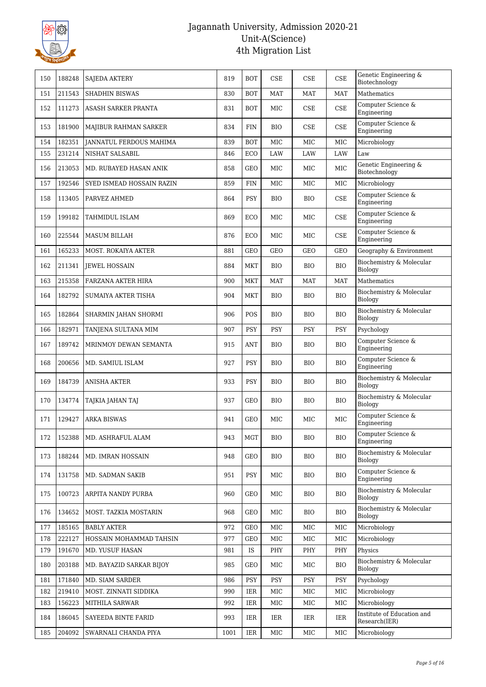

| 150 | 188248 | <b>SAJEDA AKTERY</b>           | 819  | <b>BOT</b>  | CSE        | CSE        | <b>CSE</b> | Genetic Engineering &<br>Biotechnology      |
|-----|--------|--------------------------------|------|-------------|------------|------------|------------|---------------------------------------------|
| 151 | 211543 | <b>SHADHIN BISWAS</b>          | 830  | <b>BOT</b>  | <b>MAT</b> | <b>MAT</b> | <b>MAT</b> | Mathematics                                 |
| 152 | 111273 | ASASH SARKER PRANTA            | 831  | <b>BOT</b>  | MIC        | <b>CSE</b> | <b>CSE</b> | Computer Science &<br>Engineering           |
| 153 | 181900 | MAJIBUR RAHMAN SARKER          | 834  | <b>FIN</b>  | <b>BIO</b> | <b>CSE</b> | <b>CSE</b> | Computer Science &<br>Engineering           |
| 154 | 182351 | <b>JANNATUL FERDOUS MAHIMA</b> | 839  | <b>BOT</b>  | MIC        | MIC        | MIC        | Microbiology                                |
| 155 | 231214 | NISHAT SALSABIL                | 846  | ECO         | LAW        | LAW        | <b>LAW</b> | Law                                         |
| 156 | 213053 | MD. RUBAYED HASAN ANIK         | 858  | <b>GEO</b>  | MIC        | MIC        | MIC        | Genetic Engineering &<br>Biotechnology      |
| 157 | 192546 | SYED ISMEAD HOSSAIN RAZIN      | 859  | ${\rm FIN}$ | MIC        | MIC        | MIC        | Microbiology                                |
| 158 | 113405 | PARVEZ AHMED                   | 864  | <b>PSY</b>  | BIO        | BIO        | <b>CSE</b> | Computer Science &<br>Engineering           |
| 159 | 199182 | <b>TAHMIDUL ISLAM</b>          | 869  | <b>ECO</b>  | MIC        | MIC        | <b>CSE</b> | Computer Science &<br>Engineering           |
| 160 | 225544 | <b>MASUM BILLAH</b>            | 876  | ECO         | MIC        | MIC        | <b>CSE</b> | Computer Science &<br>Engineering           |
| 161 | 165233 | <b>MOST. ROKAIYA AKTER</b>     | 881  | <b>GEO</b>  | <b>GEO</b> | GEO        | GEO        | Geography & Environment                     |
| 162 | 211341 | <b>IEWEL HOSSAIN</b>           | 884  | MKT         | <b>BIO</b> | <b>BIO</b> | <b>BIO</b> | Biochemistry & Molecular<br>Biology         |
| 163 | 215358 | <b>FARZANA AKTER HIRA</b>      | 900  | <b>MKT</b>  | MAT        | <b>MAT</b> | <b>MAT</b> | Mathematics                                 |
| 164 | 182792 | SUMAIYA AKTER TISHA            | 904  | <b>MKT</b>  | <b>BIO</b> | <b>BIO</b> | <b>BIO</b> | Biochemistry & Molecular<br>Biology         |
| 165 | 182864 | SHARMIN JAHAN SHORMI           | 906  | POS         | <b>BIO</b> | BIO        | <b>BIO</b> | Biochemistry & Molecular<br>Biology         |
| 166 | 182971 | TANJENA SULTANA MIM            | 907  | <b>PSY</b>  | <b>PSY</b> | <b>PSY</b> | <b>PSY</b> | Psychology                                  |
| 167 | 189742 | MRINMOY DEWAN SEMANTA          | 915  | <b>ANT</b>  | <b>BIO</b> | <b>BIO</b> | <b>BIO</b> | Computer Science &<br>Engineering           |
| 168 | 200656 | MD. SAMIUL ISLAM               | 927  | <b>PSY</b>  | <b>BIO</b> | BIO        | <b>BIO</b> | Computer Science &<br>Engineering           |
| 169 | 184739 | <b>ANISHA AKTER</b>            | 933  | <b>PSY</b>  | BIO        | BIO        | <b>BIO</b> | Biochemistry & Molecular<br>Biology         |
| 170 | 134774 | TAJKIA JAHAN TAJ               | 937  | <b>GEO</b>  | <b>BIO</b> | <b>BIO</b> | <b>BIO</b> | Biochemistry & Molecular<br>Biology         |
| 171 | 129427 | <b>ARKA BISWAS</b>             | 941  | <b>GEO</b>  | <b>MIC</b> | <b>MIC</b> | MIC        | Computer Science &<br>Engineering           |
| 172 | 152388 | MD. ASHRAFUL ALAM              | 943  | MGT         | <b>BIO</b> | <b>BIO</b> | <b>BIO</b> | Computer Science $\&$<br>Engineering        |
| 173 | 188244 | MD. IMRAN HOSSAIN              | 948  | GEO         | BIO        | BIO        | <b>BIO</b> | Biochemistry & Molecular<br>Biology         |
| 174 | 131758 | MD. SADMAN SAKIB               | 951  | <b>PSY</b>  | MIC        | BIO        | <b>BIO</b> | Computer Science &<br>Engineering           |
| 175 | 100723 | ARPITA NANDY PURBA             | 960  | GEO         | MIC        | BIO        | <b>BIO</b> | Biochemistry & Molecular<br>Biology         |
| 176 | 134652 | MOST. TAZKIA MOSTARIN          | 968  | GEO         | MIC        | <b>BIO</b> | <b>BIO</b> | Biochemistry & Molecular<br>Biology         |
| 177 | 185165 | <b>BABLY AKTER</b>             | 972  | GEO         | MIC        | MIC        | MIC        | Microbiology                                |
| 178 | 222127 | HOSSAIN MOHAMMAD TAHSIN        | 977  | GEO         | MIC        | MIC        | MIC        | Microbiology                                |
| 179 | 191670 | MD. YUSUF HASAN                | 981  | IS          | PHY        | PHY        | PHY        | Physics                                     |
| 180 | 203188 | MD. BAYAZID SARKAR BIJOY       | 985  | GEO         | MIC        | MIC        | <b>BIO</b> | Biochemistry & Molecular<br>Biology         |
| 181 | 171840 | MD. SIAM SARDER                | 986  | <b>PSY</b>  | PSY        | PSY        | PSY        | Psychology                                  |
| 182 | 219410 | MOST. ZINNATI SIDDIKA          | 990  | IER         | MIC        | MIC        | MIC        | Microbiology                                |
| 183 | 156223 | MITHILA SARWAR                 | 992  | IER         | MIC        | MIC        | MIC        | Microbiology                                |
| 184 | 186045 | SAYEEDA BINTE FARID            | 993  | IER         | IER        | IER        | IER        | Institute of Education and<br>Research(IER) |
| 185 | 204092 | SWARNALI CHANDA PIYA           | 1001 | IER         | MIC        | MIC        | MIC        | Microbiology                                |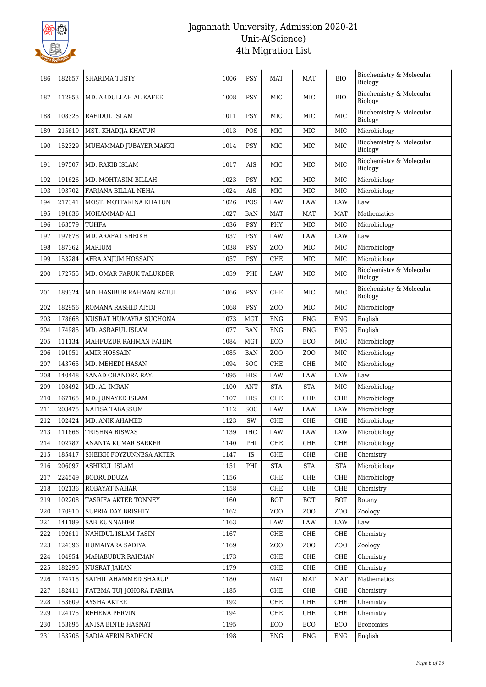

| 186 | 182657 | <b>SHARIMA TUSTY</b>     | 1006 | <b>PSY</b> | MAT             | MAT             | <b>BIO</b>       | Biochemistry & Molecular<br>Biology |
|-----|--------|--------------------------|------|------------|-----------------|-----------------|------------------|-------------------------------------|
| 187 | 112953 | MD. ABDULLAH AL KAFEE    | 1008 | <b>PSY</b> | MIC             | MIC             | <b>BIO</b>       | Biochemistry & Molecular<br>Biology |
| 188 | 108325 | RAFIDUL ISLAM            | 1011 | <b>PSY</b> | MIC             | MIC             | $_{\rm MIC}$     | Biochemistry & Molecular<br>Biology |
| 189 | 215619 | MST. KHADIJA KHATUN      | 1013 | POS        | MIC             | MIC             | MIC              | Microbiology                        |
| 190 | 152329 | MUHAMMAD JUBAYER MAKKI   | 1014 | <b>PSY</b> | MIC             | MIC             | MIC              | Biochemistry & Molecular<br>Biology |
| 191 | 197507 | MD. RAKIB ISLAM          | 1017 | AIS        | MIC             | MIC             | $_{\rm MIC}$     | Biochemistry & Molecular<br>Biology |
| 192 | 191626 | MD. MOHTASIM BILLAH      | 1023 | <b>PSY</b> | MIC             | $_{\rm MIC}$    | $_{\rm MIC}$     | Microbiology                        |
| 193 | 193702 | FARJANA BILLAL NEHA      | 1024 | <b>AIS</b> | MIC             | MIC             | MIC              | Microbiology                        |
| 194 | 217341 | MOST. MOTTAKINA KHATUN   | 1026 | POS        | <b>LAW</b>      | <b>LAW</b>      | <b>LAW</b>       | Law                                 |
| 195 | 191636 | MOHAMMAD ALI             | 1027 | <b>BAN</b> | MAT             | <b>MAT</b>      | MAT              | Mathematics                         |
| 196 | 163579 | <b>TUHFA</b>             | 1036 | <b>PSY</b> | PHY             | MIC             | MIC              | Microbiology                        |
| 197 | 197878 | MD. ARAFAT SHEIKH        | 1037 | <b>PSY</b> | LAW             | LAW             | LAW              | Law                                 |
| 198 | 187362 | <b>MARIUM</b>            | 1038 | <b>PSY</b> | ZOO             | $_{\rm MIC}$    | $_{\rm MIC}$     | Microbiology                        |
| 199 | 153284 | AFRA ANJUM HOSSAIN       | 1057 | <b>PSY</b> | <b>CHE</b>      | MIC             | $_{\rm MIC}$     | Microbiology                        |
| 200 | 172755 | MD. OMAR FARUK TALUKDER  | 1059 | PHI        | LAW             | MIC             | MIC              | Biochemistry & Molecular<br>Biology |
| 201 | 189324 | MD. HASIBUR RAHMAN RATUL | 1066 | <b>PSY</b> | CHE             | MIC             | MIC              | Biochemistry & Molecular<br>Biology |
| 202 | 182956 | ROMANA RASHID AIYDI      | 1068 | <b>PSY</b> | ZO <sub>O</sub> | MIC             | $_{\rm MIC}$     | Microbiology                        |
| 203 | 178668 | NUSRAT HUMAYRA SUCHONA   | 1073 | <b>MGT</b> | <b>ENG</b>      | <b>ENG</b>      | ${\rm ENG}$      | English                             |
| 204 | 174985 | MD. ASRAFUL ISLAM        | 1077 | <b>BAN</b> | ENG             | <b>ENG</b>      | ENG              | English                             |
| 205 | 111134 | MAHFUZUR RAHMAN FAHIM    | 1084 | <b>MGT</b> | ECO             | ECO             | MIC              | Microbiology                        |
| 206 | 191051 | <b>AMIR HOSSAIN</b>      | 1085 | <b>BAN</b> | ZO <sub>O</sub> | Z <sub>0</sub>  | MIC              | Microbiology                        |
| 207 | 143765 | MD. MEHEDI HASAN         | 1094 | SOC        | <b>CHE</b>      | CHE             | $_{\rm MIC}$     | Microbiology                        |
| 208 | 140448 | SANAD CHANDRA RAY.       | 1095 | <b>HIS</b> | <b>LAW</b>      | <b>LAW</b>      | <b>LAW</b>       | Law                                 |
| 209 | 103492 | MD. AL IMRAN             | 1100 | ANT        | <b>STA</b>      | <b>STA</b>      | MIC              | Microbiology                        |
| 210 | 167165 | MD. JUNAYED ISLAM        | 1107 | <b>HIS</b> | <b>CHE</b>      | CHE             | ${\rm CHE}$      | Microbiology                        |
| 211 | 203475 | <b>NAFISA TABASSUM</b>   | 1112 | SOC        | LAW             | LAW             | LAW              | Microbiology                        |
| 212 | 102424 | MD. ANIK AHAMED          | 1123 | SW         | <b>CHE</b>      | CHE             | CHE              | Microbiology                        |
| 213 | 111866 | TRISHNA BISWAS           | 1139 | <b>IHC</b> | LAW             | LAW             | LAW              | Microbiology                        |
| 214 | 102787 | ANANTA KUMAR SARKER      | 1140 | PHI        | CHE             | CHE             | CHE              | Microbiology                        |
| 215 | 185417 | SHEIKH FOYZUNNESA AKTER  | 1147 | IS         | CHE             | CHE             | CHE              | Chemistry                           |
| 216 | 206097 | ASHIKUL ISLAM            | 1151 | PHI        | <b>STA</b>      | STA             | <b>STA</b>       | Microbiology                        |
| 217 | 224549 | BODRUDDUZA               | 1156 |            | CHE             | CHE             | CHE              | Microbiology                        |
| 218 | 102136 | ROBAYAT NAHAR            | 1158 |            | CHE             | ${\rm CHE}$     | CHE              | Chemistry                           |
| 219 | 102208 | TASRIFA AKTER TONNEY     | 1160 |            | <b>BOT</b>      | <b>BOT</b>      | <b>BOT</b>       | Botany                              |
| 220 | 170910 | SUPRIA DAY BRISHTY       | 1162 |            | ZOO             | ZO <sub>O</sub> | Z <sub>O</sub> O | Zoology                             |
| 221 | 141189 | SABIKUNNAHER             | 1163 |            | LAW             | LAW             | LAW              | Law                                 |
| 222 | 192611 | NAHIDUL ISLAM TASIN      | 1167 |            | CHE             | CHE             | CHE              | Chemistry                           |
| 223 | 124396 | HUMAIYARA SADIYA         | 1169 |            | ZOO             | Z <sub>0</sub>  | ZOO              | Zoology                             |
| 224 | 104954 | MAHABUBUR RAHMAN         | 1173 |            | CHE             | CHE             | CHE              | Chemistry                           |
| 225 | 182295 | NUSRAT JAHAN             | 1179 |            | CHE             | CHE             | CHE              | Chemistry                           |
| 226 | 174718 | SATHIL AHAMMED SHARUP    | 1180 |            | MAT             | <b>MAT</b>      | <b>MAT</b>       | Mathematics                         |
| 227 | 182411 | FATEMA TUJ JOHORA FARIHA | 1185 |            | CHE             | CHE             | CHE              | Chemistry                           |
| 228 | 153609 | <b>AYSHA AKTER</b>       | 1192 |            | CHE             | CHE             | CHE              | Chemistry                           |
| 229 | 124175 | REHENA PERVIN            | 1194 |            | CHE             | CHE             | CHE              | Chemistry                           |
| 230 | 153695 | ANISA BINTE HASNAT       | 1195 |            | ECO             | ECO             | ECO              | Economics                           |
| 231 | 153706 | SADIA AFRIN BADHON       | 1198 |            | <b>ENG</b>      | <b>ENG</b>      | ENG              | English                             |
|     |        |                          |      |            |                 |                 |                  |                                     |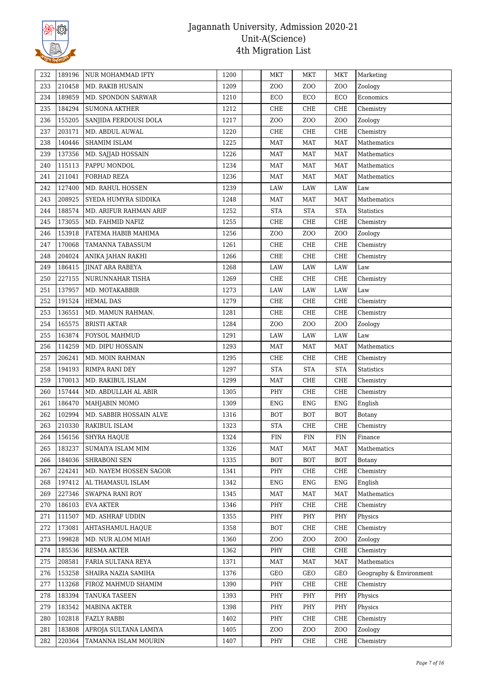

| 232        | 189196 | NUR MOHAMMAD IFTY       | 1200         | MKT                  | MKT                  | MKT                  | Marketing               |
|------------|--------|-------------------------|--------------|----------------------|----------------------|----------------------|-------------------------|
| 233        | 210458 | MD. RAKIB HUSAIN        | 1209         | ZOO                  | Z <sub>0</sub>       | ZOO                  | Zoology                 |
| 234        | 189859 | MD. SPONDON SARWAR      | 1210         | ECO                  | ECO                  | ECO                  | Economics               |
| 235        | 184294 | <b>SUMONA AKTHER</b>    | 1212         | CHE                  | CHE                  | CHE                  | Chemistry               |
| 236        | 155205 | SANJIDA FERDOUSI DOLA   | 1217         | ZOO                  | Z <sub>O</sub> O     | Z <sub>O</sub> O     | Zoology                 |
| 237        | 203171 | MD. ABDUL AUWAL         | 1220         | CHE                  | CHE                  | CHE                  | Chemistry               |
| 238        | 140446 | <b>SHAMIM ISLAM</b>     | 1225         | <b>MAT</b>           | <b>MAT</b>           | <b>MAT</b>           | Mathematics             |
| 239        | 137356 | MD. SAJJAD HOSSAIN      |              |                      | <b>MAT</b>           | <b>MAT</b>           |                         |
|            | 115113 | PAPPU MONDOL            | 1226<br>1234 | MAT<br><b>MAT</b>    | <b>MAT</b>           |                      | Mathematics             |
| 240        |        |                         |              |                      |                      | MAT                  | Mathematics             |
| 241<br>242 | 211041 | FORHAD REZA             | 1236         | MAT                  | <b>MAT</b>           | MAT                  | Mathematics             |
|            | 127400 | MD. RAHUL HOSSEN        | 1239         | LAW                  | LAW                  | LAW                  | Law                     |
| 243        | 208925 | SYEDA HUMYRA SIDDIKA    | 1248         | <b>MAT</b>           | <b>MAT</b>           | <b>MAT</b>           | Mathematics             |
| 244        | 188574 | MD. ARIFUR RAHMAN ARIF  | 1252         | <b>STA</b>           | <b>STA</b>           | <b>STA</b>           | Statistics              |
| 245        | 173055 | MD. FAHMID NAFIZ        | 1255         | CHE                  | CHE                  | CHE                  | Chemistry               |
| 246        | 153918 | FATEMA HABIB MAHIMA     | 1256         | ZOO                  | Z <sub>O</sub> O     | Z <sub>O</sub> O     | Zoology                 |
| 247        | 170068 | TAMANNA TABASSUM        | 1261         | CHE                  | CHE                  | CHE                  | Chemistry               |
| 248        | 204024 | ANIKA JAHAN RAKHI       | 1266         | CHE                  | CHE                  | CHE                  | Chemistry               |
| 249        | 186415 | <b>JINAT ARA RABEYA</b> | 1268         | LAW                  | LAW                  | $\rm LAW$            | Law                     |
| 250        | 227155 | NURUNNAHAR TISHA        | 1269         | CHE                  | CHE                  | CHE                  | Chemistry               |
| 251        | 137957 | MD. MOTAKABBIR          | 1273         | LAW                  | LAW                  | LAW                  | Law                     |
| 252        | 191524 | <b>HEMAL DAS</b>        | 1279         | CHE                  | CHE                  | CHE                  | Chemistry               |
| 253        | 136551 | MD. MAMUN RAHMAN.       | 1281         | CHE                  | CHE                  | CHE                  | Chemistry               |
| 254        | 165575 | <b>BRISTI AKTAR</b>     | 1284         | ZOO                  | Z <sub>O</sub> O     | Z <sub>O</sub> O     | Zoology                 |
| 255        | 163874 | FOYSOL MAHMUD           | 1291         | LAW                  | LAW                  | LAW                  | Law                     |
| 256        | 114259 | MD. DIPU HOSSAIN        | 1293         | <b>MAT</b>           | <b>MAT</b>           | <b>MAT</b>           | Mathematics             |
| 257        | 206241 | MD. MOIN RAHMAN         | 1295         | CHE                  | CHE                  | CHE                  | Chemistry               |
| 258        | 194193 | RIMPA RANI DEY          | 1297         | $\operatorname{STA}$ | $\operatorname{STA}$ | $\operatorname{STA}$ | Statistics              |
| 259        | 170013 | MD. RAKIBUL ISLAM       | 1299         | <b>MAT</b>           | CHE                  | CHE                  | Chemistry               |
| 260        | 157444 | MD. ABDULLAH AL ABIR    | 1305         | PHY                  | CHE                  | CHE                  | Chemistry               |
| 261        | 186470 | MAHJABIN MOMO           | 1309         | <b>ENG</b>           | <b>ENG</b>           | <b>ENG</b>           | English                 |
| 262        | 102994 | MD. SABBIR HOSSAIN ALVE | 1316         | <b>BOT</b>           | <b>BOT</b>           | <b>BOT</b>           | <b>Botany</b>           |
| 263        | 210330 | RAKIBUL ISLAM           | 1323         | <b>STA</b>           | CHE                  | CHE                  | Chemistry               |
| 264        | 156156 | SHYRA HAQUE             | 1324         | <b>FIN</b>           | <b>FIN</b>           | FIN                  | Finance                 |
| 265        | 183237 | SUMAIYA ISLAM MIM       | 1326         | MAT                  | <b>MAT</b>           | <b>MAT</b>           | Mathematics             |
| 266        | 184036 | SHRABONI SEN            | 1335         | <b>BOT</b>           | <b>BOT</b>           | BOT                  | Botany                  |
| 267        | 224241 | MD. NAYEM HOSSEN SAGOR  | 1341         | PHY                  | CHE                  | CHE                  | Chemistry               |
| 268        | 197412 | AL THAMASUL ISLAM       | 1342         | <b>ENG</b>           | <b>ENG</b>           | <b>ENG</b>           | English                 |
| 269        | 227346 | SWAPNA RANI ROY         | 1345         | MAT                  | MAT                  | MAT                  | Mathematics             |
| 270        | 186103 | <b>EVA AKTER</b>        | 1346         | PHY                  | CHE                  | CHE                  | Chemistry               |
| 271        | 111507 | MD. ASHRAF UDDIN        | 1355         | PHY                  | PHY                  | PHY                  | Physics                 |
| 272        | 173081 | <b>AHTASHAMUL HAQUE</b> | 1358         | <b>BOT</b>           | CHE                  | CHE                  | Chemistry               |
| 273        | 199828 | MD. NUR ALOM MIAH       | 1360         | ZOO                  | Z <sub>O</sub> O     | Z <sub>O</sub> O     | Zoology                 |
| 274        | 185536 | RESMA AKTER             | 1362         | PHY                  | CHE                  | CHE                  | Chemistry               |
| 275        | 208581 | FARIA SULTANA REYA      | 1371         | <b>MAT</b>           | <b>MAT</b>           | MAT                  | Mathematics             |
| 276        | 153258 | SHAIRA NAZIA SAMIHA     | 1376         | GEO                  | GEO                  | GEO                  | Geography & Environment |
| 277        | 113268 | FIROZ MAHMUD SHAMIM     | 1390         | PHY                  | CHE                  | CHE                  | Chemistry               |
| 278        | 183394 | <b>TANUKA TASEEN</b>    | 1393         | PHY                  | PHY                  | PHY                  | Physics                 |
| 279        | 183542 | MABINA AKTER            | 1398         | PHY                  | PHY                  | PHY                  | Physics                 |
| 280        | 102818 | <b>FAZLY RABBI</b>      | 1402         | PHY                  | CHE                  | CHE                  | Chemistry               |
| 281        | 183808 | AFROJA SULTANA LAMIYA   | 1405         | ZOO                  | Z <sub>O</sub> O     | Z <sub>O</sub> O     | Zoology                 |
| 282        | 220364 | TAMANNA ISLAM MOURIN    | 1407         | PHY                  | CHE                  | CHE                  | Chemistry               |
|            |        |                         |              |                      |                      |                      |                         |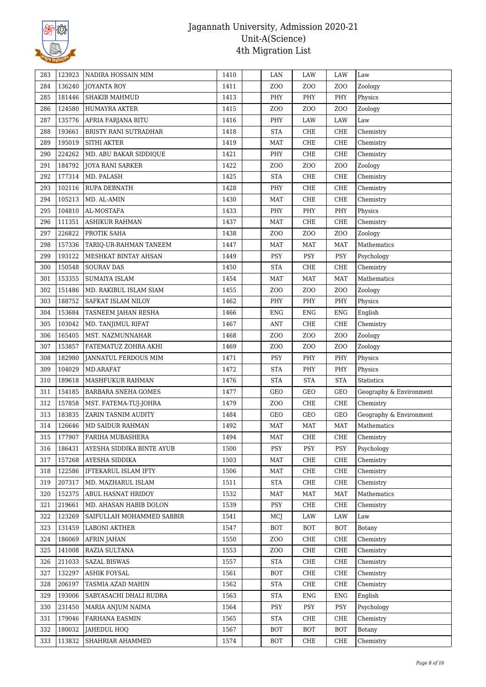

|               | NADIRA HOSSAIN MIM           | 1410 | LAN                  | LAW              | LAW              | Law                     |
|---------------|------------------------------|------|----------------------|------------------|------------------|-------------------------|
| 136240<br>284 | <b>JOYANTA ROY</b>           | 1411 | ZOO                  | Z <sub>0</sub>   | ZOO              | Zoology                 |
| 181446<br>285 | <b>SHAKIB MAHMUD</b>         | 1413 | PHY                  | PHY              | PHY              | Physics                 |
| 124580<br>286 | HUMAYRA AKTER                | 1415 | ZOO                  | Z <sub>O</sub> O | Z <sub>O</sub> O | Zoology                 |
| 135776<br>287 | AFRIA FARJANA RITU           | 1416 | PHY                  | LAW              | LAW              | Law                     |
| 193661<br>288 | <b>BRISTY RANI SUTRADHAR</b> | 1418 | <b>STA</b>           | ${\rm CHE}$      | CHE              | Chemistry               |
| 195019<br>289 | <b>SITHI AKTER</b>           | 1419 | <b>MAT</b>           | CHE              | ${\rm CHE}$      | Chemistry               |
| 224262<br>290 | MD. ABU BAKAR SIDDIQUE       | 1421 | PHY                  | ${\rm CHE}$      | CHE              | Chemistry               |
| 184792<br>291 | <b>JOYA RANI SARKER</b>      | 1422 | ZOO                  | Z <sub>O</sub> O | Z <sub>O</sub> O | Zoology                 |
| 177314<br>292 | MD. PALASH                   | 1425 | <b>STA</b>           | CHE              | CHE              | Chemistry               |
| 102116<br>293 | RUPA DEBNATH                 | 1428 | PHY                  | ${\rm CHE}$      | CHE              | Chemistry               |
| 105213<br>294 | MD. AL-AMIN                  | 1430 | <b>MAT</b>           | CHE              | CHE              | Chemistry               |
| 104810<br>295 | AL-MOSTAFA                   | 1433 | PHY                  | PHY              | PHY              | Physics                 |
| 111351<br>296 | <b>ASHIKUR RAHMAN</b>        | 1437 | <b>MAT</b>           | ${\rm CHE}$      | CHE              | Chemistry               |
| 226822<br>297 | PROTIK SAHA                  | 1438 | ZOO                  | Z <sub>O</sub> O | Z <sub>O</sub> O | Zoology                 |
| 298<br>157336 | TARIQ-UR-RAHMAN TANEEM       | 1447 | <b>MAT</b>           | <b>MAT</b>       | <b>MAT</b>       | Mathematics             |
| 193122<br>299 | MESHKAT BINTAY AHSAN         | 1449 | PSY                  | <b>PSY</b>       | PSY              | Psychology              |
| 150548<br>300 | <b>SOURAV DAS</b>            | 1450 | <b>STA</b>           | CHE              | CHE              | Chemistry               |
| 153355<br>301 | <b>SUMAIYA ISLAM</b>         | 1454 | MAT                  | MAT              | MAT              | Mathematics             |
| 302<br>151486 | MD. RAKIBUL ISLAM SIAM       | 1455 | ZOO                  | Z <sub>0</sub>   | Z <sub>O</sub> O | Zoology                 |
| 188752<br>303 | SAFKAT ISLAM NILOY           | 1462 | PHY                  | PHY              | PHY              | Physics                 |
| 153684<br>304 | TASNEEM JAHAN RESHA          | 1466 | <b>ENG</b>           | <b>ENG</b>       | <b>ENG</b>       | English                 |
| 103042<br>305 | MD. TANJIMUL RIFAT           | 1467 | <b>ANT</b>           | CHE              | CHE              | Chemistry               |
| 165405<br>306 | MST. NAZMUNNAHAR             | 1468 | ZOO                  | Z <sub>O</sub> O | Z <sub>O</sub> O | Zoology                 |
| 307<br>153857 | FATEMATUZ ZOHRA AKHI         | 1469 | ZOO                  | Z <sub>0</sub>   | ZOO              | Zoology                 |
| 182980<br>308 | JANNATUL FERDOUS MIM         | 1471 | PSY                  | PHY              | PHY              | Physics                 |
| 104029<br>309 | MD.ARAFAT                    | 1472 | <b>STA</b>           | PHY              | PHY              | Physics                 |
| 189618<br>310 | MASHFUKUR RAHMAN             | 1476 | <b>STA</b>           | <b>STA</b>       | <b>STA</b>       | <b>Statistics</b>       |
| 154185<br>311 | BARBARA SNEHA GOMES          | 1477 | GEO                  | GEO              | GEO              | Geography & Environment |
| 157858<br>312 | MST. FATEMA-TUJ-JOHRA        | 1479 | ZOO                  | CHE              | CHE              | Chemistry               |
| 183835<br>313 | ZARIN TASNIM AUDITY          | 1484 | GEO                  | GEO              | GEO              | Geography & Environment |
| 314<br>126646 | <b>MD SAIDUR RAHMAN</b>      | 1492 | <b>MAT</b>           | <b>MAT</b>       | <b>MAT</b>       | Mathematics             |
| 315<br>177907 | FARIHA MUBASHERA             | 1494 | <b>MAT</b>           | CHE              | CHE              | Chemistry               |
| 316<br>186431 | AYESHA SIDDIKA BINTE AYUB    | 1500 | PSY                  | PSY              | PSY              | Psychology              |
| 157268<br>317 | AYESHA SIDDIKA               | 1503 | <b>MAT</b>           | CHE              | CHE              | Chemistry               |
| 122586<br>318 | IFTEKARUL ISLAM IFTY         | 1506 | <b>MAT</b>           | CHE              | CHE              | Chemistry               |
| 207317<br>319 | MD. MAZHARUL ISLAM           | 1511 | $\operatorname{STA}$ | ${\rm CHE}$      | CHE              | Chemistry               |
| 152375<br>320 | ABUL HASNAT HRIDOY           | 1532 | <b>MAT</b>           | MAT              | MAT              | Mathematics             |
| 219661<br>321 | MD. AHASAN HABIB DOLON       | 1539 | PSY                  | CHE              | CHE              | Chemistry               |
| 322<br>123269 | SAIFULLAH MOHAMMED SABBIR    | 1541 | MCJ                  | LAW              | LAW              | Law                     |
| 131459<br>323 | <b>LABONI AKTHER</b>         | 1547 | <b>BOT</b>           | <b>BOT</b>       | <b>BOT</b>       | Botany                  |
| 186069<br>324 | <b>AFRIN JAHAN</b>           | 1550 | ZOO                  | CHE              | CHE              | Chemistry               |
| 141008<br>325 | RAZIA SULTANA                | 1553 | ZOO                  | CHE              | CHE              | Chemistry               |
| 211033<br>326 | <b>SAZAL BISWAS</b>          | 1557 | <b>STA</b>           | CHE              | CHE              | Chemistry               |
| 132297<br>327 | ASHIK FOYSAL                 | 1561 | <b>BOT</b>           | CHE              | CHE              | Chemistry               |
| 206197<br>328 | TASMIA AZAD MAHIN            | 1562 | <b>STA</b>           | CHE              | CHE              | Chemistry               |
| 193006<br>329 | SABYASACHI DHALI RUDRA       | 1563 | <b>STA</b>           | <b>ENG</b>       | <b>ENG</b>       | English                 |
| 231450<br>330 | MARIA ANJUM NAIMA            | 1564 | PSY                  | PSY              | PSY              | Psychology              |
| 179046<br>331 | FARHANA EASMIN               | 1565 | <b>STA</b>           | CHE              | CHE              | Chemistry               |
| 180032<br>332 | JAHEDUL HOQ                  | 1567 | <b>BOT</b>           | <b>BOT</b>       | <b>BOT</b>       | Botany                  |
| 113832<br>333 | SHAHRIAR AHAMMED             | 1574 | BOT                  | CHE              | CHE              | Chemistry               |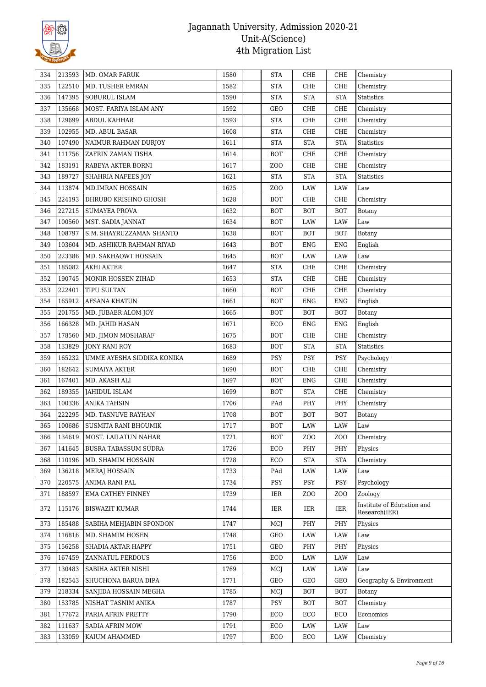

| 334 | 213593 | MD. OMAR FARUK             | 1580 | <b>STA</b>      | CHE                  | CHE              | Chemistry                                   |
|-----|--------|----------------------------|------|-----------------|----------------------|------------------|---------------------------------------------|
| 335 | 122510 | MD. TUSHER EMRAN           | 1582 | <b>STA</b>      | CHE                  | CHE              | Chemistry                                   |
| 336 | 147395 | <b>SOBURUL ISLAM</b>       | 1590 | <b>STA</b>      | <b>STA</b>           | <b>STA</b>       | <b>Statistics</b>                           |
| 337 | 135668 | MOST. FARIYA ISLAM ANY     | 1592 | GEO             | CHE                  | CHE              | Chemistry                                   |
| 338 | 129699 | <b>ABDUL KAHHAR</b>        | 1593 | <b>STA</b>      | CHE                  | CHE              | Chemistry                                   |
| 339 | 102955 | MD. ABUL BASAR             | 1608 | <b>STA</b>      | CHE                  | CHE              | Chemistry                                   |
| 340 | 107490 | NAIMUR RAHMAN DURJOY       | 1611 | <b>STA</b>      | $\operatorname{STA}$ | <b>STA</b>       | Statistics                                  |
| 341 | 111756 | ZAFRIN ZAMAN TISHA         | 1614 | <b>BOT</b>      | ${\rm CHE}$          | ${\rm CHE}$      | Chemistry                                   |
| 342 | 183191 | RABEYA AKTER BORNI         | 1617 | ZOO             | CHE                  | CHE              | Chemistry                                   |
| 343 | 189727 | SHAHRIA NAFEES JOY         | 1621 | <b>STA</b>      | <b>STA</b>           | <b>STA</b>       | Statistics                                  |
| 344 | 113874 | MD.IMRAN HOSSAIN           | 1625 | ZO <sub>O</sub> | LAW                  | LAW              | Law                                         |
| 345 | 224193 | DHRUBO KRISHNO GHOSH       | 1628 | <b>BOT</b>      | CHE                  | CHE              | Chemistry                                   |
| 346 | 227215 | <b>SUMAYEA PROVA</b>       | 1632 | <b>BOT</b>      | <b>BOT</b>           | <b>BOT</b>       | Botany                                      |
| 347 | 100560 | MST. SADIA JANNAT          | 1634 | <b>BOT</b>      | LAW                  | LAW              | Law                                         |
| 348 | 108797 | S.M. SHAYRUZZAMAN SHANTO   | 1638 | <b>BOT</b>      | <b>BOT</b>           | <b>BOT</b>       | <b>Botany</b>                               |
| 349 | 103604 | MD. ASHIKUR RAHMAN RIYAD   | 1643 | <b>BOT</b>      | <b>ENG</b>           | <b>ENG</b>       | English                                     |
| 350 | 223386 | MD. SAKHAOWT HOSSAIN       | 1645 | <b>BOT</b>      | LAW                  | LAW              | Law                                         |
| 351 | 185082 | <b>AKHI AKTER</b>          | 1647 | <b>STA</b>      | CHE                  | CHE              | Chemistry                                   |
| 352 | 190745 | MONIR HOSSEN ZIHAD         | 1653 | <b>STA</b>      | CHE                  | CHE              | Chemistry                                   |
| 353 | 222401 | TIPU SULTAN                | 1660 | <b>BOT</b>      | CHE                  | CHE              | Chemistry                                   |
| 354 | 165912 | <b>AFSANA KHATUN</b>       | 1661 | <b>BOT</b>      | ENG                  | <b>ENG</b>       | English                                     |
| 355 | 201755 | MD. JUBAER ALOM JOY        | 1665 | <b>BOT</b>      | <b>BOT</b>           | <b>BOT</b>       | <b>Botany</b>                               |
| 356 | 166328 | MD. JAHID HASAN            | 1671 | ECO             | <b>ENG</b>           | <b>ENG</b>       | English                                     |
| 357 | 178560 | MD. JIMON MOSHARAF         | 1675 | <b>BOT</b>      | CHE                  | CHE              | Chemistry                                   |
| 358 | 133829 | JONY RANI ROY              | 1683 | <b>BOT</b>      | <b>STA</b>           | <b>STA</b>       | <b>Statistics</b>                           |
| 359 | 165232 | UMME AYESHA SIDDIKA KONIKA | 1689 | PSY             | PSY                  | PSY              | Psychology                                  |
| 360 | 182642 | <b>SUMAIYA AKTER</b>       | 1690 | <b>BOT</b>      | CHE                  | CHE              | Chemistry                                   |
| 361 | 167401 | MD. AKASH ALI              | 1697 | <b>BOT</b>      | <b>ENG</b>           | CHE              | Chemistry                                   |
| 362 | 189355 | JAHIDUL ISLAM              | 1699 | BOT             | <b>STA</b>           | CHE              | Chemistry                                   |
| 363 | 100336 | <b>ANIKA TAHSIN</b>        | 1706 | PAd             | PHY                  | PHY              | Chemistry                                   |
| 364 | 222295 | MD. TASNUVE RAYHAN         | 1708 | <b>BOT</b>      | <b>BOT</b>           | <b>BOT</b>       | Botany                                      |
| 365 | 100686 | SUSMITA RANI BHOUMIK       | 1717 | <b>BOT</b>      | LAW                  | LAW              | $_{\mbox{\footnotesize{Law}}}$              |
| 366 | 134619 | MOST. LAILATUN NAHAR       | 1721 | BOT             | Z <sub>0</sub>       | ZOO              | Chemistry                                   |
| 367 | 141645 | BUSRA TABASSUM SUDRA       | 1726 | ECO             | PHY                  | PHY              | Physics                                     |
| 368 | 110196 | MD. SHAMIM HOSSAIN         | 1728 | ECO             | $\operatorname{STA}$ | <b>STA</b>       | Chemistry                                   |
| 369 | 136218 | <b>MERAJ HOSSAIN</b>       | 1733 | PAd             | LAW                  | LAW              | Law                                         |
| 370 | 220575 | ANIMA RANI PAL             | 1734 | PSY             | PSY                  | <b>PSY</b>       | Psychology                                  |
| 371 | 188597 | <b>EMA CATHEY FINNEY</b>   | 1739 | IER             | Z <sub>O</sub> O     | Z <sub>O</sub> O | Zoology                                     |
| 372 | 115176 | <b>BISWAZIT KUMAR</b>      | 1744 | IER             | IER                  | IER              | Institute of Education and<br>Research(IER) |
| 373 | 185488 | SABIHA MEHJABIN SPONDON    | 1747 | MCJ             | PHY                  | PHY              | Physics                                     |
| 374 | 116816 | MD. SHAMIM HOSEN           | 1748 | GEO             | LAW                  | LAW              | Law                                         |
| 375 | 156258 | SHADIA AKTAR HAPPY         | 1751 | GEO             | PHY                  | PHY              | Physics                                     |
| 376 | 167459 | ZANNATUL FERDOUS           | 1756 | ECO             | LAW                  | LAW              | Law                                         |
| 377 | 130483 | SABIHA AKTER NISHI         | 1769 | MCJ             | LAW                  | LAW              | Law                                         |
| 378 | 182543 | SHUCHONA BARUA DIPA        | 1771 | GEO             | GEO                  | GEO              | Geography & Environment                     |
| 379 | 218334 | SANJIDA HOSSAIN MEGHA      | 1785 | MCJ             | <b>BOT</b>           | <b>BOT</b>       | Botany                                      |
| 380 | 153785 | NISHAT TASNIM ANIKA        | 1787 | PSY             | <b>BOT</b>           | BOT              | Chemistry                                   |
| 381 | 177672 | FARIA AFRIN PRETTY         | 1790 | ECO             | ECO                  | ECO              | Economics                                   |
| 382 | 111637 | <b>SADIA AFRIN MOW</b>     | 1791 | ECO             | LAW                  | LAW              | Law                                         |
| 383 | 133059 | KAIUM AHAMMED              | 1797 | ECO             | ECO                  | LAW              | Chemistry                                   |
|     |        |                            |      |                 |                      |                  |                                             |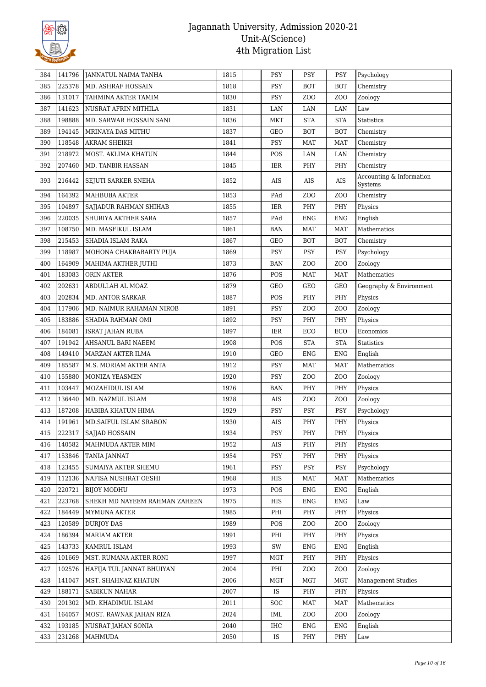

| 225378<br>385<br>MD. ASHRAF HOSSAIN<br>1818<br><b>PSY</b><br><b>BOT</b><br><b>BOT</b><br>Chemistry<br>386<br>131017<br>TAHMINA AKTER TAMIM<br>1830<br>PSY<br>Z <sub>O</sub> O<br>Z <sub>O</sub> O<br>Zoology<br>387<br>141623<br>NUSRAT AFRIN MITHILA<br>1831<br>LAN<br>LAN<br>LAN<br>Law<br>198888<br>388<br>MD. SARWAR HOSSAIN SANI<br>1836<br>MKT<br><b>STA</b><br><b>STA</b><br><b>Statistics</b><br>194145<br><b>BOT</b><br>389<br>MRINAYA DAS MITHU<br>1837<br>GEO<br><b>BOT</b><br>Chemistry<br>118548<br>390<br><b>AKRAM SHEIKH</b><br>1841<br>PSY<br><b>MAT</b><br><b>MAT</b><br>Chemistry<br>218972<br>POS<br>391<br>MOST. AKLIMA KHATUN<br>1844<br>LAN<br>LAN<br>Chemistry<br>207460<br>Chemistry<br>392<br><b>MD. TANBIR HASSAN</b><br>1845<br>IER<br>PHY<br>PHY<br>Accounting & Information<br>393<br>216442<br>1852<br>AIS<br>SEJUTI SARKER SNEHA<br>AIS<br>AIS<br>Systems<br>164392<br>Z <sub>0</sub><br>394<br><b>MAHBUBA AKTER</b><br>1853<br>PAd<br>Z <sub>0</sub><br>Chemistry<br>104897<br>PHY<br>395<br>SAJJADUR RAHMAN SHIHAB<br>1855<br>IER<br>PHY<br>Physics<br>220035<br>${\rm ENG}$<br>396<br>SHURIYA AKTHER SARA<br>1857<br>PAd<br><b>ENG</b><br>English<br>108750<br>397<br>MD. MASFIKUL ISLAM<br>1861<br><b>BAN</b><br><b>MAT</b><br><b>MAT</b><br>Mathematics<br>215453<br>1867<br>398<br>SHADIA ISLAM RAKA<br>GEO<br><b>BOT</b><br><b>BOT</b><br>Chemistry<br>118987<br>399<br>MOHONA CHAKRABARTY PUJA<br>1869<br>PSY<br>PSY<br><b>PSY</b><br>Psychology<br>164909<br>400<br>MAHIMA AKTHER JUTHI<br>1873<br><b>BAN</b><br>Z <sub>O</sub> O<br>ZO <sub>O</sub><br>Zoology<br>183083<br>401<br>ORIN AKTER<br>1876<br>POS<br><b>MAT</b><br><b>MAT</b><br>Mathematics<br>402<br>202631<br>ABDULLAH AL MOAZ<br>1879<br>GEO<br>GEO<br>GEO<br>Geography & Environment<br>202834<br>403<br><b>MD. ANTOR SARKAR</b><br>1887<br>POS<br>PHY<br>PHY<br>Physics<br>117906<br>Z <sub>0</sub><br>404<br>MD. NAIMUR RAHAMAN NIROB<br>1891<br><b>PSY</b><br>Z <sub>O</sub> O<br>Zoology<br>183886<br>1892<br>405<br>SHADIA RAHMAN OMI<br>PSY<br>PHY<br>PHY<br>Physics<br>184081<br>1897<br>ECO<br>406<br>IER<br>ECO<br>Economics<br>ISRAT JAHAN RUBA<br>191942<br>1908<br>POS<br><b>STA</b><br><b>STA</b><br>407<br>AHSANUL BARI NAEEM<br>Statistics<br>149410<br>408<br>MARZAN AKTER ILMA<br>1910<br>GEO<br><b>ENG</b><br><b>ENG</b><br>English<br>185587<br><b>PSY</b><br>409<br>M.S. MORIAM AKTER ANTA<br>1912<br><b>MAT</b><br><b>MAT</b><br>Mathematics<br>155880<br>PSY<br>Z <sub>0</sub><br>1920<br>Z <sub>O</sub> O<br>410<br>MONIZA YEASMEN<br>Zoology<br>103447<br>411<br>MOZAHIDUL ISLAM<br>1926<br>PHY<br>PHY<br>BAN<br>Physics<br>136440<br>412<br>MD. NAZMUL ISLAM<br>1928<br>AIS<br>Z <sub>O</sub> O<br>Z <sub>O</sub> O<br>Zoology<br>187208<br>PSY<br>413<br>HABIBA KHATUN HIMA<br>1929<br>PSY<br><b>PSY</b><br>Psychology<br>191961<br>PHY<br>414<br>MD. SAIFUL ISLAM SRABON<br>1930<br>AIS<br>PHY<br>Physics<br>222317<br><b>PSY</b><br>PHY<br>SAJJAD HOSSAIN<br>1934<br>$\ensuremath{\mathsf{PHY}}\xspace$<br>415<br>Physics<br>140582<br>MAHMUDA AKTER MIM<br>1952<br>AIS<br>PHY<br>PHY<br>Physics<br>416<br>417<br>153846<br><b>TANIA JANNAT</b><br>1954<br>PSY<br>PHY<br>PHY<br>Physics<br>SUMAIYA AKTER SHEMU<br>PSY<br>418<br>123455<br>1961<br>PSY<br><b>PSY</b><br>Psychology<br>112136<br>NAFISA NUSHRAT OESHI<br>1968<br><b>MAT</b><br><b>MAT</b><br>Mathematics<br>419<br>HIS<br>220721<br><b>BIJOY MODHU</b><br>1973<br>POS<br><b>ENG</b><br><b>ENG</b><br>English<br>420<br>223768<br>SHEKH MD NAYEEM RAHMAN ZAHEEN<br>1975<br>421<br>HIS<br>ENG<br>ENG<br>Law<br>184449<br>422<br>1985<br>PHI<br>PHY<br>PHY<br>Physics<br>MYMUNA AKTER<br>120589<br><b>DURJOY DAS</b><br>1989<br>POS<br>ZO <sub>O</sub><br>423<br>ZOO<br>Zoology<br>186394<br><b>MARIAM AKTER</b><br>1991<br>PHY<br>PHY<br>424<br>PHI<br>Physics<br>143733<br>KAMRUL ISLAM<br>425<br>1993<br>SW<br><b>ENG</b><br><b>ENG</b><br>English<br>101669<br>MST. RUMANA AKTER RONI<br>1997<br>PHY<br>PHY<br>426<br>MGT<br>Physics<br>102576<br>2004<br>PHI<br>ZOO<br>Z <sub>O</sub> O<br>Zoology<br>427<br>HAFIJA TUL JANNAT BHUIYAN<br>141047<br>MST. SHAHNAZ KHATUN<br>2006<br>MGT<br>MGT<br><b>MGT</b><br><b>Management Studies</b><br>428<br>188171<br>429<br><b>SABIKUN NAHAR</b><br>2007<br>IS<br>PHY<br>PHY<br>Physics<br>201302<br>430<br>MD. KHADIMUL ISLAM<br>2011<br><b>SOC</b><br>MAT<br><b>MAT</b><br>Mathematics<br>164057<br>MOST. RAWNAK JAHAN RIZA<br>2024<br>Z <sub>0</sub><br>Z <sub>O</sub> O<br>431<br>IML<br>Zoology<br>193185<br>NUSRAT JAHAN SONIA<br>2040<br>IHC<br>ENG<br><b>ENG</b><br>English<br>432<br>231268<br>433<br><b>MAHMUDA</b><br>2050<br>IS<br>PHY<br>PHY<br>Law | 384 | 141796 | JANNATUL NAIMA TANHA | 1815 | <b>PSY</b> | <b>PSY</b> | <b>PSY</b> | Psychology |
|---------------------------------------------------------------------------------------------------------------------------------------------------------------------------------------------------------------------------------------------------------------------------------------------------------------------------------------------------------------------------------------------------------------------------------------------------------------------------------------------------------------------------------------------------------------------------------------------------------------------------------------------------------------------------------------------------------------------------------------------------------------------------------------------------------------------------------------------------------------------------------------------------------------------------------------------------------------------------------------------------------------------------------------------------------------------------------------------------------------------------------------------------------------------------------------------------------------------------------------------------------------------------------------------------------------------------------------------------------------------------------------------------------------------------------------------------------------------------------------------------------------------------------------------------------------------------------------------------------------------------------------------------------------------------------------------------------------------------------------------------------------------------------------------------------------------------------------------------------------------------------------------------------------------------------------------------------------------------------------------------------------------------------------------------------------------------------------------------------------------------------------------------------------------------------------------------------------------------------------------------------------------------------------------------------------------------------------------------------------------------------------------------------------------------------------------------------------------------------------------------------------------------------------------------------------------------------------------------------------------------------------------------------------------------------------------------------------------------------------------------------------------------------------------------------------------------------------------------------------------------------------------------------------------------------------------------------------------------------------------------------------------------------------------------------------------------------------------------------------------------------------------------------------------------------------------------------------------------------------------------------------------------------------------------------------------------------------------------------------------------------------------------------------------------------------------------------------------------------------------------------------------------------------------------------------------------------------------------------------------------------------------------------------------------------------------------------------------------------------------------------------------------------------------------------------------------------------------------------------------------------------------------------------------------------------------------------------------------------------------------------------------------------------------------------------------------------------------------------------------------------------------------------------------------------------------------------------------------------------------------------------------------------------------------------------------------------------------------------------------------------------------------------------------------------------------------------------------------------------------------------------------------------------------------------------------------------------------------------------------------------------------------------------------------------------------------------------|-----|--------|----------------------|------|------------|------------|------------|------------|
|                                                                                                                                                                                                                                                                                                                                                                                                                                                                                                                                                                                                                                                                                                                                                                                                                                                                                                                                                                                                                                                                                                                                                                                                                                                                                                                                                                                                                                                                                                                                                                                                                                                                                                                                                                                                                                                                                                                                                                                                                                                                                                                                                                                                                                                                                                                                                                                                                                                                                                                                                                                                                                                                                                                                                                                                                                                                                                                                                                                                                                                                                                                                                                                                                                                                                                                                                                                                                                                                                                                                                                                                                                                                                                                                                                                                                                                                                                                                                                                                                                                                                                                                                                                                                                                                                                                                                                                                                                                                                                                                                                                                                                                                                                               |     |        |                      |      |            |            |            |            |
|                                                                                                                                                                                                                                                                                                                                                                                                                                                                                                                                                                                                                                                                                                                                                                                                                                                                                                                                                                                                                                                                                                                                                                                                                                                                                                                                                                                                                                                                                                                                                                                                                                                                                                                                                                                                                                                                                                                                                                                                                                                                                                                                                                                                                                                                                                                                                                                                                                                                                                                                                                                                                                                                                                                                                                                                                                                                                                                                                                                                                                                                                                                                                                                                                                                                                                                                                                                                                                                                                                                                                                                                                                                                                                                                                                                                                                                                                                                                                                                                                                                                                                                                                                                                                                                                                                                                                                                                                                                                                                                                                                                                                                                                                                               |     |        |                      |      |            |            |            |            |
|                                                                                                                                                                                                                                                                                                                                                                                                                                                                                                                                                                                                                                                                                                                                                                                                                                                                                                                                                                                                                                                                                                                                                                                                                                                                                                                                                                                                                                                                                                                                                                                                                                                                                                                                                                                                                                                                                                                                                                                                                                                                                                                                                                                                                                                                                                                                                                                                                                                                                                                                                                                                                                                                                                                                                                                                                                                                                                                                                                                                                                                                                                                                                                                                                                                                                                                                                                                                                                                                                                                                                                                                                                                                                                                                                                                                                                                                                                                                                                                                                                                                                                                                                                                                                                                                                                                                                                                                                                                                                                                                                                                                                                                                                                               |     |        |                      |      |            |            |            |            |
|                                                                                                                                                                                                                                                                                                                                                                                                                                                                                                                                                                                                                                                                                                                                                                                                                                                                                                                                                                                                                                                                                                                                                                                                                                                                                                                                                                                                                                                                                                                                                                                                                                                                                                                                                                                                                                                                                                                                                                                                                                                                                                                                                                                                                                                                                                                                                                                                                                                                                                                                                                                                                                                                                                                                                                                                                                                                                                                                                                                                                                                                                                                                                                                                                                                                                                                                                                                                                                                                                                                                                                                                                                                                                                                                                                                                                                                                                                                                                                                                                                                                                                                                                                                                                                                                                                                                                                                                                                                                                                                                                                                                                                                                                                               |     |        |                      |      |            |            |            |            |
|                                                                                                                                                                                                                                                                                                                                                                                                                                                                                                                                                                                                                                                                                                                                                                                                                                                                                                                                                                                                                                                                                                                                                                                                                                                                                                                                                                                                                                                                                                                                                                                                                                                                                                                                                                                                                                                                                                                                                                                                                                                                                                                                                                                                                                                                                                                                                                                                                                                                                                                                                                                                                                                                                                                                                                                                                                                                                                                                                                                                                                                                                                                                                                                                                                                                                                                                                                                                                                                                                                                                                                                                                                                                                                                                                                                                                                                                                                                                                                                                                                                                                                                                                                                                                                                                                                                                                                                                                                                                                                                                                                                                                                                                                                               |     |        |                      |      |            |            |            |            |
|                                                                                                                                                                                                                                                                                                                                                                                                                                                                                                                                                                                                                                                                                                                                                                                                                                                                                                                                                                                                                                                                                                                                                                                                                                                                                                                                                                                                                                                                                                                                                                                                                                                                                                                                                                                                                                                                                                                                                                                                                                                                                                                                                                                                                                                                                                                                                                                                                                                                                                                                                                                                                                                                                                                                                                                                                                                                                                                                                                                                                                                                                                                                                                                                                                                                                                                                                                                                                                                                                                                                                                                                                                                                                                                                                                                                                                                                                                                                                                                                                                                                                                                                                                                                                                                                                                                                                                                                                                                                                                                                                                                                                                                                                                               |     |        |                      |      |            |            |            |            |
|                                                                                                                                                                                                                                                                                                                                                                                                                                                                                                                                                                                                                                                                                                                                                                                                                                                                                                                                                                                                                                                                                                                                                                                                                                                                                                                                                                                                                                                                                                                                                                                                                                                                                                                                                                                                                                                                                                                                                                                                                                                                                                                                                                                                                                                                                                                                                                                                                                                                                                                                                                                                                                                                                                                                                                                                                                                                                                                                                                                                                                                                                                                                                                                                                                                                                                                                                                                                                                                                                                                                                                                                                                                                                                                                                                                                                                                                                                                                                                                                                                                                                                                                                                                                                                                                                                                                                                                                                                                                                                                                                                                                                                                                                                               |     |        |                      |      |            |            |            |            |
|                                                                                                                                                                                                                                                                                                                                                                                                                                                                                                                                                                                                                                                                                                                                                                                                                                                                                                                                                                                                                                                                                                                                                                                                                                                                                                                                                                                                                                                                                                                                                                                                                                                                                                                                                                                                                                                                                                                                                                                                                                                                                                                                                                                                                                                                                                                                                                                                                                                                                                                                                                                                                                                                                                                                                                                                                                                                                                                                                                                                                                                                                                                                                                                                                                                                                                                                                                                                                                                                                                                                                                                                                                                                                                                                                                                                                                                                                                                                                                                                                                                                                                                                                                                                                                                                                                                                                                                                                                                                                                                                                                                                                                                                                                               |     |        |                      |      |            |            |            |            |
|                                                                                                                                                                                                                                                                                                                                                                                                                                                                                                                                                                                                                                                                                                                                                                                                                                                                                                                                                                                                                                                                                                                                                                                                                                                                                                                                                                                                                                                                                                                                                                                                                                                                                                                                                                                                                                                                                                                                                                                                                                                                                                                                                                                                                                                                                                                                                                                                                                                                                                                                                                                                                                                                                                                                                                                                                                                                                                                                                                                                                                                                                                                                                                                                                                                                                                                                                                                                                                                                                                                                                                                                                                                                                                                                                                                                                                                                                                                                                                                                                                                                                                                                                                                                                                                                                                                                                                                                                                                                                                                                                                                                                                                                                                               |     |        |                      |      |            |            |            |            |
|                                                                                                                                                                                                                                                                                                                                                                                                                                                                                                                                                                                                                                                                                                                                                                                                                                                                                                                                                                                                                                                                                                                                                                                                                                                                                                                                                                                                                                                                                                                                                                                                                                                                                                                                                                                                                                                                                                                                                                                                                                                                                                                                                                                                                                                                                                                                                                                                                                                                                                                                                                                                                                                                                                                                                                                                                                                                                                                                                                                                                                                                                                                                                                                                                                                                                                                                                                                                                                                                                                                                                                                                                                                                                                                                                                                                                                                                                                                                                                                                                                                                                                                                                                                                                                                                                                                                                                                                                                                                                                                                                                                                                                                                                                               |     |        |                      |      |            |            |            |            |
|                                                                                                                                                                                                                                                                                                                                                                                                                                                                                                                                                                                                                                                                                                                                                                                                                                                                                                                                                                                                                                                                                                                                                                                                                                                                                                                                                                                                                                                                                                                                                                                                                                                                                                                                                                                                                                                                                                                                                                                                                                                                                                                                                                                                                                                                                                                                                                                                                                                                                                                                                                                                                                                                                                                                                                                                                                                                                                                                                                                                                                                                                                                                                                                                                                                                                                                                                                                                                                                                                                                                                                                                                                                                                                                                                                                                                                                                                                                                                                                                                                                                                                                                                                                                                                                                                                                                                                                                                                                                                                                                                                                                                                                                                                               |     |        |                      |      |            |            |            |            |
|                                                                                                                                                                                                                                                                                                                                                                                                                                                                                                                                                                                                                                                                                                                                                                                                                                                                                                                                                                                                                                                                                                                                                                                                                                                                                                                                                                                                                                                                                                                                                                                                                                                                                                                                                                                                                                                                                                                                                                                                                                                                                                                                                                                                                                                                                                                                                                                                                                                                                                                                                                                                                                                                                                                                                                                                                                                                                                                                                                                                                                                                                                                                                                                                                                                                                                                                                                                                                                                                                                                                                                                                                                                                                                                                                                                                                                                                                                                                                                                                                                                                                                                                                                                                                                                                                                                                                                                                                                                                                                                                                                                                                                                                                                               |     |        |                      |      |            |            |            |            |
|                                                                                                                                                                                                                                                                                                                                                                                                                                                                                                                                                                                                                                                                                                                                                                                                                                                                                                                                                                                                                                                                                                                                                                                                                                                                                                                                                                                                                                                                                                                                                                                                                                                                                                                                                                                                                                                                                                                                                                                                                                                                                                                                                                                                                                                                                                                                                                                                                                                                                                                                                                                                                                                                                                                                                                                                                                                                                                                                                                                                                                                                                                                                                                                                                                                                                                                                                                                                                                                                                                                                                                                                                                                                                                                                                                                                                                                                                                                                                                                                                                                                                                                                                                                                                                                                                                                                                                                                                                                                                                                                                                                                                                                                                                               |     |        |                      |      |            |            |            |            |
|                                                                                                                                                                                                                                                                                                                                                                                                                                                                                                                                                                                                                                                                                                                                                                                                                                                                                                                                                                                                                                                                                                                                                                                                                                                                                                                                                                                                                                                                                                                                                                                                                                                                                                                                                                                                                                                                                                                                                                                                                                                                                                                                                                                                                                                                                                                                                                                                                                                                                                                                                                                                                                                                                                                                                                                                                                                                                                                                                                                                                                                                                                                                                                                                                                                                                                                                                                                                                                                                                                                                                                                                                                                                                                                                                                                                                                                                                                                                                                                                                                                                                                                                                                                                                                                                                                                                                                                                                                                                                                                                                                                                                                                                                                               |     |        |                      |      |            |            |            |            |
|                                                                                                                                                                                                                                                                                                                                                                                                                                                                                                                                                                                                                                                                                                                                                                                                                                                                                                                                                                                                                                                                                                                                                                                                                                                                                                                                                                                                                                                                                                                                                                                                                                                                                                                                                                                                                                                                                                                                                                                                                                                                                                                                                                                                                                                                                                                                                                                                                                                                                                                                                                                                                                                                                                                                                                                                                                                                                                                                                                                                                                                                                                                                                                                                                                                                                                                                                                                                                                                                                                                                                                                                                                                                                                                                                                                                                                                                                                                                                                                                                                                                                                                                                                                                                                                                                                                                                                                                                                                                                                                                                                                                                                                                                                               |     |        |                      |      |            |            |            |            |
|                                                                                                                                                                                                                                                                                                                                                                                                                                                                                                                                                                                                                                                                                                                                                                                                                                                                                                                                                                                                                                                                                                                                                                                                                                                                                                                                                                                                                                                                                                                                                                                                                                                                                                                                                                                                                                                                                                                                                                                                                                                                                                                                                                                                                                                                                                                                                                                                                                                                                                                                                                                                                                                                                                                                                                                                                                                                                                                                                                                                                                                                                                                                                                                                                                                                                                                                                                                                                                                                                                                                                                                                                                                                                                                                                                                                                                                                                                                                                                                                                                                                                                                                                                                                                                                                                                                                                                                                                                                                                                                                                                                                                                                                                                               |     |        |                      |      |            |            |            |            |
|                                                                                                                                                                                                                                                                                                                                                                                                                                                                                                                                                                                                                                                                                                                                                                                                                                                                                                                                                                                                                                                                                                                                                                                                                                                                                                                                                                                                                                                                                                                                                                                                                                                                                                                                                                                                                                                                                                                                                                                                                                                                                                                                                                                                                                                                                                                                                                                                                                                                                                                                                                                                                                                                                                                                                                                                                                                                                                                                                                                                                                                                                                                                                                                                                                                                                                                                                                                                                                                                                                                                                                                                                                                                                                                                                                                                                                                                                                                                                                                                                                                                                                                                                                                                                                                                                                                                                                                                                                                                                                                                                                                                                                                                                                               |     |        |                      |      |            |            |            |            |
|                                                                                                                                                                                                                                                                                                                                                                                                                                                                                                                                                                                                                                                                                                                                                                                                                                                                                                                                                                                                                                                                                                                                                                                                                                                                                                                                                                                                                                                                                                                                                                                                                                                                                                                                                                                                                                                                                                                                                                                                                                                                                                                                                                                                                                                                                                                                                                                                                                                                                                                                                                                                                                                                                                                                                                                                                                                                                                                                                                                                                                                                                                                                                                                                                                                                                                                                                                                                                                                                                                                                                                                                                                                                                                                                                                                                                                                                                                                                                                                                                                                                                                                                                                                                                                                                                                                                                                                                                                                                                                                                                                                                                                                                                                               |     |        |                      |      |            |            |            |            |
|                                                                                                                                                                                                                                                                                                                                                                                                                                                                                                                                                                                                                                                                                                                                                                                                                                                                                                                                                                                                                                                                                                                                                                                                                                                                                                                                                                                                                                                                                                                                                                                                                                                                                                                                                                                                                                                                                                                                                                                                                                                                                                                                                                                                                                                                                                                                                                                                                                                                                                                                                                                                                                                                                                                                                                                                                                                                                                                                                                                                                                                                                                                                                                                                                                                                                                                                                                                                                                                                                                                                                                                                                                                                                                                                                                                                                                                                                                                                                                                                                                                                                                                                                                                                                                                                                                                                                                                                                                                                                                                                                                                                                                                                                                               |     |        |                      |      |            |            |            |            |
|                                                                                                                                                                                                                                                                                                                                                                                                                                                                                                                                                                                                                                                                                                                                                                                                                                                                                                                                                                                                                                                                                                                                                                                                                                                                                                                                                                                                                                                                                                                                                                                                                                                                                                                                                                                                                                                                                                                                                                                                                                                                                                                                                                                                                                                                                                                                                                                                                                                                                                                                                                                                                                                                                                                                                                                                                                                                                                                                                                                                                                                                                                                                                                                                                                                                                                                                                                                                                                                                                                                                                                                                                                                                                                                                                                                                                                                                                                                                                                                                                                                                                                                                                                                                                                                                                                                                                                                                                                                                                                                                                                                                                                                                                                               |     |        |                      |      |            |            |            |            |
|                                                                                                                                                                                                                                                                                                                                                                                                                                                                                                                                                                                                                                                                                                                                                                                                                                                                                                                                                                                                                                                                                                                                                                                                                                                                                                                                                                                                                                                                                                                                                                                                                                                                                                                                                                                                                                                                                                                                                                                                                                                                                                                                                                                                                                                                                                                                                                                                                                                                                                                                                                                                                                                                                                                                                                                                                                                                                                                                                                                                                                                                                                                                                                                                                                                                                                                                                                                                                                                                                                                                                                                                                                                                                                                                                                                                                                                                                                                                                                                                                                                                                                                                                                                                                                                                                                                                                                                                                                                                                                                                                                                                                                                                                                               |     |        |                      |      |            |            |            |            |
|                                                                                                                                                                                                                                                                                                                                                                                                                                                                                                                                                                                                                                                                                                                                                                                                                                                                                                                                                                                                                                                                                                                                                                                                                                                                                                                                                                                                                                                                                                                                                                                                                                                                                                                                                                                                                                                                                                                                                                                                                                                                                                                                                                                                                                                                                                                                                                                                                                                                                                                                                                                                                                                                                                                                                                                                                                                                                                                                                                                                                                                                                                                                                                                                                                                                                                                                                                                                                                                                                                                                                                                                                                                                                                                                                                                                                                                                                                                                                                                                                                                                                                                                                                                                                                                                                                                                                                                                                                                                                                                                                                                                                                                                                                               |     |        |                      |      |            |            |            |            |
|                                                                                                                                                                                                                                                                                                                                                                                                                                                                                                                                                                                                                                                                                                                                                                                                                                                                                                                                                                                                                                                                                                                                                                                                                                                                                                                                                                                                                                                                                                                                                                                                                                                                                                                                                                                                                                                                                                                                                                                                                                                                                                                                                                                                                                                                                                                                                                                                                                                                                                                                                                                                                                                                                                                                                                                                                                                                                                                                                                                                                                                                                                                                                                                                                                                                                                                                                                                                                                                                                                                                                                                                                                                                                                                                                                                                                                                                                                                                                                                                                                                                                                                                                                                                                                                                                                                                                                                                                                                                                                                                                                                                                                                                                                               |     |        |                      |      |            |            |            |            |
|                                                                                                                                                                                                                                                                                                                                                                                                                                                                                                                                                                                                                                                                                                                                                                                                                                                                                                                                                                                                                                                                                                                                                                                                                                                                                                                                                                                                                                                                                                                                                                                                                                                                                                                                                                                                                                                                                                                                                                                                                                                                                                                                                                                                                                                                                                                                                                                                                                                                                                                                                                                                                                                                                                                                                                                                                                                                                                                                                                                                                                                                                                                                                                                                                                                                                                                                                                                                                                                                                                                                                                                                                                                                                                                                                                                                                                                                                                                                                                                                                                                                                                                                                                                                                                                                                                                                                                                                                                                                                                                                                                                                                                                                                                               |     |        |                      |      |            |            |            |            |
|                                                                                                                                                                                                                                                                                                                                                                                                                                                                                                                                                                                                                                                                                                                                                                                                                                                                                                                                                                                                                                                                                                                                                                                                                                                                                                                                                                                                                                                                                                                                                                                                                                                                                                                                                                                                                                                                                                                                                                                                                                                                                                                                                                                                                                                                                                                                                                                                                                                                                                                                                                                                                                                                                                                                                                                                                                                                                                                                                                                                                                                                                                                                                                                                                                                                                                                                                                                                                                                                                                                                                                                                                                                                                                                                                                                                                                                                                                                                                                                                                                                                                                                                                                                                                                                                                                                                                                                                                                                                                                                                                                                                                                                                                                               |     |        |                      |      |            |            |            |            |
|                                                                                                                                                                                                                                                                                                                                                                                                                                                                                                                                                                                                                                                                                                                                                                                                                                                                                                                                                                                                                                                                                                                                                                                                                                                                                                                                                                                                                                                                                                                                                                                                                                                                                                                                                                                                                                                                                                                                                                                                                                                                                                                                                                                                                                                                                                                                                                                                                                                                                                                                                                                                                                                                                                                                                                                                                                                                                                                                                                                                                                                                                                                                                                                                                                                                                                                                                                                                                                                                                                                                                                                                                                                                                                                                                                                                                                                                                                                                                                                                                                                                                                                                                                                                                                                                                                                                                                                                                                                                                                                                                                                                                                                                                                               |     |        |                      |      |            |            |            |            |
|                                                                                                                                                                                                                                                                                                                                                                                                                                                                                                                                                                                                                                                                                                                                                                                                                                                                                                                                                                                                                                                                                                                                                                                                                                                                                                                                                                                                                                                                                                                                                                                                                                                                                                                                                                                                                                                                                                                                                                                                                                                                                                                                                                                                                                                                                                                                                                                                                                                                                                                                                                                                                                                                                                                                                                                                                                                                                                                                                                                                                                                                                                                                                                                                                                                                                                                                                                                                                                                                                                                                                                                                                                                                                                                                                                                                                                                                                                                                                                                                                                                                                                                                                                                                                                                                                                                                                                                                                                                                                                                                                                                                                                                                                                               |     |        |                      |      |            |            |            |            |
|                                                                                                                                                                                                                                                                                                                                                                                                                                                                                                                                                                                                                                                                                                                                                                                                                                                                                                                                                                                                                                                                                                                                                                                                                                                                                                                                                                                                                                                                                                                                                                                                                                                                                                                                                                                                                                                                                                                                                                                                                                                                                                                                                                                                                                                                                                                                                                                                                                                                                                                                                                                                                                                                                                                                                                                                                                                                                                                                                                                                                                                                                                                                                                                                                                                                                                                                                                                                                                                                                                                                                                                                                                                                                                                                                                                                                                                                                                                                                                                                                                                                                                                                                                                                                                                                                                                                                                                                                                                                                                                                                                                                                                                                                                               |     |        |                      |      |            |            |            |            |
|                                                                                                                                                                                                                                                                                                                                                                                                                                                                                                                                                                                                                                                                                                                                                                                                                                                                                                                                                                                                                                                                                                                                                                                                                                                                                                                                                                                                                                                                                                                                                                                                                                                                                                                                                                                                                                                                                                                                                                                                                                                                                                                                                                                                                                                                                                                                                                                                                                                                                                                                                                                                                                                                                                                                                                                                                                                                                                                                                                                                                                                                                                                                                                                                                                                                                                                                                                                                                                                                                                                                                                                                                                                                                                                                                                                                                                                                                                                                                                                                                                                                                                                                                                                                                                                                                                                                                                                                                                                                                                                                                                                                                                                                                                               |     |        |                      |      |            |            |            |            |
|                                                                                                                                                                                                                                                                                                                                                                                                                                                                                                                                                                                                                                                                                                                                                                                                                                                                                                                                                                                                                                                                                                                                                                                                                                                                                                                                                                                                                                                                                                                                                                                                                                                                                                                                                                                                                                                                                                                                                                                                                                                                                                                                                                                                                                                                                                                                                                                                                                                                                                                                                                                                                                                                                                                                                                                                                                                                                                                                                                                                                                                                                                                                                                                                                                                                                                                                                                                                                                                                                                                                                                                                                                                                                                                                                                                                                                                                                                                                                                                                                                                                                                                                                                                                                                                                                                                                                                                                                                                                                                                                                                                                                                                                                                               |     |        |                      |      |            |            |            |            |
|                                                                                                                                                                                                                                                                                                                                                                                                                                                                                                                                                                                                                                                                                                                                                                                                                                                                                                                                                                                                                                                                                                                                                                                                                                                                                                                                                                                                                                                                                                                                                                                                                                                                                                                                                                                                                                                                                                                                                                                                                                                                                                                                                                                                                                                                                                                                                                                                                                                                                                                                                                                                                                                                                                                                                                                                                                                                                                                                                                                                                                                                                                                                                                                                                                                                                                                                                                                                                                                                                                                                                                                                                                                                                                                                                                                                                                                                                                                                                                                                                                                                                                                                                                                                                                                                                                                                                                                                                                                                                                                                                                                                                                                                                                               |     |        |                      |      |            |            |            |            |
|                                                                                                                                                                                                                                                                                                                                                                                                                                                                                                                                                                                                                                                                                                                                                                                                                                                                                                                                                                                                                                                                                                                                                                                                                                                                                                                                                                                                                                                                                                                                                                                                                                                                                                                                                                                                                                                                                                                                                                                                                                                                                                                                                                                                                                                                                                                                                                                                                                                                                                                                                                                                                                                                                                                                                                                                                                                                                                                                                                                                                                                                                                                                                                                                                                                                                                                                                                                                                                                                                                                                                                                                                                                                                                                                                                                                                                                                                                                                                                                                                                                                                                                                                                                                                                                                                                                                                                                                                                                                                                                                                                                                                                                                                                               |     |        |                      |      |            |            |            |            |
|                                                                                                                                                                                                                                                                                                                                                                                                                                                                                                                                                                                                                                                                                                                                                                                                                                                                                                                                                                                                                                                                                                                                                                                                                                                                                                                                                                                                                                                                                                                                                                                                                                                                                                                                                                                                                                                                                                                                                                                                                                                                                                                                                                                                                                                                                                                                                                                                                                                                                                                                                                                                                                                                                                                                                                                                                                                                                                                                                                                                                                                                                                                                                                                                                                                                                                                                                                                                                                                                                                                                                                                                                                                                                                                                                                                                                                                                                                                                                                                                                                                                                                                                                                                                                                                                                                                                                                                                                                                                                                                                                                                                                                                                                                               |     |        |                      |      |            |            |            |            |
|                                                                                                                                                                                                                                                                                                                                                                                                                                                                                                                                                                                                                                                                                                                                                                                                                                                                                                                                                                                                                                                                                                                                                                                                                                                                                                                                                                                                                                                                                                                                                                                                                                                                                                                                                                                                                                                                                                                                                                                                                                                                                                                                                                                                                                                                                                                                                                                                                                                                                                                                                                                                                                                                                                                                                                                                                                                                                                                                                                                                                                                                                                                                                                                                                                                                                                                                                                                                                                                                                                                                                                                                                                                                                                                                                                                                                                                                                                                                                                                                                                                                                                                                                                                                                                                                                                                                                                                                                                                                                                                                                                                                                                                                                                               |     |        |                      |      |            |            |            |            |
|                                                                                                                                                                                                                                                                                                                                                                                                                                                                                                                                                                                                                                                                                                                                                                                                                                                                                                                                                                                                                                                                                                                                                                                                                                                                                                                                                                                                                                                                                                                                                                                                                                                                                                                                                                                                                                                                                                                                                                                                                                                                                                                                                                                                                                                                                                                                                                                                                                                                                                                                                                                                                                                                                                                                                                                                                                                                                                                                                                                                                                                                                                                                                                                                                                                                                                                                                                                                                                                                                                                                                                                                                                                                                                                                                                                                                                                                                                                                                                                                                                                                                                                                                                                                                                                                                                                                                                                                                                                                                                                                                                                                                                                                                                               |     |        |                      |      |            |            |            |            |
|                                                                                                                                                                                                                                                                                                                                                                                                                                                                                                                                                                                                                                                                                                                                                                                                                                                                                                                                                                                                                                                                                                                                                                                                                                                                                                                                                                                                                                                                                                                                                                                                                                                                                                                                                                                                                                                                                                                                                                                                                                                                                                                                                                                                                                                                                                                                                                                                                                                                                                                                                                                                                                                                                                                                                                                                                                                                                                                                                                                                                                                                                                                                                                                                                                                                                                                                                                                                                                                                                                                                                                                                                                                                                                                                                                                                                                                                                                                                                                                                                                                                                                                                                                                                                                                                                                                                                                                                                                                                                                                                                                                                                                                                                                               |     |        |                      |      |            |            |            |            |
|                                                                                                                                                                                                                                                                                                                                                                                                                                                                                                                                                                                                                                                                                                                                                                                                                                                                                                                                                                                                                                                                                                                                                                                                                                                                                                                                                                                                                                                                                                                                                                                                                                                                                                                                                                                                                                                                                                                                                                                                                                                                                                                                                                                                                                                                                                                                                                                                                                                                                                                                                                                                                                                                                                                                                                                                                                                                                                                                                                                                                                                                                                                                                                                                                                                                                                                                                                                                                                                                                                                                                                                                                                                                                                                                                                                                                                                                                                                                                                                                                                                                                                                                                                                                                                                                                                                                                                                                                                                                                                                                                                                                                                                                                                               |     |        |                      |      |            |            |            |            |
|                                                                                                                                                                                                                                                                                                                                                                                                                                                                                                                                                                                                                                                                                                                                                                                                                                                                                                                                                                                                                                                                                                                                                                                                                                                                                                                                                                                                                                                                                                                                                                                                                                                                                                                                                                                                                                                                                                                                                                                                                                                                                                                                                                                                                                                                                                                                                                                                                                                                                                                                                                                                                                                                                                                                                                                                                                                                                                                                                                                                                                                                                                                                                                                                                                                                                                                                                                                                                                                                                                                                                                                                                                                                                                                                                                                                                                                                                                                                                                                                                                                                                                                                                                                                                                                                                                                                                                                                                                                                                                                                                                                                                                                                                                               |     |        |                      |      |            |            |            |            |
|                                                                                                                                                                                                                                                                                                                                                                                                                                                                                                                                                                                                                                                                                                                                                                                                                                                                                                                                                                                                                                                                                                                                                                                                                                                                                                                                                                                                                                                                                                                                                                                                                                                                                                                                                                                                                                                                                                                                                                                                                                                                                                                                                                                                                                                                                                                                                                                                                                                                                                                                                                                                                                                                                                                                                                                                                                                                                                                                                                                                                                                                                                                                                                                                                                                                                                                                                                                                                                                                                                                                                                                                                                                                                                                                                                                                                                                                                                                                                                                                                                                                                                                                                                                                                                                                                                                                                                                                                                                                                                                                                                                                                                                                                                               |     |        |                      |      |            |            |            |            |
|                                                                                                                                                                                                                                                                                                                                                                                                                                                                                                                                                                                                                                                                                                                                                                                                                                                                                                                                                                                                                                                                                                                                                                                                                                                                                                                                                                                                                                                                                                                                                                                                                                                                                                                                                                                                                                                                                                                                                                                                                                                                                                                                                                                                                                                                                                                                                                                                                                                                                                                                                                                                                                                                                                                                                                                                                                                                                                                                                                                                                                                                                                                                                                                                                                                                                                                                                                                                                                                                                                                                                                                                                                                                                                                                                                                                                                                                                                                                                                                                                                                                                                                                                                                                                                                                                                                                                                                                                                                                                                                                                                                                                                                                                                               |     |        |                      |      |            |            |            |            |
|                                                                                                                                                                                                                                                                                                                                                                                                                                                                                                                                                                                                                                                                                                                                                                                                                                                                                                                                                                                                                                                                                                                                                                                                                                                                                                                                                                                                                                                                                                                                                                                                                                                                                                                                                                                                                                                                                                                                                                                                                                                                                                                                                                                                                                                                                                                                                                                                                                                                                                                                                                                                                                                                                                                                                                                                                                                                                                                                                                                                                                                                                                                                                                                                                                                                                                                                                                                                                                                                                                                                                                                                                                                                                                                                                                                                                                                                                                                                                                                                                                                                                                                                                                                                                                                                                                                                                                                                                                                                                                                                                                                                                                                                                                               |     |        |                      |      |            |            |            |            |
|                                                                                                                                                                                                                                                                                                                                                                                                                                                                                                                                                                                                                                                                                                                                                                                                                                                                                                                                                                                                                                                                                                                                                                                                                                                                                                                                                                                                                                                                                                                                                                                                                                                                                                                                                                                                                                                                                                                                                                                                                                                                                                                                                                                                                                                                                                                                                                                                                                                                                                                                                                                                                                                                                                                                                                                                                                                                                                                                                                                                                                                                                                                                                                                                                                                                                                                                                                                                                                                                                                                                                                                                                                                                                                                                                                                                                                                                                                                                                                                                                                                                                                                                                                                                                                                                                                                                                                                                                                                                                                                                                                                                                                                                                                               |     |        |                      |      |            |            |            |            |
|                                                                                                                                                                                                                                                                                                                                                                                                                                                                                                                                                                                                                                                                                                                                                                                                                                                                                                                                                                                                                                                                                                                                                                                                                                                                                                                                                                                                                                                                                                                                                                                                                                                                                                                                                                                                                                                                                                                                                                                                                                                                                                                                                                                                                                                                                                                                                                                                                                                                                                                                                                                                                                                                                                                                                                                                                                                                                                                                                                                                                                                                                                                                                                                                                                                                                                                                                                                                                                                                                                                                                                                                                                                                                                                                                                                                                                                                                                                                                                                                                                                                                                                                                                                                                                                                                                                                                                                                                                                                                                                                                                                                                                                                                                               |     |        |                      |      |            |            |            |            |
|                                                                                                                                                                                                                                                                                                                                                                                                                                                                                                                                                                                                                                                                                                                                                                                                                                                                                                                                                                                                                                                                                                                                                                                                                                                                                                                                                                                                                                                                                                                                                                                                                                                                                                                                                                                                                                                                                                                                                                                                                                                                                                                                                                                                                                                                                                                                                                                                                                                                                                                                                                                                                                                                                                                                                                                                                                                                                                                                                                                                                                                                                                                                                                                                                                                                                                                                                                                                                                                                                                                                                                                                                                                                                                                                                                                                                                                                                                                                                                                                                                                                                                                                                                                                                                                                                                                                                                                                                                                                                                                                                                                                                                                                                                               |     |        |                      |      |            |            |            |            |
|                                                                                                                                                                                                                                                                                                                                                                                                                                                                                                                                                                                                                                                                                                                                                                                                                                                                                                                                                                                                                                                                                                                                                                                                                                                                                                                                                                                                                                                                                                                                                                                                                                                                                                                                                                                                                                                                                                                                                                                                                                                                                                                                                                                                                                                                                                                                                                                                                                                                                                                                                                                                                                                                                                                                                                                                                                                                                                                                                                                                                                                                                                                                                                                                                                                                                                                                                                                                                                                                                                                                                                                                                                                                                                                                                                                                                                                                                                                                                                                                                                                                                                                                                                                                                                                                                                                                                                                                                                                                                                                                                                                                                                                                                                               |     |        |                      |      |            |            |            |            |
|                                                                                                                                                                                                                                                                                                                                                                                                                                                                                                                                                                                                                                                                                                                                                                                                                                                                                                                                                                                                                                                                                                                                                                                                                                                                                                                                                                                                                                                                                                                                                                                                                                                                                                                                                                                                                                                                                                                                                                                                                                                                                                                                                                                                                                                                                                                                                                                                                                                                                                                                                                                                                                                                                                                                                                                                                                                                                                                                                                                                                                                                                                                                                                                                                                                                                                                                                                                                                                                                                                                                                                                                                                                                                                                                                                                                                                                                                                                                                                                                                                                                                                                                                                                                                                                                                                                                                                                                                                                                                                                                                                                                                                                                                                               |     |        |                      |      |            |            |            |            |
|                                                                                                                                                                                                                                                                                                                                                                                                                                                                                                                                                                                                                                                                                                                                                                                                                                                                                                                                                                                                                                                                                                                                                                                                                                                                                                                                                                                                                                                                                                                                                                                                                                                                                                                                                                                                                                                                                                                                                                                                                                                                                                                                                                                                                                                                                                                                                                                                                                                                                                                                                                                                                                                                                                                                                                                                                                                                                                                                                                                                                                                                                                                                                                                                                                                                                                                                                                                                                                                                                                                                                                                                                                                                                                                                                                                                                                                                                                                                                                                                                                                                                                                                                                                                                                                                                                                                                                                                                                                                                                                                                                                                                                                                                                               |     |        |                      |      |            |            |            |            |
|                                                                                                                                                                                                                                                                                                                                                                                                                                                                                                                                                                                                                                                                                                                                                                                                                                                                                                                                                                                                                                                                                                                                                                                                                                                                                                                                                                                                                                                                                                                                                                                                                                                                                                                                                                                                                                                                                                                                                                                                                                                                                                                                                                                                                                                                                                                                                                                                                                                                                                                                                                                                                                                                                                                                                                                                                                                                                                                                                                                                                                                                                                                                                                                                                                                                                                                                                                                                                                                                                                                                                                                                                                                                                                                                                                                                                                                                                                                                                                                                                                                                                                                                                                                                                                                                                                                                                                                                                                                                                                                                                                                                                                                                                                               |     |        |                      |      |            |            |            |            |
|                                                                                                                                                                                                                                                                                                                                                                                                                                                                                                                                                                                                                                                                                                                                                                                                                                                                                                                                                                                                                                                                                                                                                                                                                                                                                                                                                                                                                                                                                                                                                                                                                                                                                                                                                                                                                                                                                                                                                                                                                                                                                                                                                                                                                                                                                                                                                                                                                                                                                                                                                                                                                                                                                                                                                                                                                                                                                                                                                                                                                                                                                                                                                                                                                                                                                                                                                                                                                                                                                                                                                                                                                                                                                                                                                                                                                                                                                                                                                                                                                                                                                                                                                                                                                                                                                                                                                                                                                                                                                                                                                                                                                                                                                                               |     |        |                      |      |            |            |            |            |
|                                                                                                                                                                                                                                                                                                                                                                                                                                                                                                                                                                                                                                                                                                                                                                                                                                                                                                                                                                                                                                                                                                                                                                                                                                                                                                                                                                                                                                                                                                                                                                                                                                                                                                                                                                                                                                                                                                                                                                                                                                                                                                                                                                                                                                                                                                                                                                                                                                                                                                                                                                                                                                                                                                                                                                                                                                                                                                                                                                                                                                                                                                                                                                                                                                                                                                                                                                                                                                                                                                                                                                                                                                                                                                                                                                                                                                                                                                                                                                                                                                                                                                                                                                                                                                                                                                                                                                                                                                                                                                                                                                                                                                                                                                               |     |        |                      |      |            |            |            |            |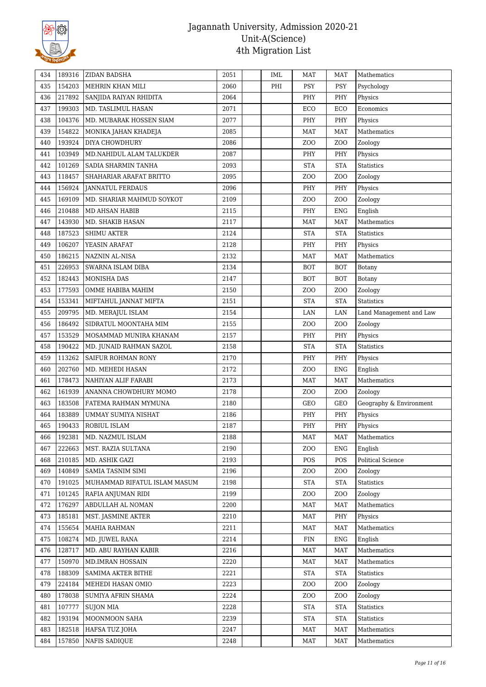

| 434 | 189316 | ZIDAN BADSHA                 | 2051 | IML | <b>MAT</b>       | <b>MAT</b>       | Mathematics                              |
|-----|--------|------------------------------|------|-----|------------------|------------------|------------------------------------------|
| 435 | 154203 | MEHRIN KHAN MILI             | 2060 | PHI | PSY              | <b>PSY</b>       | Psychology                               |
| 436 | 217892 | SANJIDA RAIYAN RHIDITA       | 2064 |     | PHY              | PHY              | Physics                                  |
| 437 | 199303 | MD. TASLIMUL HASAN           | 2071 |     | ECO              | ECO              | Economics                                |
| 438 | 104376 | MD. MUBARAK HOSSEN SIAM      | 2077 |     | PHY              | PHY              | Physics                                  |
| 439 | 154822 | MONIKA JAHAN KHADEJA         | 2085 |     | <b>MAT</b>       | <b>MAT</b>       | Mathematics                              |
| 440 | 193924 | DIYA CHOWDHURY               | 2086 |     | Z <sub>0</sub>   | Z <sub>O</sub> O | Zoology                                  |
| 441 | 103949 | MD.NAHIDUL ALAM TALUKDER     | 2087 |     | PHY              | PHY              | Physics                                  |
| 442 | 101269 | SADIA SHARMIN TANHA          | 2093 |     | <b>STA</b>       | <b>STA</b>       | <b>Statistics</b>                        |
| 443 | 118457 | SHAHARIAR ARAFAT BRITTO      | 2095 |     | ZO <sub>O</sub>  | Z <sub>O</sub> O | Zoology                                  |
| 444 | 156924 | <b>JANNATUL FERDAUS</b>      | 2096 |     | PHY              | PHY              | Physics                                  |
| 445 | 169109 | MD. SHARIAR MAHMUD SOYKOT    | 2109 |     | Z <sub>0</sub>   | ZOO              | Zoology                                  |
| 446 | 210488 | MD AHSAN HABIB               | 2115 |     | PHY              | <b>ENG</b>       | English                                  |
| 447 | 143930 | MD. SHAKIB HASAN             | 2117 |     | <b>MAT</b>       | MAT              | Mathematics                              |
| 448 | 187523 | <b>SHIMU AKTER</b>           | 2124 |     | <b>STA</b>       | <b>STA</b>       | Statistics                               |
| 449 | 106207 | YEASIN ARAFAT                | 2128 |     | PHY              | PHY              | Physics                                  |
| 450 | 186215 | <b>NAZNIN AL-NISA</b>        | 2132 |     | <b>MAT</b>       | <b>MAT</b>       | Mathematics                              |
| 451 | 226953 | SWARNA ISLAM DIBA            | 2134 |     | <b>BOT</b>       | BOT              | Botany                                   |
| 452 | 182443 | <b>MONISHA DAS</b>           | 2147 |     | <b>BOT</b>       | <b>BOT</b>       | <b>Botany</b>                            |
| 453 | 177593 | OMME HABIBA MAHIM            | 2150 |     | ZO <sub>O</sub>  | Z <sub>O</sub> O | Zoology                                  |
| 454 | 153341 | MIFTAHUL JANNAT MIFTA        | 2151 |     | <b>STA</b>       | <b>STA</b>       | <b>Statistics</b>                        |
| 455 | 209795 | MD. MERAJUL ISLAM            | 2154 |     | LAN              | LAN              | Land Management and Law                  |
| 456 | 186492 | SIDRATUL MOONTAHA MIM        | 2155 |     | ZO <sub>O</sub>  | Z <sub>O</sub> O | Zoology                                  |
| 457 | 153529 | MOSAMMAD MUNIRA KHANAM       | 2157 |     | PHY              | PHY              | Physics                                  |
| 458 | 190422 | MD. JUNAID RAHMAN SAZOL      | 2158 |     | <b>STA</b>       | <b>STA</b>       | <b>Statistics</b>                        |
| 459 | 113262 | SAIFUR ROHMAN RONY           | 2170 |     | PHY              | PHY              | Physics                                  |
| 460 | 202760 | MD. MEHEDI HASAN             | 2172 |     | Z <sub>O</sub> O | <b>ENG</b>       | English                                  |
| 461 | 178473 | NAHIYAN ALIF FARABI          | 2173 |     | <b>MAT</b>       | <b>MAT</b>       | Mathematics                              |
| 462 | 161939 | ANANNA CHOWDHURY MOMO        | 2178 |     | ZO <sub>O</sub>  | ZO <sub>O</sub>  | Zoology                                  |
| 463 | 183508 | FATEMA RAHMAN MYMUNA         | 2180 |     | GEO              | GEO              | Geography & Environment                  |
| 464 | 183889 | UMMAY SUMIYA NISHAT          | 2186 |     | PHY              | PHY              | Physics                                  |
| 465 | 190433 | ROBIUL ISLAM                 | 2187 |     | PHY              | PHY              | Physics                                  |
| 466 | 192381 | MD. NAZMUL ISLAM             | 2188 |     | <b>MAT</b>       | <b>MAT</b>       | $\label{th:thematics} {\bf Mathematics}$ |
| 467 | 222663 | MST. RAZIA SULTANA           | 2190 |     | Z <sub>0</sub>   | <b>ENG</b>       | English                                  |
| 468 | 210185 | MD. ASHIK GAZI               | 2193 |     | POS              | POS              | Political Science                        |
| 469 | 140849 | SAMIA TASNIM SIMI            | 2196 |     | ZO <sub>O</sub>  | Z <sub>O</sub> O | Zoology                                  |
| 470 | 191025 | MUHAMMAD RIFATUL ISLAM MASUM | 2198 |     | <b>STA</b>       | <b>STA</b>       | <b>Statistics</b>                        |
| 471 | 101245 | RAFIA ANJUMAN RIDI           | 2199 |     | ZO <sub>O</sub>  | Z <sub>O</sub> O | Zoology                                  |
| 472 | 176297 | ABDULLAH AL NOMAN            | 2200 |     | <b>MAT</b>       | MAT              | Mathematics                              |
| 473 | 185181 | MST. JASMINE AKTER           | 2210 |     | <b>MAT</b>       | PHY              | Physics                                  |
| 474 | 155654 | <b>MAHIA RAHMAN</b>          | 2211 |     | MAT              | <b>MAT</b>       | Mathematics                              |
| 475 | 108274 | MD. JUWEL RANA               | 2214 |     | FIN              | <b>ENG</b>       | English                                  |
| 476 | 128717 | MD. ABU RAYHAN KABIR         | 2216 |     | MAT              | <b>MAT</b>       | Mathematics                              |
| 477 | 150970 | MD.IMRAN HOSSAIN             | 2220 |     | <b>MAT</b>       | <b>MAT</b>       | Mathematics                              |
| 478 | 188309 | SAMIMA AKTER BITHE           | 2221 |     | <b>STA</b>       | <b>STA</b>       | <b>Statistics</b>                        |
| 479 | 224184 | MEHEDI HASAN OMIO            | 2223 |     | ZO <sub>O</sub>  | Z <sub>O</sub> O | Zoology                                  |
| 480 | 178038 | SUMIYA AFRIN SHAMA           | 2224 |     | Z <sub>0</sub>   | Z <sub>O</sub> O | Zoology                                  |
| 481 | 107777 | <b>SUJON MIA</b>             | 2228 |     | <b>STA</b>       | <b>STA</b>       | <b>Statistics</b>                        |
| 482 | 193194 | MOONMOON SAHA                | 2239 |     | <b>STA</b>       | <b>STA</b>       | <b>Statistics</b>                        |
| 483 | 182518 | <b>HAFSA TUZ JOHA</b>        | 2247 |     | <b>MAT</b>       | <b>MAT</b>       | Mathematics                              |
| 484 | 157850 | <b>NAFIS SADIQUE</b>         | 2248 |     | MAT              | MAT              | Mathematics                              |
|     |        |                              |      |     |                  |                  |                                          |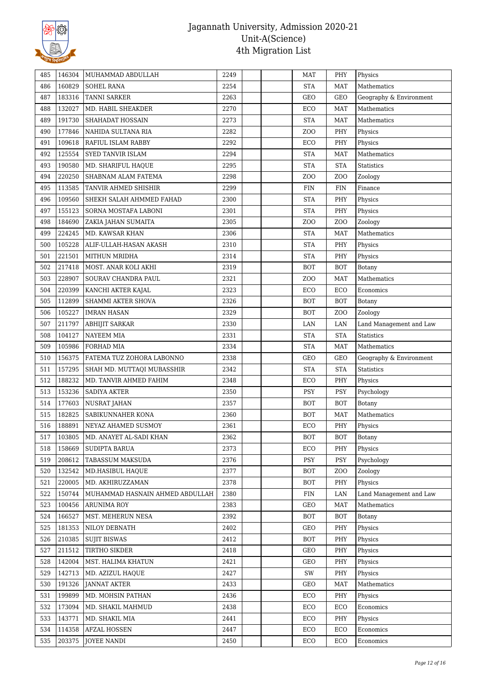

| 485 | 146304 | MUHAMMAD ABDULLAH               | 2249 |  | MAT             | PHY              | Physics                 |
|-----|--------|---------------------------------|------|--|-----------------|------------------|-------------------------|
| 486 | 160829 | <b>SOHEL RANA</b>               | 2254 |  | <b>STA</b>      | MAT              | Mathematics             |
| 487 | 183316 | <b>TANNI SARKER</b>             | 2263 |  | GEO             | <b>GEO</b>       | Geography & Environment |
| 488 | 132027 | MD. HABIL SHEAKDER              | 2270 |  | ECO             | <b>MAT</b>       | Mathematics             |
| 489 | 191730 | SHAHADAT HOSSAIN                | 2273 |  | <b>STA</b>      | <b>MAT</b>       | Mathematics             |
| 490 | 177846 | NAHIDA SULTANA RIA              | 2282 |  | ZO <sub>O</sub> | PHY              | Physics                 |
| 491 | 109618 | RAFIUL ISLAM RABBY              | 2292 |  | ECO             | PHY              | Physics                 |
| 492 | 125554 | SYED TANVIR ISLAM               | 2294 |  | <b>STA</b>      | MAT              | Mathematics             |
| 493 | 190580 | MD. SHARIFUL HAQUE              | 2295 |  | <b>STA</b>      | <b>STA</b>       | <b>Statistics</b>       |
| 494 | 220250 | SHABNAM ALAM FATEMA             | 2298 |  | Z <sub>0</sub>  | Z <sub>O</sub> O | Zoology                 |
| 495 | 113585 | TANVIR AHMED SHISHIR            | 2299 |  | <b>FIN</b>      | <b>FIN</b>       | Finance                 |
| 496 | 109560 | SHEKH SALAH AHMMED FAHAD        | 2300 |  | <b>STA</b>      | PHY              | Physics                 |
| 497 | 155123 | SORNA MOSTAFA LABONI            | 2301 |  | <b>STA</b>      | PHY              | Physics                 |
| 498 | 184690 | ZAKIA JAHAN SUMAITA             | 2305 |  | ZOO             | ZOO              | Zoology                 |
| 499 | 224245 | MD. KAWSAR KHAN                 | 2306 |  | <b>STA</b>      | <b>MAT</b>       | Mathematics             |
| 500 | 105228 | ALIF-ULLAH-HASAN AKASH          | 2310 |  | <b>STA</b>      | PHY              | Physics                 |
| 501 | 221501 | MITHUN MRIDHA                   | 2314 |  | <b>STA</b>      | PHY              | Physics                 |
| 502 | 217418 | MOST. ANAR KOLI AKHI            | 2319 |  | BOT             | BOT              | Botany                  |
| 503 | 228907 | SOURAV CHANDRA PAUL             | 2321 |  | Z <sub>0</sub>  | MAT              | Mathematics             |
| 504 | 220399 | KANCHI AKTER KAJAL              | 2323 |  | ECO             | ECO              | Economics               |
| 505 | 112899 | SHAMMI AKTER SHOVA              | 2326 |  | <b>BOT</b>      | BOT              | <b>Botany</b>           |
| 506 | 105227 | <b>IMRAN HASAN</b>              | 2329 |  | <b>BOT</b>      | ZOO              | Zoology                 |
| 507 | 211797 | ABHIJIT SARKAR                  | 2330 |  | LAN             | LAN              | Land Management and Law |
| 508 | 104127 | <b>NAYEEM MIA</b>               | 2331 |  | <b>STA</b>      | <b>STA</b>       | <b>Statistics</b>       |
| 509 | 105986 | FORHAD MIA                      | 2334 |  | <b>STA</b>      | <b>MAT</b>       | Mathematics             |
| 510 | 156375 | FATEMA TUZ ZOHORA LABONNO       | 2338 |  | GEO             | GEO              | Geography & Environment |
| 511 | 157295 | SHAH MD. MUTTAQI MUBASSHIR      | 2342 |  | <b>STA</b>      | <b>STA</b>       | Statistics              |
| 512 | 188232 | MD. TANVIR AHMED FAHIM          | 2348 |  | ECO             | PHY              | Physics                 |
| 513 | 153236 | <b>SADIYA AKTER</b>             | 2350 |  | <b>PSY</b>      | <b>PSY</b>       | Psychology              |
| 514 | 177603 | <b>NUSRAT JAHAN</b>             | 2357 |  | <b>BOT</b>      | <b>BOT</b>       | Botany                  |
| 515 | 182825 | SABIKUNNAHER KONA               | 2360 |  | <b>BOT</b>      | <b>MAT</b>       | Mathematics             |
| 516 | 188891 | NEYAZ AHAMED SUSMOY             | 2361 |  | ECO             | PHY              | Physics                 |
| 517 | 103805 | MD. ANAYET AL-SADI KHAN         | 2362 |  | BOT             | <b>BOT</b>       | Botany                  |
| 518 | 158669 | SUDIPTA BARUA                   | 2373 |  | ECO             | PHY              | Physics                 |
| 519 | 208612 | TABASSUM MAKSUDA                | 2376 |  | PSY             | PSY              | Psychology              |
| 520 | 132542 | MD.HASIBUL HAQUE                | 2377 |  | <b>BOT</b>      | Z <sub>O</sub> O | Zoology                 |
| 521 | 220005 | MD. AKHIRUZZAMAN                | 2378 |  | <b>BOT</b>      | PHY              | Physics                 |
| 522 | 150744 | MUHAMMAD HASNAIN AHMED ABDULLAH | 2380 |  | FIN             | LAN              | Land Management and Law |
| 523 | 100456 | ARUNIMA ROY                     | 2383 |  | GEO             | <b>MAT</b>       | Mathematics             |
| 524 | 166527 | MST. MEHERUN NESA               | 2392 |  | <b>BOT</b>      | <b>BOT</b>       | Botany                  |
| 525 | 181353 | NILOY DEBNATH                   | 2402 |  | GEO             | PHY              | Physics                 |
| 526 | 210385 | <b>SUJIT BISWAS</b>             | 2412 |  | <b>BOT</b>      | PHY              | Physics                 |
| 527 | 211512 | TIRTHO SIKDER                   | 2418 |  | GEO             | PHY              | Physics                 |
| 528 | 142004 | MST. HALIMA KHATUN              | 2421 |  | GEO             | PHY              | Physics                 |
| 529 | 142713 | MD. AZIZUL HAQUE                | 2427 |  | SW              | PHY              | Physics                 |
| 530 | 191326 | <b>JANNAT AKTER</b>             | 2433 |  | GEO             | <b>MAT</b>       | Mathematics             |
| 531 | 199899 | MD. MOHSIN PATHAN               | 2436 |  | ECO             | PHY              | Physics                 |
| 532 | 173094 | MD. SHAKIL MAHMUD               | 2438 |  | ECO             | ECO              | Economics               |
| 533 | 143771 | MD. SHAKIL MIA                  | 2441 |  | ECO             | PHY              | Physics                 |
| 534 | 114358 | <b>AFZAL HOSSEN</b>             | 2447 |  | ECO             | ECO              | Economics               |
| 535 | 203375 | <b>JOYEE NANDI</b>              | 2450 |  | ECO             | ECO              | Economics               |
|     |        |                                 |      |  |                 |                  |                         |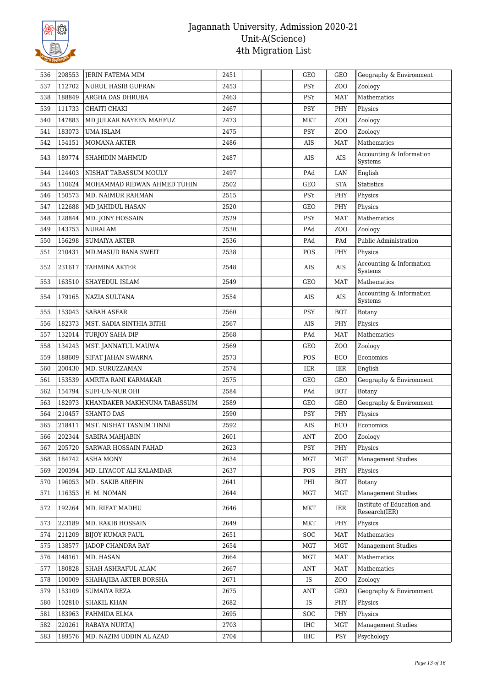

| 536 | 208553 | <b>JERIN FATEMA MIM</b>     | 2451 | GEO        | <b>GEO</b>       | Geography & Environment                     |
|-----|--------|-----------------------------|------|------------|------------------|---------------------------------------------|
| 537 | 112702 | <b>NURUL HASIB GUFRAN</b>   | 2453 | <b>PSY</b> | ZO <sub>O</sub>  | Zoology                                     |
| 538 | 188849 | ARGHA DAS DHRUBA            | 2463 | <b>PSY</b> | <b>MAT</b>       | Mathematics                                 |
| 539 | 111733 | CHAITI CHAKI                | 2467 | PSY        | PHY              | Physics                                     |
| 540 | 147883 | MD JULKAR NAYEEN MAHFUZ     | 2473 | MKT        | Z <sub>O</sub> O | Zoology                                     |
| 541 | 183073 | <b>UMA ISLAM</b>            | 2475 | <b>PSY</b> | ZO <sub>O</sub>  | Zoology                                     |
| 542 | 154151 | <b>MOMANA AKTER</b>         | 2486 | AIS        | MAT              | Mathematics                                 |
| 543 | 189774 | SHAHIDIN MAHMUD             | 2487 | AIS        | AIS              | Accounting & Information<br>Systems         |
| 544 | 124403 | NISHAT TABASSUM MOULY       | 2497 | PAd        | LAN              | English                                     |
| 545 | 110624 | MOHAMMAD RIDWAN AHMED TUHIN | 2502 | GEO        | <b>STA</b>       | <b>Statistics</b>                           |
| 546 | 150573 | MD. NAIMUR RAHMAN           | 2515 | <b>PSY</b> | PHY              | Physics                                     |
| 547 | 122688 | MD JAHIDUL HASAN            | 2520 | GEO        | PHY              | Physics                                     |
| 548 | 128844 | MD. JONY HOSSAIN            | 2529 | <b>PSY</b> | MAT              | Mathematics                                 |
| 549 | 143753 | <b>NURALAM</b>              | 2530 | PAd        | ZO <sub>O</sub>  | Zoology                                     |
| 550 | 156298 | <b>SUMAIYA AKTER</b>        | 2536 | PAd        | PAd              | Public Administration                       |
| 551 | 210431 | MD.MASUD RANA SWEIT         | 2538 | POS        | PHY              | Physics                                     |
|     |        |                             |      |            |                  | Accounting & Information                    |
| 552 | 231617 | TAHMINA AKTER               | 2548 | AIS        | AIS              | Systems                                     |
| 553 | 163510 | SHAYEDUL ISLAM              | 2549 | GEO        | MAT              | <b>Mathematics</b>                          |
| 554 | 179165 | <b>NAZIA SULTANA</b>        | 2554 | AIS        | AIS              | Accounting & Information<br>Systems         |
| 555 | 153043 | <b>SABAH ASFAR</b>          | 2560 | <b>PSY</b> | <b>BOT</b>       | Botany                                      |
| 556 | 182373 | MST. SADIA SINTHIA BITHI    | 2567 | AIS        | PHY              | Physics                                     |
| 557 | 132014 | <b>TURJOY SAHA DIP</b>      | 2568 | PAd        | MAT              | Mathematics                                 |
| 558 | 134243 | MST. JANNATUL MAUWA         | 2569 | <b>GEO</b> | ZOO              | Zoology                                     |
| 559 | 188609 | SIFAT JAHAN SWARNA          | 2573 | <b>POS</b> | ECO              | Economics                                   |
| 560 | 200430 | MD. SURUZZAMAN              | 2574 | IER        | IER              | English                                     |
| 561 | 153539 | AMRITA RANI KARMAKAR        | 2575 | <b>GEO</b> | GEO              | Geography & Environment                     |
| 562 | 154794 | <b>SUFI-UN-NUR OHI</b>      | 2584 | PAd        | <b>BOT</b>       | Botany                                      |
| 563 | 182973 | KHANDAKER MAKHNUNA TABASSUM | 2589 | GEO        | GEO              | Geography & Environment                     |
| 564 | 210457 | <b>SHANTO DAS</b>           | 2590 | <b>PSY</b> | PHY              | Physics                                     |
| 565 | 218411 | MST. NISHAT TASNIM TINNI    | 2592 | AIS        | ECO              | Economics                                   |
| 566 | 202344 | SABIRA MAHJABIN             | 2601 | ANT        | ZOO              | Zoology                                     |
| 567 | 205720 | SARWAR HOSSAIN FAHAD        | 2623 | <b>PSY</b> | PHY              | Physics                                     |
| 568 | 184742 | <b>ASHA MONY</b>            | 2634 | MGT        | MGT              | <b>Management Studies</b>                   |
| 569 | 200394 | MD. LIYACOT ALI KALAMDAR    | 2637 | POS        | PHY              | Physics                                     |
| 570 | 196053 | MD . SAKIB AREFIN           | 2641 | PHI        | <b>BOT</b>       | Botany                                      |
| 571 | 116353 | H. M. NOMAN                 | 2644 | <b>MGT</b> | MGT              | <b>Management Studies</b>                   |
| 572 | 192264 | MD. RIFAT MADHU             | 2646 | MKT        | IER              | Institute of Education and<br>Research(IER) |
| 573 | 223189 | MD. RAKIB HOSSAIN           | 2649 | <b>MKT</b> | PHY              | Physics                                     |
| 574 | 211209 | <b>BIJOY KUMAR PAUL</b>     | 2651 | SOC        | <b>MAT</b>       | Mathematics                                 |
| 575 | 138577 | JADOP CHANDRA RAY           | 2654 | MGT        | <b>MGT</b>       | <b>Management Studies</b>                   |
| 576 | 148161 | MD. HASAN                   | 2664 | MGT        | MAT              | Mathematics                                 |
| 577 | 180828 | SHAH ASHRAFUL ALAM          | 2667 | ANT        | MAT              | Mathematics                                 |
| 578 | 100009 | SHAHAJIBA AKTER BORSHA      | 2671 | IS         | ZOO              | Zoology                                     |
| 579 | 153109 | <b>SUMAIYA REZA</b>         | 2675 | ANT        | GEO              | Geography & Environment                     |
| 580 | 102810 | <b>SHAKIL KHAN</b>          | 2682 | IS         | PHY              | Physics                                     |
| 581 | 183963 | FAHMIDA ELMA                | 2695 | <b>SOC</b> | PHY              | Physics                                     |
| 582 | 220261 | <b>RABAYA NURTAJ</b>        | 2703 | IHC        | <b>MGT</b>       | <b>Management Studies</b>                   |
| 583 | 189576 | MD. NAZIM UDDIN AL AZAD     | 2704 | <b>IHC</b> | <b>PSY</b>       | Psychology                                  |
|     |        |                             |      |            |                  |                                             |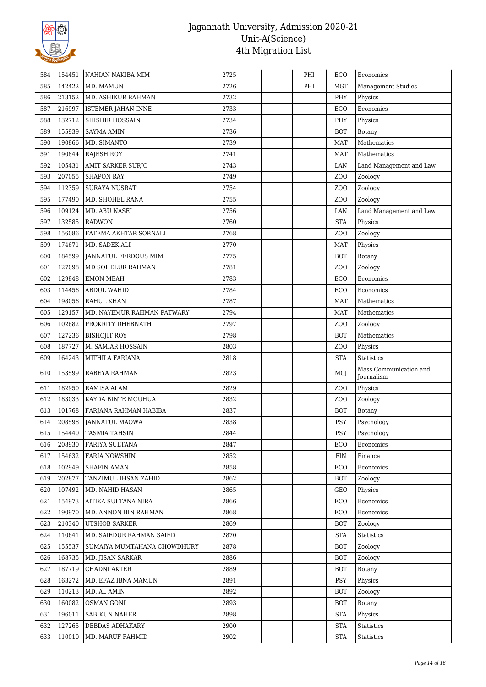

| 142422<br>585<br>MD. MAMUN<br>2726<br>PHI<br><b>MGT</b><br><b>Management Studies</b><br>213152<br>MD. ASHIKUR RAHMAN<br>2732<br>PHY<br>586<br>Physics<br>216997<br>2733<br>587<br><b>ISTEMER JAHAN INNE</b><br>ECO<br>Economics<br>132712<br>2734<br>588<br>SHISHIR HOSSAIN<br>PHY<br>Physics<br>155939<br>2736<br><b>BOT</b><br>589<br><b>SAYMA AMIN</b><br>Botany<br>190866<br>2739<br>Mathematics<br>590<br>MD. SIMANTO<br><b>MAT</b><br>190844<br><b>RAJESH ROY</b><br>2741<br>Mathematics<br>591<br>MAT<br>105431<br>AMIT SARKER SURJO<br>592<br>2743<br>LAN<br>Land Management and Law<br>207055<br>2749<br>ZO <sub>O</sub><br>593<br><b>SHAPON RAY</b><br>Zoology<br>112359<br>2754<br>594<br><b>SURAYA NUSRAT</b><br>ZO <sub>O</sub><br>Zoology<br>177490<br>595<br>MD. SHOHEL RANA<br>2755<br>Zoology<br>Z <sub>O</sub> O<br>109124<br>MD. ABU NASEL<br>2756<br>LAN<br>Land Management and Law<br>596<br>132585<br>2760<br><b>STA</b><br>597<br><b>RADWON</b><br>Physics<br>598<br>156086<br>FATEMA AKHTAR SORNALI<br>2768<br>ZO <sub>O</sub><br>Zoology<br>174671<br>2770<br>599<br>MD. SADEK ALI<br><b>MAT</b><br>Physics<br>184599<br>600<br><b>JANNATUL FERDOUS MIM</b><br>2775<br><b>BOT</b><br>Botany<br>127098<br>MD SOHELUR RAHMAN<br>2781<br>601<br>ZOO<br>Zoology<br>129848<br>602<br><b>EMON MEAH</b><br>2783<br>ECO<br>Economics<br>114456<br><b>ABDUL WAHID</b><br>2784<br>ECO<br>Economics<br>603<br>198056<br>2787<br>Mathematics<br>604<br>RAHUL KHAN<br><b>MAT</b><br>129157<br>2794<br>605<br>MD. NAYEMUR RAHMAN PATWARY<br><b>MAT</b><br>Mathematics<br>102682<br>2797<br>606<br>PROKRITY DHEBNATH<br>ZOO<br>Zoology<br>127236<br>2798<br>Mathematics<br>607<br><b>BISHOJIT ROY</b><br><b>BOT</b><br>187727<br>M. SAMIAR HOSSAIN<br>2803<br>608<br>ZOO<br>Physics<br>609<br>164243<br>MITHILA FARJANA<br>2818<br><b>STA</b><br><b>Statistics</b><br>Mass Communication and<br>2823<br>610<br>153599<br>RABEYA RAHMAN<br>MCI<br>Journalism<br>182950<br>RAMISA ALAM<br>2829<br>ZO <sub>O</sub><br>Physics<br>611<br>612<br>183033<br>KAYDA BINTE MOUHUA<br>2832<br>Zoology<br>ZOO<br>101768<br>2837<br>613<br>FARJANA RAHMAN HABIBA<br><b>BOT</b><br>Botany<br>208598<br><b>JANNATUL MAOWA</b><br>2838<br><b>PSY</b><br>614<br>Psychology<br>154440<br>TASMIA TAHSIN<br>2844<br>PSY<br>615<br>Psychology<br>208930<br>  FARIYA SULTANA<br>2847<br>ECO<br>616<br>Economics<br>154632<br>2852<br><b>FIN</b><br>617<br><b>FARIA NOWSHIN</b><br>Finance<br>102949<br><b>SHAFIN AMAN</b><br>2858<br>Economics<br>618<br>ECO<br>202877<br>TANZIMUL IHSAN ZAHID<br>2862<br>619<br><b>BOT</b><br>Zoology<br>107492<br>MD. NAHID HASAN<br>2865<br>$\operatorname{GEO}$<br>620<br>Physics<br>154973<br>AITIKA SULTANA NIRA<br>2866<br>ECO<br>Economics<br>621<br>190970<br>622<br>MD. ANNON BIN RAHMAN<br>2868<br>Economics<br>ECO<br>210340<br>2869<br>623<br>UTSHOB SARKER<br><b>BOT</b><br>Zoology<br>110641<br>MD. SAIEDUR RAHMAN SAIED<br>2870<br>624<br><b>STA</b><br>Statistics<br>155537<br>625<br>SUMAIYA MUMTAHANA CHOWDHURY<br>2878<br><b>BOT</b><br>Zoology<br>168735<br>2886<br><b>BOT</b><br>626<br>MD. JISAN SARKAR<br>Zoology<br>187719<br><b>CHADNI AKTER</b><br>2889<br>627<br>BOT<br>Botany<br>163272<br>MD. EFAZ IBNA MAMUN<br>2891<br><b>PSY</b><br>628<br>Physics<br>110213<br>629<br>MD. AL AMIN<br>2892<br><b>BOT</b><br>Zoology<br>160082<br>2893<br>630<br>OSMAN GONI<br><b>BOT</b><br>Botany<br>196011<br><b>SABIKUN NAHER</b><br>2898<br>631<br>STA<br>Physics<br>632<br>127265<br>DEBDAS ADHAKARY<br>2900<br><b>STA</b><br><b>Statistics</b><br>633<br>110010<br>MD. MARUF FAHMID<br>2902<br><b>STA</b><br>Statistics | 584 | 154451 | NAHIAN NAKIBA MIM | 2725 |  | PHI | ECO | Economics |
|---------------------------------------------------------------------------------------------------------------------------------------------------------------------------------------------------------------------------------------------------------------------------------------------------------------------------------------------------------------------------------------------------------------------------------------------------------------------------------------------------------------------------------------------------------------------------------------------------------------------------------------------------------------------------------------------------------------------------------------------------------------------------------------------------------------------------------------------------------------------------------------------------------------------------------------------------------------------------------------------------------------------------------------------------------------------------------------------------------------------------------------------------------------------------------------------------------------------------------------------------------------------------------------------------------------------------------------------------------------------------------------------------------------------------------------------------------------------------------------------------------------------------------------------------------------------------------------------------------------------------------------------------------------------------------------------------------------------------------------------------------------------------------------------------------------------------------------------------------------------------------------------------------------------------------------------------------------------------------------------------------------------------------------------------------------------------------------------------------------------------------------------------------------------------------------------------------------------------------------------------------------------------------------------------------------------------------------------------------------------------------------------------------------------------------------------------------------------------------------------------------------------------------------------------------------------------------------------------------------------------------------------------------------------------------------------------------------------------------------------------------------------------------------------------------------------------------------------------------------------------------------------------------------------------------------------------------------------------------------------------------------------------------------------------------------------------------------------------------------------------------------------------------------------------------------------------------------------------------------------------------------------------------------------------------------------------------------------------------------------------------------------------------------------------------------------------------------------------------------------------------------------------------------------------------------------------------------------------------------------------------------------------------------------|-----|--------|-------------------|------|--|-----|-----|-----------|
|                                                                                                                                                                                                                                                                                                                                                                                                                                                                                                                                                                                                                                                                                                                                                                                                                                                                                                                                                                                                                                                                                                                                                                                                                                                                                                                                                                                                                                                                                                                                                                                                                                                                                                                                                                                                                                                                                                                                                                                                                                                                                                                                                                                                                                                                                                                                                                                                                                                                                                                                                                                                                                                                                                                                                                                                                                                                                                                                                                                                                                                                                                                                                                                                                                                                                                                                                                                                                                                                                                                                                                                                                                                                     |     |        |                   |      |  |     |     |           |
|                                                                                                                                                                                                                                                                                                                                                                                                                                                                                                                                                                                                                                                                                                                                                                                                                                                                                                                                                                                                                                                                                                                                                                                                                                                                                                                                                                                                                                                                                                                                                                                                                                                                                                                                                                                                                                                                                                                                                                                                                                                                                                                                                                                                                                                                                                                                                                                                                                                                                                                                                                                                                                                                                                                                                                                                                                                                                                                                                                                                                                                                                                                                                                                                                                                                                                                                                                                                                                                                                                                                                                                                                                                                     |     |        |                   |      |  |     |     |           |
|                                                                                                                                                                                                                                                                                                                                                                                                                                                                                                                                                                                                                                                                                                                                                                                                                                                                                                                                                                                                                                                                                                                                                                                                                                                                                                                                                                                                                                                                                                                                                                                                                                                                                                                                                                                                                                                                                                                                                                                                                                                                                                                                                                                                                                                                                                                                                                                                                                                                                                                                                                                                                                                                                                                                                                                                                                                                                                                                                                                                                                                                                                                                                                                                                                                                                                                                                                                                                                                                                                                                                                                                                                                                     |     |        |                   |      |  |     |     |           |
|                                                                                                                                                                                                                                                                                                                                                                                                                                                                                                                                                                                                                                                                                                                                                                                                                                                                                                                                                                                                                                                                                                                                                                                                                                                                                                                                                                                                                                                                                                                                                                                                                                                                                                                                                                                                                                                                                                                                                                                                                                                                                                                                                                                                                                                                                                                                                                                                                                                                                                                                                                                                                                                                                                                                                                                                                                                                                                                                                                                                                                                                                                                                                                                                                                                                                                                                                                                                                                                                                                                                                                                                                                                                     |     |        |                   |      |  |     |     |           |
|                                                                                                                                                                                                                                                                                                                                                                                                                                                                                                                                                                                                                                                                                                                                                                                                                                                                                                                                                                                                                                                                                                                                                                                                                                                                                                                                                                                                                                                                                                                                                                                                                                                                                                                                                                                                                                                                                                                                                                                                                                                                                                                                                                                                                                                                                                                                                                                                                                                                                                                                                                                                                                                                                                                                                                                                                                                                                                                                                                                                                                                                                                                                                                                                                                                                                                                                                                                                                                                                                                                                                                                                                                                                     |     |        |                   |      |  |     |     |           |
|                                                                                                                                                                                                                                                                                                                                                                                                                                                                                                                                                                                                                                                                                                                                                                                                                                                                                                                                                                                                                                                                                                                                                                                                                                                                                                                                                                                                                                                                                                                                                                                                                                                                                                                                                                                                                                                                                                                                                                                                                                                                                                                                                                                                                                                                                                                                                                                                                                                                                                                                                                                                                                                                                                                                                                                                                                                                                                                                                                                                                                                                                                                                                                                                                                                                                                                                                                                                                                                                                                                                                                                                                                                                     |     |        |                   |      |  |     |     |           |
|                                                                                                                                                                                                                                                                                                                                                                                                                                                                                                                                                                                                                                                                                                                                                                                                                                                                                                                                                                                                                                                                                                                                                                                                                                                                                                                                                                                                                                                                                                                                                                                                                                                                                                                                                                                                                                                                                                                                                                                                                                                                                                                                                                                                                                                                                                                                                                                                                                                                                                                                                                                                                                                                                                                                                                                                                                                                                                                                                                                                                                                                                                                                                                                                                                                                                                                                                                                                                                                                                                                                                                                                                                                                     |     |        |                   |      |  |     |     |           |
|                                                                                                                                                                                                                                                                                                                                                                                                                                                                                                                                                                                                                                                                                                                                                                                                                                                                                                                                                                                                                                                                                                                                                                                                                                                                                                                                                                                                                                                                                                                                                                                                                                                                                                                                                                                                                                                                                                                                                                                                                                                                                                                                                                                                                                                                                                                                                                                                                                                                                                                                                                                                                                                                                                                                                                                                                                                                                                                                                                                                                                                                                                                                                                                                                                                                                                                                                                                                                                                                                                                                                                                                                                                                     |     |        |                   |      |  |     |     |           |
|                                                                                                                                                                                                                                                                                                                                                                                                                                                                                                                                                                                                                                                                                                                                                                                                                                                                                                                                                                                                                                                                                                                                                                                                                                                                                                                                                                                                                                                                                                                                                                                                                                                                                                                                                                                                                                                                                                                                                                                                                                                                                                                                                                                                                                                                                                                                                                                                                                                                                                                                                                                                                                                                                                                                                                                                                                                                                                                                                                                                                                                                                                                                                                                                                                                                                                                                                                                                                                                                                                                                                                                                                                                                     |     |        |                   |      |  |     |     |           |
|                                                                                                                                                                                                                                                                                                                                                                                                                                                                                                                                                                                                                                                                                                                                                                                                                                                                                                                                                                                                                                                                                                                                                                                                                                                                                                                                                                                                                                                                                                                                                                                                                                                                                                                                                                                                                                                                                                                                                                                                                                                                                                                                                                                                                                                                                                                                                                                                                                                                                                                                                                                                                                                                                                                                                                                                                                                                                                                                                                                                                                                                                                                                                                                                                                                                                                                                                                                                                                                                                                                                                                                                                                                                     |     |        |                   |      |  |     |     |           |
|                                                                                                                                                                                                                                                                                                                                                                                                                                                                                                                                                                                                                                                                                                                                                                                                                                                                                                                                                                                                                                                                                                                                                                                                                                                                                                                                                                                                                                                                                                                                                                                                                                                                                                                                                                                                                                                                                                                                                                                                                                                                                                                                                                                                                                                                                                                                                                                                                                                                                                                                                                                                                                                                                                                                                                                                                                                                                                                                                                                                                                                                                                                                                                                                                                                                                                                                                                                                                                                                                                                                                                                                                                                                     |     |        |                   |      |  |     |     |           |
|                                                                                                                                                                                                                                                                                                                                                                                                                                                                                                                                                                                                                                                                                                                                                                                                                                                                                                                                                                                                                                                                                                                                                                                                                                                                                                                                                                                                                                                                                                                                                                                                                                                                                                                                                                                                                                                                                                                                                                                                                                                                                                                                                                                                                                                                                                                                                                                                                                                                                                                                                                                                                                                                                                                                                                                                                                                                                                                                                                                                                                                                                                                                                                                                                                                                                                                                                                                                                                                                                                                                                                                                                                                                     |     |        |                   |      |  |     |     |           |
|                                                                                                                                                                                                                                                                                                                                                                                                                                                                                                                                                                                                                                                                                                                                                                                                                                                                                                                                                                                                                                                                                                                                                                                                                                                                                                                                                                                                                                                                                                                                                                                                                                                                                                                                                                                                                                                                                                                                                                                                                                                                                                                                                                                                                                                                                                                                                                                                                                                                                                                                                                                                                                                                                                                                                                                                                                                                                                                                                                                                                                                                                                                                                                                                                                                                                                                                                                                                                                                                                                                                                                                                                                                                     |     |        |                   |      |  |     |     |           |
|                                                                                                                                                                                                                                                                                                                                                                                                                                                                                                                                                                                                                                                                                                                                                                                                                                                                                                                                                                                                                                                                                                                                                                                                                                                                                                                                                                                                                                                                                                                                                                                                                                                                                                                                                                                                                                                                                                                                                                                                                                                                                                                                                                                                                                                                                                                                                                                                                                                                                                                                                                                                                                                                                                                                                                                                                                                                                                                                                                                                                                                                                                                                                                                                                                                                                                                                                                                                                                                                                                                                                                                                                                                                     |     |        |                   |      |  |     |     |           |
|                                                                                                                                                                                                                                                                                                                                                                                                                                                                                                                                                                                                                                                                                                                                                                                                                                                                                                                                                                                                                                                                                                                                                                                                                                                                                                                                                                                                                                                                                                                                                                                                                                                                                                                                                                                                                                                                                                                                                                                                                                                                                                                                                                                                                                                                                                                                                                                                                                                                                                                                                                                                                                                                                                                                                                                                                                                                                                                                                                                                                                                                                                                                                                                                                                                                                                                                                                                                                                                                                                                                                                                                                                                                     |     |        |                   |      |  |     |     |           |
|                                                                                                                                                                                                                                                                                                                                                                                                                                                                                                                                                                                                                                                                                                                                                                                                                                                                                                                                                                                                                                                                                                                                                                                                                                                                                                                                                                                                                                                                                                                                                                                                                                                                                                                                                                                                                                                                                                                                                                                                                                                                                                                                                                                                                                                                                                                                                                                                                                                                                                                                                                                                                                                                                                                                                                                                                                                                                                                                                                                                                                                                                                                                                                                                                                                                                                                                                                                                                                                                                                                                                                                                                                                                     |     |        |                   |      |  |     |     |           |
|                                                                                                                                                                                                                                                                                                                                                                                                                                                                                                                                                                                                                                                                                                                                                                                                                                                                                                                                                                                                                                                                                                                                                                                                                                                                                                                                                                                                                                                                                                                                                                                                                                                                                                                                                                                                                                                                                                                                                                                                                                                                                                                                                                                                                                                                                                                                                                                                                                                                                                                                                                                                                                                                                                                                                                                                                                                                                                                                                                                                                                                                                                                                                                                                                                                                                                                                                                                                                                                                                                                                                                                                                                                                     |     |        |                   |      |  |     |     |           |
|                                                                                                                                                                                                                                                                                                                                                                                                                                                                                                                                                                                                                                                                                                                                                                                                                                                                                                                                                                                                                                                                                                                                                                                                                                                                                                                                                                                                                                                                                                                                                                                                                                                                                                                                                                                                                                                                                                                                                                                                                                                                                                                                                                                                                                                                                                                                                                                                                                                                                                                                                                                                                                                                                                                                                                                                                                                                                                                                                                                                                                                                                                                                                                                                                                                                                                                                                                                                                                                                                                                                                                                                                                                                     |     |        |                   |      |  |     |     |           |
|                                                                                                                                                                                                                                                                                                                                                                                                                                                                                                                                                                                                                                                                                                                                                                                                                                                                                                                                                                                                                                                                                                                                                                                                                                                                                                                                                                                                                                                                                                                                                                                                                                                                                                                                                                                                                                                                                                                                                                                                                                                                                                                                                                                                                                                                                                                                                                                                                                                                                                                                                                                                                                                                                                                                                                                                                                                                                                                                                                                                                                                                                                                                                                                                                                                                                                                                                                                                                                                                                                                                                                                                                                                                     |     |        |                   |      |  |     |     |           |
|                                                                                                                                                                                                                                                                                                                                                                                                                                                                                                                                                                                                                                                                                                                                                                                                                                                                                                                                                                                                                                                                                                                                                                                                                                                                                                                                                                                                                                                                                                                                                                                                                                                                                                                                                                                                                                                                                                                                                                                                                                                                                                                                                                                                                                                                                                                                                                                                                                                                                                                                                                                                                                                                                                                                                                                                                                                                                                                                                                                                                                                                                                                                                                                                                                                                                                                                                                                                                                                                                                                                                                                                                                                                     |     |        |                   |      |  |     |     |           |
|                                                                                                                                                                                                                                                                                                                                                                                                                                                                                                                                                                                                                                                                                                                                                                                                                                                                                                                                                                                                                                                                                                                                                                                                                                                                                                                                                                                                                                                                                                                                                                                                                                                                                                                                                                                                                                                                                                                                                                                                                                                                                                                                                                                                                                                                                                                                                                                                                                                                                                                                                                                                                                                                                                                                                                                                                                                                                                                                                                                                                                                                                                                                                                                                                                                                                                                                                                                                                                                                                                                                                                                                                                                                     |     |        |                   |      |  |     |     |           |
|                                                                                                                                                                                                                                                                                                                                                                                                                                                                                                                                                                                                                                                                                                                                                                                                                                                                                                                                                                                                                                                                                                                                                                                                                                                                                                                                                                                                                                                                                                                                                                                                                                                                                                                                                                                                                                                                                                                                                                                                                                                                                                                                                                                                                                                                                                                                                                                                                                                                                                                                                                                                                                                                                                                                                                                                                                                                                                                                                                                                                                                                                                                                                                                                                                                                                                                                                                                                                                                                                                                                                                                                                                                                     |     |        |                   |      |  |     |     |           |
|                                                                                                                                                                                                                                                                                                                                                                                                                                                                                                                                                                                                                                                                                                                                                                                                                                                                                                                                                                                                                                                                                                                                                                                                                                                                                                                                                                                                                                                                                                                                                                                                                                                                                                                                                                                                                                                                                                                                                                                                                                                                                                                                                                                                                                                                                                                                                                                                                                                                                                                                                                                                                                                                                                                                                                                                                                                                                                                                                                                                                                                                                                                                                                                                                                                                                                                                                                                                                                                                                                                                                                                                                                                                     |     |        |                   |      |  |     |     |           |
|                                                                                                                                                                                                                                                                                                                                                                                                                                                                                                                                                                                                                                                                                                                                                                                                                                                                                                                                                                                                                                                                                                                                                                                                                                                                                                                                                                                                                                                                                                                                                                                                                                                                                                                                                                                                                                                                                                                                                                                                                                                                                                                                                                                                                                                                                                                                                                                                                                                                                                                                                                                                                                                                                                                                                                                                                                                                                                                                                                                                                                                                                                                                                                                                                                                                                                                                                                                                                                                                                                                                                                                                                                                                     |     |        |                   |      |  |     |     |           |
|                                                                                                                                                                                                                                                                                                                                                                                                                                                                                                                                                                                                                                                                                                                                                                                                                                                                                                                                                                                                                                                                                                                                                                                                                                                                                                                                                                                                                                                                                                                                                                                                                                                                                                                                                                                                                                                                                                                                                                                                                                                                                                                                                                                                                                                                                                                                                                                                                                                                                                                                                                                                                                                                                                                                                                                                                                                                                                                                                                                                                                                                                                                                                                                                                                                                                                                                                                                                                                                                                                                                                                                                                                                                     |     |        |                   |      |  |     |     |           |
|                                                                                                                                                                                                                                                                                                                                                                                                                                                                                                                                                                                                                                                                                                                                                                                                                                                                                                                                                                                                                                                                                                                                                                                                                                                                                                                                                                                                                                                                                                                                                                                                                                                                                                                                                                                                                                                                                                                                                                                                                                                                                                                                                                                                                                                                                                                                                                                                                                                                                                                                                                                                                                                                                                                                                                                                                                                                                                                                                                                                                                                                                                                                                                                                                                                                                                                                                                                                                                                                                                                                                                                                                                                                     |     |        |                   |      |  |     |     |           |
|                                                                                                                                                                                                                                                                                                                                                                                                                                                                                                                                                                                                                                                                                                                                                                                                                                                                                                                                                                                                                                                                                                                                                                                                                                                                                                                                                                                                                                                                                                                                                                                                                                                                                                                                                                                                                                                                                                                                                                                                                                                                                                                                                                                                                                                                                                                                                                                                                                                                                                                                                                                                                                                                                                                                                                                                                                                                                                                                                                                                                                                                                                                                                                                                                                                                                                                                                                                                                                                                                                                                                                                                                                                                     |     |        |                   |      |  |     |     |           |
|                                                                                                                                                                                                                                                                                                                                                                                                                                                                                                                                                                                                                                                                                                                                                                                                                                                                                                                                                                                                                                                                                                                                                                                                                                                                                                                                                                                                                                                                                                                                                                                                                                                                                                                                                                                                                                                                                                                                                                                                                                                                                                                                                                                                                                                                                                                                                                                                                                                                                                                                                                                                                                                                                                                                                                                                                                                                                                                                                                                                                                                                                                                                                                                                                                                                                                                                                                                                                                                                                                                                                                                                                                                                     |     |        |                   |      |  |     |     |           |
|                                                                                                                                                                                                                                                                                                                                                                                                                                                                                                                                                                                                                                                                                                                                                                                                                                                                                                                                                                                                                                                                                                                                                                                                                                                                                                                                                                                                                                                                                                                                                                                                                                                                                                                                                                                                                                                                                                                                                                                                                                                                                                                                                                                                                                                                                                                                                                                                                                                                                                                                                                                                                                                                                                                                                                                                                                                                                                                                                                                                                                                                                                                                                                                                                                                                                                                                                                                                                                                                                                                                                                                                                                                                     |     |        |                   |      |  |     |     |           |
|                                                                                                                                                                                                                                                                                                                                                                                                                                                                                                                                                                                                                                                                                                                                                                                                                                                                                                                                                                                                                                                                                                                                                                                                                                                                                                                                                                                                                                                                                                                                                                                                                                                                                                                                                                                                                                                                                                                                                                                                                                                                                                                                                                                                                                                                                                                                                                                                                                                                                                                                                                                                                                                                                                                                                                                                                                                                                                                                                                                                                                                                                                                                                                                                                                                                                                                                                                                                                                                                                                                                                                                                                                                                     |     |        |                   |      |  |     |     |           |
|                                                                                                                                                                                                                                                                                                                                                                                                                                                                                                                                                                                                                                                                                                                                                                                                                                                                                                                                                                                                                                                                                                                                                                                                                                                                                                                                                                                                                                                                                                                                                                                                                                                                                                                                                                                                                                                                                                                                                                                                                                                                                                                                                                                                                                                                                                                                                                                                                                                                                                                                                                                                                                                                                                                                                                                                                                                                                                                                                                                                                                                                                                                                                                                                                                                                                                                                                                                                                                                                                                                                                                                                                                                                     |     |        |                   |      |  |     |     |           |
|                                                                                                                                                                                                                                                                                                                                                                                                                                                                                                                                                                                                                                                                                                                                                                                                                                                                                                                                                                                                                                                                                                                                                                                                                                                                                                                                                                                                                                                                                                                                                                                                                                                                                                                                                                                                                                                                                                                                                                                                                                                                                                                                                                                                                                                                                                                                                                                                                                                                                                                                                                                                                                                                                                                                                                                                                                                                                                                                                                                                                                                                                                                                                                                                                                                                                                                                                                                                                                                                                                                                                                                                                                                                     |     |        |                   |      |  |     |     |           |
|                                                                                                                                                                                                                                                                                                                                                                                                                                                                                                                                                                                                                                                                                                                                                                                                                                                                                                                                                                                                                                                                                                                                                                                                                                                                                                                                                                                                                                                                                                                                                                                                                                                                                                                                                                                                                                                                                                                                                                                                                                                                                                                                                                                                                                                                                                                                                                                                                                                                                                                                                                                                                                                                                                                                                                                                                                                                                                                                                                                                                                                                                                                                                                                                                                                                                                                                                                                                                                                                                                                                                                                                                                                                     |     |        |                   |      |  |     |     |           |
|                                                                                                                                                                                                                                                                                                                                                                                                                                                                                                                                                                                                                                                                                                                                                                                                                                                                                                                                                                                                                                                                                                                                                                                                                                                                                                                                                                                                                                                                                                                                                                                                                                                                                                                                                                                                                                                                                                                                                                                                                                                                                                                                                                                                                                                                                                                                                                                                                                                                                                                                                                                                                                                                                                                                                                                                                                                                                                                                                                                                                                                                                                                                                                                                                                                                                                                                                                                                                                                                                                                                                                                                                                                                     |     |        |                   |      |  |     |     |           |
|                                                                                                                                                                                                                                                                                                                                                                                                                                                                                                                                                                                                                                                                                                                                                                                                                                                                                                                                                                                                                                                                                                                                                                                                                                                                                                                                                                                                                                                                                                                                                                                                                                                                                                                                                                                                                                                                                                                                                                                                                                                                                                                                                                                                                                                                                                                                                                                                                                                                                                                                                                                                                                                                                                                                                                                                                                                                                                                                                                                                                                                                                                                                                                                                                                                                                                                                                                                                                                                                                                                                                                                                                                                                     |     |        |                   |      |  |     |     |           |
|                                                                                                                                                                                                                                                                                                                                                                                                                                                                                                                                                                                                                                                                                                                                                                                                                                                                                                                                                                                                                                                                                                                                                                                                                                                                                                                                                                                                                                                                                                                                                                                                                                                                                                                                                                                                                                                                                                                                                                                                                                                                                                                                                                                                                                                                                                                                                                                                                                                                                                                                                                                                                                                                                                                                                                                                                                                                                                                                                                                                                                                                                                                                                                                                                                                                                                                                                                                                                                                                                                                                                                                                                                                                     |     |        |                   |      |  |     |     |           |
|                                                                                                                                                                                                                                                                                                                                                                                                                                                                                                                                                                                                                                                                                                                                                                                                                                                                                                                                                                                                                                                                                                                                                                                                                                                                                                                                                                                                                                                                                                                                                                                                                                                                                                                                                                                                                                                                                                                                                                                                                                                                                                                                                                                                                                                                                                                                                                                                                                                                                                                                                                                                                                                                                                                                                                                                                                                                                                                                                                                                                                                                                                                                                                                                                                                                                                                                                                                                                                                                                                                                                                                                                                                                     |     |        |                   |      |  |     |     |           |
|                                                                                                                                                                                                                                                                                                                                                                                                                                                                                                                                                                                                                                                                                                                                                                                                                                                                                                                                                                                                                                                                                                                                                                                                                                                                                                                                                                                                                                                                                                                                                                                                                                                                                                                                                                                                                                                                                                                                                                                                                                                                                                                                                                                                                                                                                                                                                                                                                                                                                                                                                                                                                                                                                                                                                                                                                                                                                                                                                                                                                                                                                                                                                                                                                                                                                                                                                                                                                                                                                                                                                                                                                                                                     |     |        |                   |      |  |     |     |           |
|                                                                                                                                                                                                                                                                                                                                                                                                                                                                                                                                                                                                                                                                                                                                                                                                                                                                                                                                                                                                                                                                                                                                                                                                                                                                                                                                                                                                                                                                                                                                                                                                                                                                                                                                                                                                                                                                                                                                                                                                                                                                                                                                                                                                                                                                                                                                                                                                                                                                                                                                                                                                                                                                                                                                                                                                                                                                                                                                                                                                                                                                                                                                                                                                                                                                                                                                                                                                                                                                                                                                                                                                                                                                     |     |        |                   |      |  |     |     |           |
|                                                                                                                                                                                                                                                                                                                                                                                                                                                                                                                                                                                                                                                                                                                                                                                                                                                                                                                                                                                                                                                                                                                                                                                                                                                                                                                                                                                                                                                                                                                                                                                                                                                                                                                                                                                                                                                                                                                                                                                                                                                                                                                                                                                                                                                                                                                                                                                                                                                                                                                                                                                                                                                                                                                                                                                                                                                                                                                                                                                                                                                                                                                                                                                                                                                                                                                                                                                                                                                                                                                                                                                                                                                                     |     |        |                   |      |  |     |     |           |
|                                                                                                                                                                                                                                                                                                                                                                                                                                                                                                                                                                                                                                                                                                                                                                                                                                                                                                                                                                                                                                                                                                                                                                                                                                                                                                                                                                                                                                                                                                                                                                                                                                                                                                                                                                                                                                                                                                                                                                                                                                                                                                                                                                                                                                                                                                                                                                                                                                                                                                                                                                                                                                                                                                                                                                                                                                                                                                                                                                                                                                                                                                                                                                                                                                                                                                                                                                                                                                                                                                                                                                                                                                                                     |     |        |                   |      |  |     |     |           |
|                                                                                                                                                                                                                                                                                                                                                                                                                                                                                                                                                                                                                                                                                                                                                                                                                                                                                                                                                                                                                                                                                                                                                                                                                                                                                                                                                                                                                                                                                                                                                                                                                                                                                                                                                                                                                                                                                                                                                                                                                                                                                                                                                                                                                                                                                                                                                                                                                                                                                                                                                                                                                                                                                                                                                                                                                                                                                                                                                                                                                                                                                                                                                                                                                                                                                                                                                                                                                                                                                                                                                                                                                                                                     |     |        |                   |      |  |     |     |           |
|                                                                                                                                                                                                                                                                                                                                                                                                                                                                                                                                                                                                                                                                                                                                                                                                                                                                                                                                                                                                                                                                                                                                                                                                                                                                                                                                                                                                                                                                                                                                                                                                                                                                                                                                                                                                                                                                                                                                                                                                                                                                                                                                                                                                                                                                                                                                                                                                                                                                                                                                                                                                                                                                                                                                                                                                                                                                                                                                                                                                                                                                                                                                                                                                                                                                                                                                                                                                                                                                                                                                                                                                                                                                     |     |        |                   |      |  |     |     |           |
|                                                                                                                                                                                                                                                                                                                                                                                                                                                                                                                                                                                                                                                                                                                                                                                                                                                                                                                                                                                                                                                                                                                                                                                                                                                                                                                                                                                                                                                                                                                                                                                                                                                                                                                                                                                                                                                                                                                                                                                                                                                                                                                                                                                                                                                                                                                                                                                                                                                                                                                                                                                                                                                                                                                                                                                                                                                                                                                                                                                                                                                                                                                                                                                                                                                                                                                                                                                                                                                                                                                                                                                                                                                                     |     |        |                   |      |  |     |     |           |
|                                                                                                                                                                                                                                                                                                                                                                                                                                                                                                                                                                                                                                                                                                                                                                                                                                                                                                                                                                                                                                                                                                                                                                                                                                                                                                                                                                                                                                                                                                                                                                                                                                                                                                                                                                                                                                                                                                                                                                                                                                                                                                                                                                                                                                                                                                                                                                                                                                                                                                                                                                                                                                                                                                                                                                                                                                                                                                                                                                                                                                                                                                                                                                                                                                                                                                                                                                                                                                                                                                                                                                                                                                                                     |     |        |                   |      |  |     |     |           |
|                                                                                                                                                                                                                                                                                                                                                                                                                                                                                                                                                                                                                                                                                                                                                                                                                                                                                                                                                                                                                                                                                                                                                                                                                                                                                                                                                                                                                                                                                                                                                                                                                                                                                                                                                                                                                                                                                                                                                                                                                                                                                                                                                                                                                                                                                                                                                                                                                                                                                                                                                                                                                                                                                                                                                                                                                                                                                                                                                                                                                                                                                                                                                                                                                                                                                                                                                                                                                                                                                                                                                                                                                                                                     |     |        |                   |      |  |     |     |           |
|                                                                                                                                                                                                                                                                                                                                                                                                                                                                                                                                                                                                                                                                                                                                                                                                                                                                                                                                                                                                                                                                                                                                                                                                                                                                                                                                                                                                                                                                                                                                                                                                                                                                                                                                                                                                                                                                                                                                                                                                                                                                                                                                                                                                                                                                                                                                                                                                                                                                                                                                                                                                                                                                                                                                                                                                                                                                                                                                                                                                                                                                                                                                                                                                                                                                                                                                                                                                                                                                                                                                                                                                                                                                     |     |        |                   |      |  |     |     |           |
|                                                                                                                                                                                                                                                                                                                                                                                                                                                                                                                                                                                                                                                                                                                                                                                                                                                                                                                                                                                                                                                                                                                                                                                                                                                                                                                                                                                                                                                                                                                                                                                                                                                                                                                                                                                                                                                                                                                                                                                                                                                                                                                                                                                                                                                                                                                                                                                                                                                                                                                                                                                                                                                                                                                                                                                                                                                                                                                                                                                                                                                                                                                                                                                                                                                                                                                                                                                                                                                                                                                                                                                                                                                                     |     |        |                   |      |  |     |     |           |
|                                                                                                                                                                                                                                                                                                                                                                                                                                                                                                                                                                                                                                                                                                                                                                                                                                                                                                                                                                                                                                                                                                                                                                                                                                                                                                                                                                                                                                                                                                                                                                                                                                                                                                                                                                                                                                                                                                                                                                                                                                                                                                                                                                                                                                                                                                                                                                                                                                                                                                                                                                                                                                                                                                                                                                                                                                                                                                                                                                                                                                                                                                                                                                                                                                                                                                                                                                                                                                                                                                                                                                                                                                                                     |     |        |                   |      |  |     |     |           |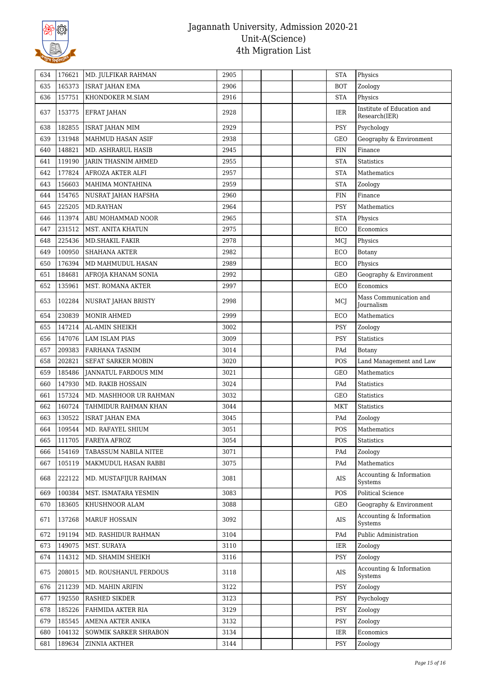

| 165373<br>Zoology<br>635<br><b>ISRAT JAHAN EMA</b><br>2906<br><b>BOT</b><br>157751<br>2916<br><b>STA</b><br>Physics<br>636<br>KHONDOKER M.SIAM<br>Institute of Education and<br>2928<br>637<br>153775<br>IER<br><b>EFRAT JAHAN</b><br>Research(IER)<br>182855<br>2929<br><b>ISRAT JAHAN MIM</b><br><b>PSY</b><br>Psychology<br>638<br>639<br>131948<br>MAHMUD HASAN ASIF<br>2938<br><b>GEO</b><br>Geography & Environment<br>640<br>148821<br>MD. ASHRARUL HASIB<br>2945<br><b>FIN</b><br>Finance<br>119190<br>2955<br><b>STA</b><br>641<br>JARIN THASNIM AHMED<br><b>Statistics</b><br>177824<br>AFROZA AKTER ALFI<br>2957<br>642<br><b>STA</b><br>Mathematics<br>156603<br>643<br>MAHIMA MONTAHINA<br>2959<br><b>STA</b><br>Zoology<br>154765<br>2960<br>Finance<br>644<br>NUSRAT JAHAN HAFSHA<br>FIN<br>225205<br>MD.RAYHAN<br>2964<br><b>PSY</b><br>Mathematics<br>645<br>113974<br>646<br>ABU MOHAMMAD NOOR<br>2965<br><b>STA</b><br>Physics<br>231512<br>2975<br>ECO<br>Economics<br>647<br>MST. ANITA KHATUN<br>225436<br>2978<br><b>MD.SHAKIL FAKIR</b><br>MCJ<br>648<br>Physics<br>100950<br>2982<br>649<br><b>SHAHANA AKTER</b><br>ECO<br>Botany<br>176394<br>2989<br>650<br>MD MAHMUDUL HASAN<br>ECO<br>Physics<br>184681<br>2992<br>651<br>AFROJA KHANAM SONIA<br>GEO<br>Geography & Environment<br>652<br>135961<br>Economics<br>MST. ROMANA AKTER<br>2997<br>ECO<br>Mass Communication and<br>102284<br>2998<br>MCJ<br>653<br>NUSRAT JAHAN BRISTY<br><b>Journalism</b><br>230839<br>MONIR AHMED<br>2999<br>Mathematics<br>654<br>ECO<br>147214<br>3002<br><b>PSY</b><br>655<br>AL-AMIN SHEIKH<br>Zoology<br>147076<br>3009<br>PSY<br>656<br>LAM ISLAM PIAS<br><b>Statistics</b><br>209383<br>657<br>FARHANA TASNIM<br>3014<br>PAd<br>Botany<br>202821<br>3020<br>POS<br>658<br>SEFAT SARKER MOBIN<br>Land Management and Law<br>185486<br>Mathematics<br>659<br>JANNATUL FARDOUS MIM<br>3021<br><b>GEO</b><br>147930<br>MD. RAKIB HOSSAIN<br>3024<br>660<br>PAd<br><b>Statistics</b><br>157324<br>3032<br>661<br>MD. MASHHOOR UR RAHMAN<br><b>GEO</b><br><b>Statistics</b><br>160724<br>662<br>TAHMIDUR RAHMAN KHAN<br>3044<br>MKT<br><b>Statistics</b><br>130522<br>663<br>ISRAT JAHAN EMA<br>3045<br>PAd<br>Zoology<br>664<br>109544<br>3051<br>POS<br>MD. RAFAYEL SHIUM<br>Mathematics<br>111705<br>3054<br><b>Statistics</b><br><b>FAREYA AFROZ</b><br>POS<br>665<br>154169<br>666<br>TABASSUM NABILA NITEE<br>3071<br>PAd<br>Zoology<br>105119<br>3075<br>Mathematics<br>667<br>MAKMUDUL HASAN RABBI<br>PAd<br>Accounting & Information<br>222122<br>3081<br>668<br>MD. MUSTAFIJUR RAHMAN<br>AIS<br>Systems<br>100384<br>MST. ISMATARA YESMIN<br><b>Political Science</b><br>669<br>3083<br>POS<br>183605<br>KHUSHNOOR ALAM<br>3088<br>GEO<br>Geography & Environment<br>670<br>Accounting & Information<br>3092<br>137268<br><b>MARUF HOSSAIN</b><br>AIS<br>671<br>Systems<br>191194<br>Public Administration<br>MD. RASHIDUR RAHMAN<br>3104<br>672<br>PAd<br>149075<br>673<br>MST. SURAYA<br>3110<br>Zoology<br>IER<br>114312<br>MD. SHAMIM SHEIKH<br>3116<br><b>PSY</b><br>Zoology<br>674<br>Accounting & Information<br>675<br>208015<br>MD. ROUSHANUL FERDOUS<br>3118<br>AIS<br>Systems<br>211239<br>3122<br>PSY<br>676<br>MD. MAHIN ARIFIN<br>Zoology<br>192550<br>677<br><b>RASHED SIKDER</b><br>3123<br><b>PSY</b><br>Psychology<br>185226<br>678<br>FAHMIDA AKTER RIA<br>3129<br>PSY<br>Zoology<br>185545<br>3132<br>679<br>AMENA AKTER ANIKA<br><b>PSY</b><br>Zoology<br>104132<br>SOWMIK SARKER SHRABON<br>3134<br>IER<br>Economics<br>680<br>189634<br>681<br>ZINNIA AKTHER<br>3144<br><b>PSY</b><br>Zoology | 634 | 176621 | MD. JULFIKAR RAHMAN | 2905 | <b>STA</b> | Physics |
|---------------------------------------------------------------------------------------------------------------------------------------------------------------------------------------------------------------------------------------------------------------------------------------------------------------------------------------------------------------------------------------------------------------------------------------------------------------------------------------------------------------------------------------------------------------------------------------------------------------------------------------------------------------------------------------------------------------------------------------------------------------------------------------------------------------------------------------------------------------------------------------------------------------------------------------------------------------------------------------------------------------------------------------------------------------------------------------------------------------------------------------------------------------------------------------------------------------------------------------------------------------------------------------------------------------------------------------------------------------------------------------------------------------------------------------------------------------------------------------------------------------------------------------------------------------------------------------------------------------------------------------------------------------------------------------------------------------------------------------------------------------------------------------------------------------------------------------------------------------------------------------------------------------------------------------------------------------------------------------------------------------------------------------------------------------------------------------------------------------------------------------------------------------------------------------------------------------------------------------------------------------------------------------------------------------------------------------------------------------------------------------------------------------------------------------------------------------------------------------------------------------------------------------------------------------------------------------------------------------------------------------------------------------------------------------------------------------------------------------------------------------------------------------------------------------------------------------------------------------------------------------------------------------------------------------------------------------------------------------------------------------------------------------------------------------------------------------------------------------------------------------------------------------------------------------------------------------------------------------------------------------------------------------------------------------------------------------------------------------------------------------------------------------------------------------------------------------------------------------------------------------------------------------------------------------------------------------------------------------------------------------------|-----|--------|---------------------|------|------------|---------|
|                                                                                                                                                                                                                                                                                                                                                                                                                                                                                                                                                                                                                                                                                                                                                                                                                                                                                                                                                                                                                                                                                                                                                                                                                                                                                                                                                                                                                                                                                                                                                                                                                                                                                                                                                                                                                                                                                                                                                                                                                                                                                                                                                                                                                                                                                                                                                                                                                                                                                                                                                                                                                                                                                                                                                                                                                                                                                                                                                                                                                                                                                                                                                                                                                                                                                                                                                                                                                                                                                                                                                                                                                                             |     |        |                     |      |            |         |
|                                                                                                                                                                                                                                                                                                                                                                                                                                                                                                                                                                                                                                                                                                                                                                                                                                                                                                                                                                                                                                                                                                                                                                                                                                                                                                                                                                                                                                                                                                                                                                                                                                                                                                                                                                                                                                                                                                                                                                                                                                                                                                                                                                                                                                                                                                                                                                                                                                                                                                                                                                                                                                                                                                                                                                                                                                                                                                                                                                                                                                                                                                                                                                                                                                                                                                                                                                                                                                                                                                                                                                                                                                             |     |        |                     |      |            |         |
|                                                                                                                                                                                                                                                                                                                                                                                                                                                                                                                                                                                                                                                                                                                                                                                                                                                                                                                                                                                                                                                                                                                                                                                                                                                                                                                                                                                                                                                                                                                                                                                                                                                                                                                                                                                                                                                                                                                                                                                                                                                                                                                                                                                                                                                                                                                                                                                                                                                                                                                                                                                                                                                                                                                                                                                                                                                                                                                                                                                                                                                                                                                                                                                                                                                                                                                                                                                                                                                                                                                                                                                                                                             |     |        |                     |      |            |         |
|                                                                                                                                                                                                                                                                                                                                                                                                                                                                                                                                                                                                                                                                                                                                                                                                                                                                                                                                                                                                                                                                                                                                                                                                                                                                                                                                                                                                                                                                                                                                                                                                                                                                                                                                                                                                                                                                                                                                                                                                                                                                                                                                                                                                                                                                                                                                                                                                                                                                                                                                                                                                                                                                                                                                                                                                                                                                                                                                                                                                                                                                                                                                                                                                                                                                                                                                                                                                                                                                                                                                                                                                                                             |     |        |                     |      |            |         |
|                                                                                                                                                                                                                                                                                                                                                                                                                                                                                                                                                                                                                                                                                                                                                                                                                                                                                                                                                                                                                                                                                                                                                                                                                                                                                                                                                                                                                                                                                                                                                                                                                                                                                                                                                                                                                                                                                                                                                                                                                                                                                                                                                                                                                                                                                                                                                                                                                                                                                                                                                                                                                                                                                                                                                                                                                                                                                                                                                                                                                                                                                                                                                                                                                                                                                                                                                                                                                                                                                                                                                                                                                                             |     |        |                     |      |            |         |
|                                                                                                                                                                                                                                                                                                                                                                                                                                                                                                                                                                                                                                                                                                                                                                                                                                                                                                                                                                                                                                                                                                                                                                                                                                                                                                                                                                                                                                                                                                                                                                                                                                                                                                                                                                                                                                                                                                                                                                                                                                                                                                                                                                                                                                                                                                                                                                                                                                                                                                                                                                                                                                                                                                                                                                                                                                                                                                                                                                                                                                                                                                                                                                                                                                                                                                                                                                                                                                                                                                                                                                                                                                             |     |        |                     |      |            |         |
|                                                                                                                                                                                                                                                                                                                                                                                                                                                                                                                                                                                                                                                                                                                                                                                                                                                                                                                                                                                                                                                                                                                                                                                                                                                                                                                                                                                                                                                                                                                                                                                                                                                                                                                                                                                                                                                                                                                                                                                                                                                                                                                                                                                                                                                                                                                                                                                                                                                                                                                                                                                                                                                                                                                                                                                                                                                                                                                                                                                                                                                                                                                                                                                                                                                                                                                                                                                                                                                                                                                                                                                                                                             |     |        |                     |      |            |         |
|                                                                                                                                                                                                                                                                                                                                                                                                                                                                                                                                                                                                                                                                                                                                                                                                                                                                                                                                                                                                                                                                                                                                                                                                                                                                                                                                                                                                                                                                                                                                                                                                                                                                                                                                                                                                                                                                                                                                                                                                                                                                                                                                                                                                                                                                                                                                                                                                                                                                                                                                                                                                                                                                                                                                                                                                                                                                                                                                                                                                                                                                                                                                                                                                                                                                                                                                                                                                                                                                                                                                                                                                                                             |     |        |                     |      |            |         |
|                                                                                                                                                                                                                                                                                                                                                                                                                                                                                                                                                                                                                                                                                                                                                                                                                                                                                                                                                                                                                                                                                                                                                                                                                                                                                                                                                                                                                                                                                                                                                                                                                                                                                                                                                                                                                                                                                                                                                                                                                                                                                                                                                                                                                                                                                                                                                                                                                                                                                                                                                                                                                                                                                                                                                                                                                                                                                                                                                                                                                                                                                                                                                                                                                                                                                                                                                                                                                                                                                                                                                                                                                                             |     |        |                     |      |            |         |
|                                                                                                                                                                                                                                                                                                                                                                                                                                                                                                                                                                                                                                                                                                                                                                                                                                                                                                                                                                                                                                                                                                                                                                                                                                                                                                                                                                                                                                                                                                                                                                                                                                                                                                                                                                                                                                                                                                                                                                                                                                                                                                                                                                                                                                                                                                                                                                                                                                                                                                                                                                                                                                                                                                                                                                                                                                                                                                                                                                                                                                                                                                                                                                                                                                                                                                                                                                                                                                                                                                                                                                                                                                             |     |        |                     |      |            |         |
|                                                                                                                                                                                                                                                                                                                                                                                                                                                                                                                                                                                                                                                                                                                                                                                                                                                                                                                                                                                                                                                                                                                                                                                                                                                                                                                                                                                                                                                                                                                                                                                                                                                                                                                                                                                                                                                                                                                                                                                                                                                                                                                                                                                                                                                                                                                                                                                                                                                                                                                                                                                                                                                                                                                                                                                                                                                                                                                                                                                                                                                                                                                                                                                                                                                                                                                                                                                                                                                                                                                                                                                                                                             |     |        |                     |      |            |         |
|                                                                                                                                                                                                                                                                                                                                                                                                                                                                                                                                                                                                                                                                                                                                                                                                                                                                                                                                                                                                                                                                                                                                                                                                                                                                                                                                                                                                                                                                                                                                                                                                                                                                                                                                                                                                                                                                                                                                                                                                                                                                                                                                                                                                                                                                                                                                                                                                                                                                                                                                                                                                                                                                                                                                                                                                                                                                                                                                                                                                                                                                                                                                                                                                                                                                                                                                                                                                                                                                                                                                                                                                                                             |     |        |                     |      |            |         |
|                                                                                                                                                                                                                                                                                                                                                                                                                                                                                                                                                                                                                                                                                                                                                                                                                                                                                                                                                                                                                                                                                                                                                                                                                                                                                                                                                                                                                                                                                                                                                                                                                                                                                                                                                                                                                                                                                                                                                                                                                                                                                                                                                                                                                                                                                                                                                                                                                                                                                                                                                                                                                                                                                                                                                                                                                                                                                                                                                                                                                                                                                                                                                                                                                                                                                                                                                                                                                                                                                                                                                                                                                                             |     |        |                     |      |            |         |
|                                                                                                                                                                                                                                                                                                                                                                                                                                                                                                                                                                                                                                                                                                                                                                                                                                                                                                                                                                                                                                                                                                                                                                                                                                                                                                                                                                                                                                                                                                                                                                                                                                                                                                                                                                                                                                                                                                                                                                                                                                                                                                                                                                                                                                                                                                                                                                                                                                                                                                                                                                                                                                                                                                                                                                                                                                                                                                                                                                                                                                                                                                                                                                                                                                                                                                                                                                                                                                                                                                                                                                                                                                             |     |        |                     |      |            |         |
|                                                                                                                                                                                                                                                                                                                                                                                                                                                                                                                                                                                                                                                                                                                                                                                                                                                                                                                                                                                                                                                                                                                                                                                                                                                                                                                                                                                                                                                                                                                                                                                                                                                                                                                                                                                                                                                                                                                                                                                                                                                                                                                                                                                                                                                                                                                                                                                                                                                                                                                                                                                                                                                                                                                                                                                                                                                                                                                                                                                                                                                                                                                                                                                                                                                                                                                                                                                                                                                                                                                                                                                                                                             |     |        |                     |      |            |         |
|                                                                                                                                                                                                                                                                                                                                                                                                                                                                                                                                                                                                                                                                                                                                                                                                                                                                                                                                                                                                                                                                                                                                                                                                                                                                                                                                                                                                                                                                                                                                                                                                                                                                                                                                                                                                                                                                                                                                                                                                                                                                                                                                                                                                                                                                                                                                                                                                                                                                                                                                                                                                                                                                                                                                                                                                                                                                                                                                                                                                                                                                                                                                                                                                                                                                                                                                                                                                                                                                                                                                                                                                                                             |     |        |                     |      |            |         |
|                                                                                                                                                                                                                                                                                                                                                                                                                                                                                                                                                                                                                                                                                                                                                                                                                                                                                                                                                                                                                                                                                                                                                                                                                                                                                                                                                                                                                                                                                                                                                                                                                                                                                                                                                                                                                                                                                                                                                                                                                                                                                                                                                                                                                                                                                                                                                                                                                                                                                                                                                                                                                                                                                                                                                                                                                                                                                                                                                                                                                                                                                                                                                                                                                                                                                                                                                                                                                                                                                                                                                                                                                                             |     |        |                     |      |            |         |
|                                                                                                                                                                                                                                                                                                                                                                                                                                                                                                                                                                                                                                                                                                                                                                                                                                                                                                                                                                                                                                                                                                                                                                                                                                                                                                                                                                                                                                                                                                                                                                                                                                                                                                                                                                                                                                                                                                                                                                                                                                                                                                                                                                                                                                                                                                                                                                                                                                                                                                                                                                                                                                                                                                                                                                                                                                                                                                                                                                                                                                                                                                                                                                                                                                                                                                                                                                                                                                                                                                                                                                                                                                             |     |        |                     |      |            |         |
|                                                                                                                                                                                                                                                                                                                                                                                                                                                                                                                                                                                                                                                                                                                                                                                                                                                                                                                                                                                                                                                                                                                                                                                                                                                                                                                                                                                                                                                                                                                                                                                                                                                                                                                                                                                                                                                                                                                                                                                                                                                                                                                                                                                                                                                                                                                                                                                                                                                                                                                                                                                                                                                                                                                                                                                                                                                                                                                                                                                                                                                                                                                                                                                                                                                                                                                                                                                                                                                                                                                                                                                                                                             |     |        |                     |      |            |         |
|                                                                                                                                                                                                                                                                                                                                                                                                                                                                                                                                                                                                                                                                                                                                                                                                                                                                                                                                                                                                                                                                                                                                                                                                                                                                                                                                                                                                                                                                                                                                                                                                                                                                                                                                                                                                                                                                                                                                                                                                                                                                                                                                                                                                                                                                                                                                                                                                                                                                                                                                                                                                                                                                                                                                                                                                                                                                                                                                                                                                                                                                                                                                                                                                                                                                                                                                                                                                                                                                                                                                                                                                                                             |     |        |                     |      |            |         |
|                                                                                                                                                                                                                                                                                                                                                                                                                                                                                                                                                                                                                                                                                                                                                                                                                                                                                                                                                                                                                                                                                                                                                                                                                                                                                                                                                                                                                                                                                                                                                                                                                                                                                                                                                                                                                                                                                                                                                                                                                                                                                                                                                                                                                                                                                                                                                                                                                                                                                                                                                                                                                                                                                                                                                                                                                                                                                                                                                                                                                                                                                                                                                                                                                                                                                                                                                                                                                                                                                                                                                                                                                                             |     |        |                     |      |            |         |
|                                                                                                                                                                                                                                                                                                                                                                                                                                                                                                                                                                                                                                                                                                                                                                                                                                                                                                                                                                                                                                                                                                                                                                                                                                                                                                                                                                                                                                                                                                                                                                                                                                                                                                                                                                                                                                                                                                                                                                                                                                                                                                                                                                                                                                                                                                                                                                                                                                                                                                                                                                                                                                                                                                                                                                                                                                                                                                                                                                                                                                                                                                                                                                                                                                                                                                                                                                                                                                                                                                                                                                                                                                             |     |        |                     |      |            |         |
|                                                                                                                                                                                                                                                                                                                                                                                                                                                                                                                                                                                                                                                                                                                                                                                                                                                                                                                                                                                                                                                                                                                                                                                                                                                                                                                                                                                                                                                                                                                                                                                                                                                                                                                                                                                                                                                                                                                                                                                                                                                                                                                                                                                                                                                                                                                                                                                                                                                                                                                                                                                                                                                                                                                                                                                                                                                                                                                                                                                                                                                                                                                                                                                                                                                                                                                                                                                                                                                                                                                                                                                                                                             |     |        |                     |      |            |         |
|                                                                                                                                                                                                                                                                                                                                                                                                                                                                                                                                                                                                                                                                                                                                                                                                                                                                                                                                                                                                                                                                                                                                                                                                                                                                                                                                                                                                                                                                                                                                                                                                                                                                                                                                                                                                                                                                                                                                                                                                                                                                                                                                                                                                                                                                                                                                                                                                                                                                                                                                                                                                                                                                                                                                                                                                                                                                                                                                                                                                                                                                                                                                                                                                                                                                                                                                                                                                                                                                                                                                                                                                                                             |     |        |                     |      |            |         |
|                                                                                                                                                                                                                                                                                                                                                                                                                                                                                                                                                                                                                                                                                                                                                                                                                                                                                                                                                                                                                                                                                                                                                                                                                                                                                                                                                                                                                                                                                                                                                                                                                                                                                                                                                                                                                                                                                                                                                                                                                                                                                                                                                                                                                                                                                                                                                                                                                                                                                                                                                                                                                                                                                                                                                                                                                                                                                                                                                                                                                                                                                                                                                                                                                                                                                                                                                                                                                                                                                                                                                                                                                                             |     |        |                     |      |            |         |
|                                                                                                                                                                                                                                                                                                                                                                                                                                                                                                                                                                                                                                                                                                                                                                                                                                                                                                                                                                                                                                                                                                                                                                                                                                                                                                                                                                                                                                                                                                                                                                                                                                                                                                                                                                                                                                                                                                                                                                                                                                                                                                                                                                                                                                                                                                                                                                                                                                                                                                                                                                                                                                                                                                                                                                                                                                                                                                                                                                                                                                                                                                                                                                                                                                                                                                                                                                                                                                                                                                                                                                                                                                             |     |        |                     |      |            |         |
|                                                                                                                                                                                                                                                                                                                                                                                                                                                                                                                                                                                                                                                                                                                                                                                                                                                                                                                                                                                                                                                                                                                                                                                                                                                                                                                                                                                                                                                                                                                                                                                                                                                                                                                                                                                                                                                                                                                                                                                                                                                                                                                                                                                                                                                                                                                                                                                                                                                                                                                                                                                                                                                                                                                                                                                                                                                                                                                                                                                                                                                                                                                                                                                                                                                                                                                                                                                                                                                                                                                                                                                                                                             |     |        |                     |      |            |         |
|                                                                                                                                                                                                                                                                                                                                                                                                                                                                                                                                                                                                                                                                                                                                                                                                                                                                                                                                                                                                                                                                                                                                                                                                                                                                                                                                                                                                                                                                                                                                                                                                                                                                                                                                                                                                                                                                                                                                                                                                                                                                                                                                                                                                                                                                                                                                                                                                                                                                                                                                                                                                                                                                                                                                                                                                                                                                                                                                                                                                                                                                                                                                                                                                                                                                                                                                                                                                                                                                                                                                                                                                                                             |     |        |                     |      |            |         |
|                                                                                                                                                                                                                                                                                                                                                                                                                                                                                                                                                                                                                                                                                                                                                                                                                                                                                                                                                                                                                                                                                                                                                                                                                                                                                                                                                                                                                                                                                                                                                                                                                                                                                                                                                                                                                                                                                                                                                                                                                                                                                                                                                                                                                                                                                                                                                                                                                                                                                                                                                                                                                                                                                                                                                                                                                                                                                                                                                                                                                                                                                                                                                                                                                                                                                                                                                                                                                                                                                                                                                                                                                                             |     |        |                     |      |            |         |
|                                                                                                                                                                                                                                                                                                                                                                                                                                                                                                                                                                                                                                                                                                                                                                                                                                                                                                                                                                                                                                                                                                                                                                                                                                                                                                                                                                                                                                                                                                                                                                                                                                                                                                                                                                                                                                                                                                                                                                                                                                                                                                                                                                                                                                                                                                                                                                                                                                                                                                                                                                                                                                                                                                                                                                                                                                                                                                                                                                                                                                                                                                                                                                                                                                                                                                                                                                                                                                                                                                                                                                                                                                             |     |        |                     |      |            |         |
|                                                                                                                                                                                                                                                                                                                                                                                                                                                                                                                                                                                                                                                                                                                                                                                                                                                                                                                                                                                                                                                                                                                                                                                                                                                                                                                                                                                                                                                                                                                                                                                                                                                                                                                                                                                                                                                                                                                                                                                                                                                                                                                                                                                                                                                                                                                                                                                                                                                                                                                                                                                                                                                                                                                                                                                                                                                                                                                                                                                                                                                                                                                                                                                                                                                                                                                                                                                                                                                                                                                                                                                                                                             |     |        |                     |      |            |         |
|                                                                                                                                                                                                                                                                                                                                                                                                                                                                                                                                                                                                                                                                                                                                                                                                                                                                                                                                                                                                                                                                                                                                                                                                                                                                                                                                                                                                                                                                                                                                                                                                                                                                                                                                                                                                                                                                                                                                                                                                                                                                                                                                                                                                                                                                                                                                                                                                                                                                                                                                                                                                                                                                                                                                                                                                                                                                                                                                                                                                                                                                                                                                                                                                                                                                                                                                                                                                                                                                                                                                                                                                                                             |     |        |                     |      |            |         |
|                                                                                                                                                                                                                                                                                                                                                                                                                                                                                                                                                                                                                                                                                                                                                                                                                                                                                                                                                                                                                                                                                                                                                                                                                                                                                                                                                                                                                                                                                                                                                                                                                                                                                                                                                                                                                                                                                                                                                                                                                                                                                                                                                                                                                                                                                                                                                                                                                                                                                                                                                                                                                                                                                                                                                                                                                                                                                                                                                                                                                                                                                                                                                                                                                                                                                                                                                                                                                                                                                                                                                                                                                                             |     |        |                     |      |            |         |
|                                                                                                                                                                                                                                                                                                                                                                                                                                                                                                                                                                                                                                                                                                                                                                                                                                                                                                                                                                                                                                                                                                                                                                                                                                                                                                                                                                                                                                                                                                                                                                                                                                                                                                                                                                                                                                                                                                                                                                                                                                                                                                                                                                                                                                                                                                                                                                                                                                                                                                                                                                                                                                                                                                                                                                                                                                                                                                                                                                                                                                                                                                                                                                                                                                                                                                                                                                                                                                                                                                                                                                                                                                             |     |        |                     |      |            |         |
|                                                                                                                                                                                                                                                                                                                                                                                                                                                                                                                                                                                                                                                                                                                                                                                                                                                                                                                                                                                                                                                                                                                                                                                                                                                                                                                                                                                                                                                                                                                                                                                                                                                                                                                                                                                                                                                                                                                                                                                                                                                                                                                                                                                                                                                                                                                                                                                                                                                                                                                                                                                                                                                                                                                                                                                                                                                                                                                                                                                                                                                                                                                                                                                                                                                                                                                                                                                                                                                                                                                                                                                                                                             |     |        |                     |      |            |         |
|                                                                                                                                                                                                                                                                                                                                                                                                                                                                                                                                                                                                                                                                                                                                                                                                                                                                                                                                                                                                                                                                                                                                                                                                                                                                                                                                                                                                                                                                                                                                                                                                                                                                                                                                                                                                                                                                                                                                                                                                                                                                                                                                                                                                                                                                                                                                                                                                                                                                                                                                                                                                                                                                                                                                                                                                                                                                                                                                                                                                                                                                                                                                                                                                                                                                                                                                                                                                                                                                                                                                                                                                                                             |     |        |                     |      |            |         |
|                                                                                                                                                                                                                                                                                                                                                                                                                                                                                                                                                                                                                                                                                                                                                                                                                                                                                                                                                                                                                                                                                                                                                                                                                                                                                                                                                                                                                                                                                                                                                                                                                                                                                                                                                                                                                                                                                                                                                                                                                                                                                                                                                                                                                                                                                                                                                                                                                                                                                                                                                                                                                                                                                                                                                                                                                                                                                                                                                                                                                                                                                                                                                                                                                                                                                                                                                                                                                                                                                                                                                                                                                                             |     |        |                     |      |            |         |
|                                                                                                                                                                                                                                                                                                                                                                                                                                                                                                                                                                                                                                                                                                                                                                                                                                                                                                                                                                                                                                                                                                                                                                                                                                                                                                                                                                                                                                                                                                                                                                                                                                                                                                                                                                                                                                                                                                                                                                                                                                                                                                                                                                                                                                                                                                                                                                                                                                                                                                                                                                                                                                                                                                                                                                                                                                                                                                                                                                                                                                                                                                                                                                                                                                                                                                                                                                                                                                                                                                                                                                                                                                             |     |        |                     |      |            |         |
|                                                                                                                                                                                                                                                                                                                                                                                                                                                                                                                                                                                                                                                                                                                                                                                                                                                                                                                                                                                                                                                                                                                                                                                                                                                                                                                                                                                                                                                                                                                                                                                                                                                                                                                                                                                                                                                                                                                                                                                                                                                                                                                                                                                                                                                                                                                                                                                                                                                                                                                                                                                                                                                                                                                                                                                                                                                                                                                                                                                                                                                                                                                                                                                                                                                                                                                                                                                                                                                                                                                                                                                                                                             |     |        |                     |      |            |         |
|                                                                                                                                                                                                                                                                                                                                                                                                                                                                                                                                                                                                                                                                                                                                                                                                                                                                                                                                                                                                                                                                                                                                                                                                                                                                                                                                                                                                                                                                                                                                                                                                                                                                                                                                                                                                                                                                                                                                                                                                                                                                                                                                                                                                                                                                                                                                                                                                                                                                                                                                                                                                                                                                                                                                                                                                                                                                                                                                                                                                                                                                                                                                                                                                                                                                                                                                                                                                                                                                                                                                                                                                                                             |     |        |                     |      |            |         |
|                                                                                                                                                                                                                                                                                                                                                                                                                                                                                                                                                                                                                                                                                                                                                                                                                                                                                                                                                                                                                                                                                                                                                                                                                                                                                                                                                                                                                                                                                                                                                                                                                                                                                                                                                                                                                                                                                                                                                                                                                                                                                                                                                                                                                                                                                                                                                                                                                                                                                                                                                                                                                                                                                                                                                                                                                                                                                                                                                                                                                                                                                                                                                                                                                                                                                                                                                                                                                                                                                                                                                                                                                                             |     |        |                     |      |            |         |
|                                                                                                                                                                                                                                                                                                                                                                                                                                                                                                                                                                                                                                                                                                                                                                                                                                                                                                                                                                                                                                                                                                                                                                                                                                                                                                                                                                                                                                                                                                                                                                                                                                                                                                                                                                                                                                                                                                                                                                                                                                                                                                                                                                                                                                                                                                                                                                                                                                                                                                                                                                                                                                                                                                                                                                                                                                                                                                                                                                                                                                                                                                                                                                                                                                                                                                                                                                                                                                                                                                                                                                                                                                             |     |        |                     |      |            |         |
|                                                                                                                                                                                                                                                                                                                                                                                                                                                                                                                                                                                                                                                                                                                                                                                                                                                                                                                                                                                                                                                                                                                                                                                                                                                                                                                                                                                                                                                                                                                                                                                                                                                                                                                                                                                                                                                                                                                                                                                                                                                                                                                                                                                                                                                                                                                                                                                                                                                                                                                                                                                                                                                                                                                                                                                                                                                                                                                                                                                                                                                                                                                                                                                                                                                                                                                                                                                                                                                                                                                                                                                                                                             |     |        |                     |      |            |         |
|                                                                                                                                                                                                                                                                                                                                                                                                                                                                                                                                                                                                                                                                                                                                                                                                                                                                                                                                                                                                                                                                                                                                                                                                                                                                                                                                                                                                                                                                                                                                                                                                                                                                                                                                                                                                                                                                                                                                                                                                                                                                                                                                                                                                                                                                                                                                                                                                                                                                                                                                                                                                                                                                                                                                                                                                                                                                                                                                                                                                                                                                                                                                                                                                                                                                                                                                                                                                                                                                                                                                                                                                                                             |     |        |                     |      |            |         |
|                                                                                                                                                                                                                                                                                                                                                                                                                                                                                                                                                                                                                                                                                                                                                                                                                                                                                                                                                                                                                                                                                                                                                                                                                                                                                                                                                                                                                                                                                                                                                                                                                                                                                                                                                                                                                                                                                                                                                                                                                                                                                                                                                                                                                                                                                                                                                                                                                                                                                                                                                                                                                                                                                                                                                                                                                                                                                                                                                                                                                                                                                                                                                                                                                                                                                                                                                                                                                                                                                                                                                                                                                                             |     |        |                     |      |            |         |
|                                                                                                                                                                                                                                                                                                                                                                                                                                                                                                                                                                                                                                                                                                                                                                                                                                                                                                                                                                                                                                                                                                                                                                                                                                                                                                                                                                                                                                                                                                                                                                                                                                                                                                                                                                                                                                                                                                                                                                                                                                                                                                                                                                                                                                                                                                                                                                                                                                                                                                                                                                                                                                                                                                                                                                                                                                                                                                                                                                                                                                                                                                                                                                                                                                                                                                                                                                                                                                                                                                                                                                                                                                             |     |        |                     |      |            |         |
|                                                                                                                                                                                                                                                                                                                                                                                                                                                                                                                                                                                                                                                                                                                                                                                                                                                                                                                                                                                                                                                                                                                                                                                                                                                                                                                                                                                                                                                                                                                                                                                                                                                                                                                                                                                                                                                                                                                                                                                                                                                                                                                                                                                                                                                                                                                                                                                                                                                                                                                                                                                                                                                                                                                                                                                                                                                                                                                                                                                                                                                                                                                                                                                                                                                                                                                                                                                                                                                                                                                                                                                                                                             |     |        |                     |      |            |         |